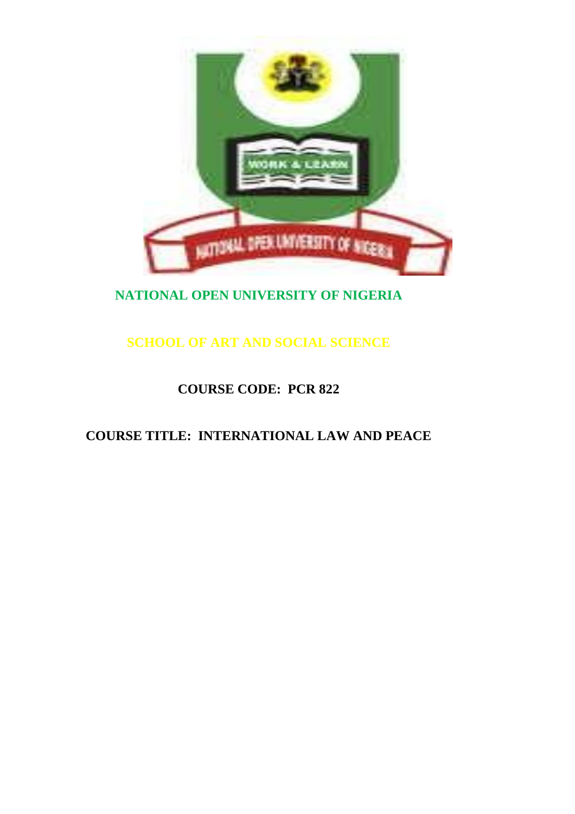

# **NATIONAL OPEN UNIVERSITY OF NIGERIA**

**SCHOOL OF ART AND SOCIAL SCIENCE**

# **COURSE CODE: PCR 822**

# **COURSE TITLE: INTERNATIONAL LAW AND PEACE**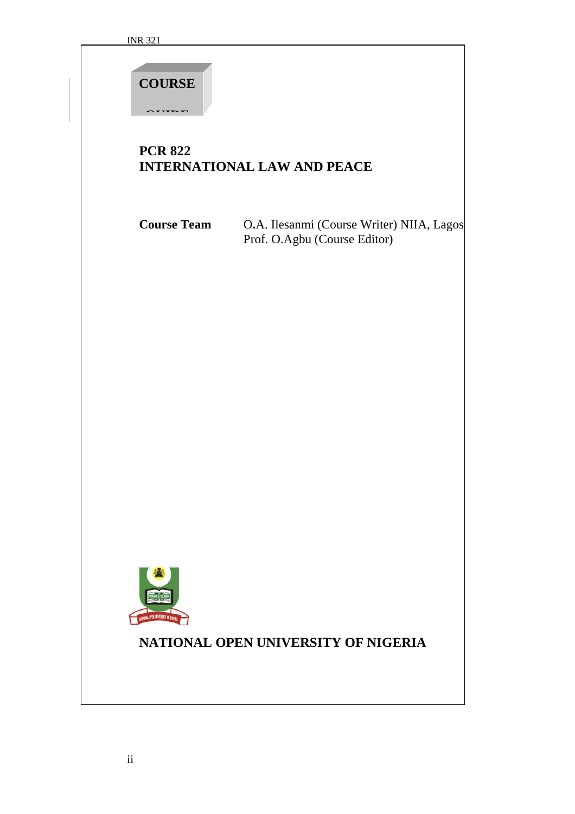**COURSE** 

**GUIDE**

## **PCR 822 INTERNATIONAL LAW AND PEACE**

**Course Team** O**.**A. Ilesanmi (Course Writer) NIIA, Lagos Prof. O.Agbu (Course Editor)



# **NATIONAL OPEN UNIVERSITY OF NIGERIA**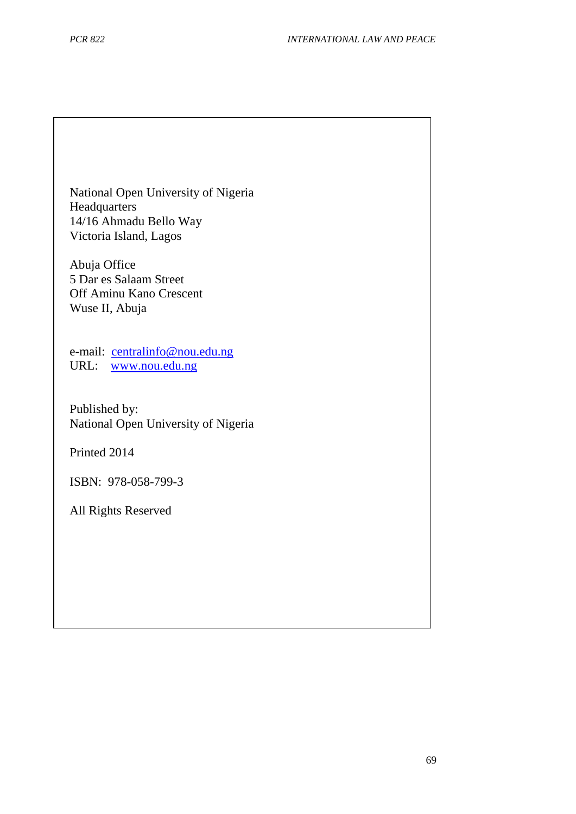National Open University of Nigeria Headquarters 14/16 Ahmadu Bello Way Victoria Island, Lagos

Abuja Office 5 Dar es Salaam Street Off Aminu Kano Crescent Wuse II, Abuja

e-mail: [centralinfo@nou.edu.ng](mailto:centralinfo@nou.edu.ng) URL: [www.nou.edu.ng](http://www.nou.edu.ng/)

Published by: National Open University of Nigeria

Printed 2014

ISBN: 978-058-799-3

All Rights Reserved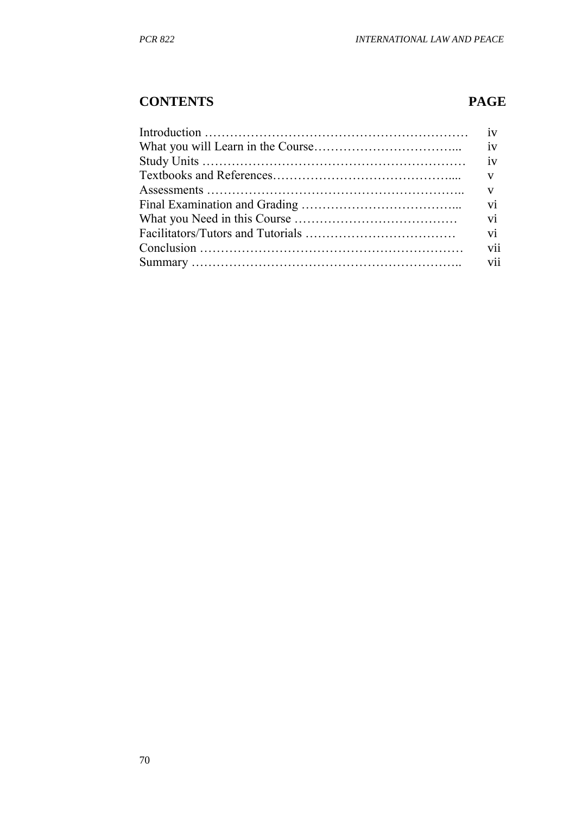## **CONTENTS PAGE**

| iv  |
|-----|
|     |
| V   |
| V   |
| vi  |
| vi  |
| vi  |
| vii |
| vii |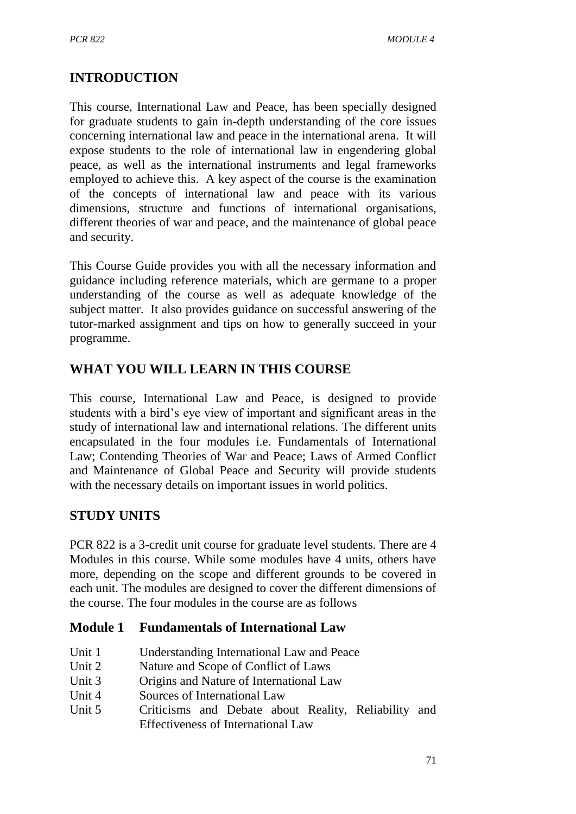## **INTRODUCTION**

This course, International Law and Peace, has been specially designed for graduate students to gain in-depth understanding of the core issues concerning international law and peace in the international arena. It will expose students to the role of international law in engendering global peace, as well as the international instruments and legal frameworks employed to achieve this. A key aspect of the course is the examination of the concepts of international law and peace with its various dimensions, structure and functions of international organisations, different theories of war and peace, and the maintenance of global peace and security.

This Course Guide provides you with all the necessary information and guidance including reference materials, which are germane to a proper understanding of the course as well as adequate knowledge of the subject matter. It also provides guidance on successful answering of the tutor-marked assignment and tips on how to generally succeed in your programme.

## **WHAT YOU WILL LEARN IN THIS COURSE**

This course, International Law and Peace, is designed to provide students with a bird's eye view of important and significant areas in the study of international law and international relations. The different units encapsulated in the four modules i.e. Fundamentals of International Law; Contending Theories of War and Peace; Laws of Armed Conflict and Maintenance of Global Peace and Security will provide students with the necessary details on important issues in world politics.

## **STUDY UNITS**

PCR 822 is a 3-credit unit course for graduate level students. There are 4 Modules in this course. While some modules have 4 units, others have more, depending on the scope and different grounds to be covered in each unit. The modules are designed to cover the different dimensions of the course. The four modules in the course are as follows

### **Module 1 Fundamentals of International Law**

- Unit 1 Understanding International Law and Peace
- Unit 2 Nature and Scope of Conflict of Laws
- Unit 3 Origins and Nature of International Law
- Unit 4 Sources of International Law
- Unit 5 Criticisms and Debate about Reality, Reliability and Effectiveness of International Law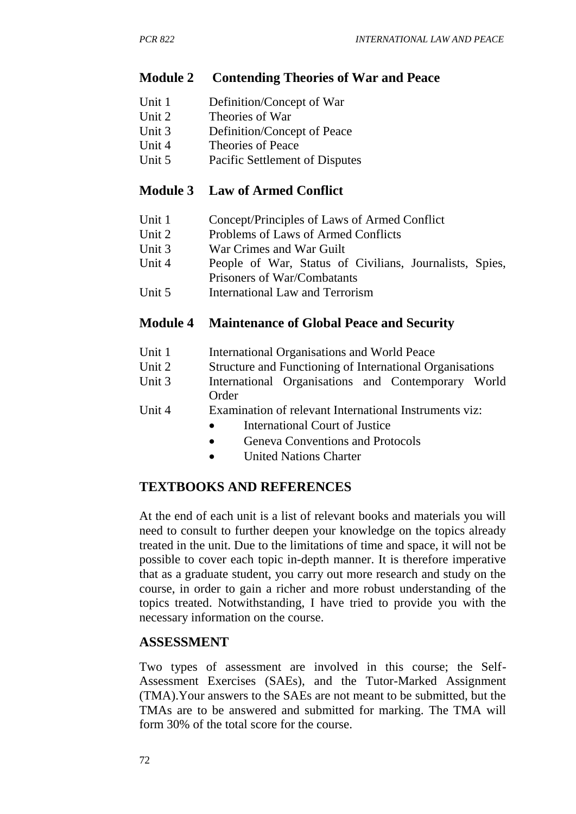#### **Module 2 Contending Theories of War and Peace**

- Unit 1 Definition/Concept of War
- Unit 2 Theories of War
- Unit 3 Definition/Concept of Peace
- Unit 4 Theories of Peace
- Unit 5 Pacific Settlement of Disputes

#### **Module 3 Law of Armed Conflict**

- Unit 1 Concept/Principles of Laws of Armed Conflict
- Unit 2 Problems of Laws of Armed Conflicts
- Unit 3 War Crimes and War Guilt
- Unit 4 People of War, Status of Civilians, Journalists, Spies, Prisoners of War/Combatants
- Unit 5 International Law and Terrorism

#### **Module 4 Maintenance of Global Peace and Security**

- Unit 1 International Organisations and World Peace
- Unit 2 Structure and Functioning of International Organisations
- Unit 3 International Organisations and Contemporary World Order
- Unit 4 Examination of relevant International Instruments viz:
	- International Court of Justice
	- Geneva Conventions and Protocols
	- United Nations Charter

### **TEXTBOOKS AND REFERENCES**

At the end of each unit is a list of relevant books and materials you will need to consult to further deepen your knowledge on the topics already treated in the unit. Due to the limitations of time and space, it will not be possible to cover each topic in-depth manner. It is therefore imperative that as a graduate student, you carry out more research and study on the course, in order to gain a richer and more robust understanding of the topics treated. Notwithstanding, I have tried to provide you with the necessary information on the course.

#### **ASSESSMENT**

Two types of assessment are involved in this course; the Self-Assessment Exercises (SAEs), and the Tutor-Marked Assignment (TMA).Your answers to the SAEs are not meant to be submitted, but the TMAs are to be answered and submitted for marking. The TMA will form 30% of the total score for the course.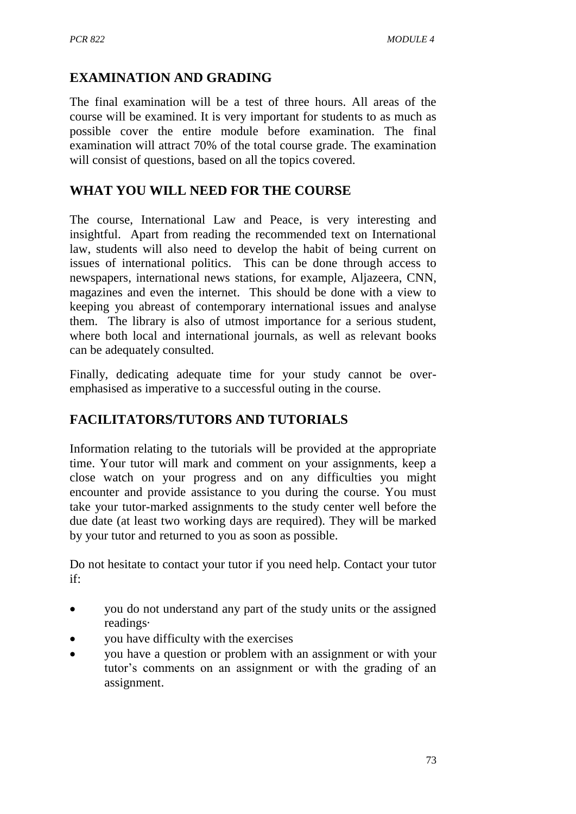## **EXAMINATION AND GRADING**

The final examination will be a test of three hours. All areas of the course will be examined. It is very important for students to as much as possible cover the entire module before examination. The final examination will attract 70% of the total course grade. The examination will consist of questions, based on all the topics covered.

## **WHAT YOU WILL NEED FOR THE COURSE**

The course, International Law and Peace, is very interesting and insightful. Apart from reading the recommended text on International law, students will also need to develop the habit of being current on issues of international politics. This can be done through access to newspapers, international news stations, for example, Aljazeera, CNN, magazines and even the internet. This should be done with a view to keeping you abreast of contemporary international issues and analyse them. The library is also of utmost importance for a serious student, where both local and international journals, as well as relevant books can be adequately consulted.

Finally, dedicating adequate time for your study cannot be overemphasised as imperative to a successful outing in the course.

## **FACILITATORS/TUTORS AND TUTORIALS**

Information relating to the tutorials will be provided at the appropriate time. Your tutor will mark and comment on your assignments, keep a close watch on your progress and on any difficulties you might encounter and provide assistance to you during the course. You must take your tutor-marked assignments to the study center well before the due date (at least two working days are required). They will be marked by your tutor and returned to you as soon as possible.

Do not hesitate to contact your tutor if you need help. Contact your tutor if:

- you do not understand any part of the study units or the assigned readings·
- you have difficulty with the exercises
- you have a question or problem with an assignment or with your tutor's comments on an assignment or with the grading of an assignment.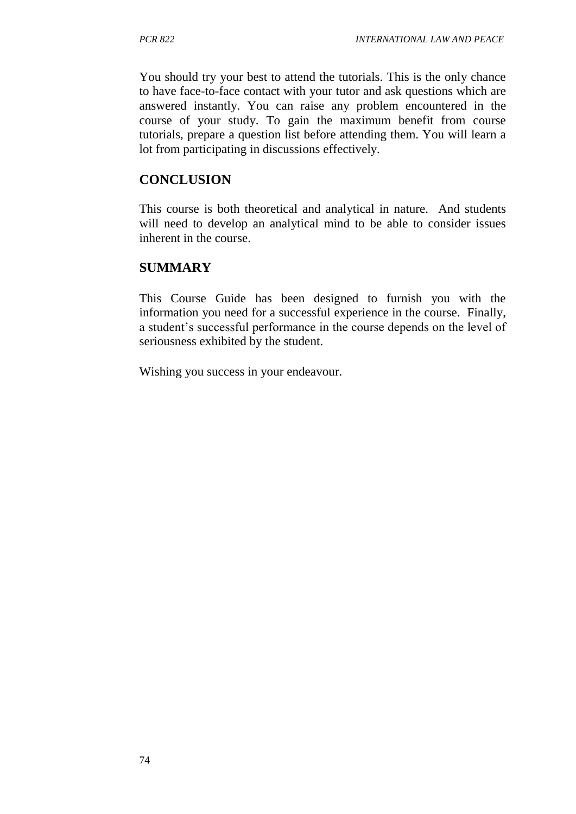You should try your best to attend the tutorials. This is the only chance to have face-to-face contact with your tutor and ask questions which are answered instantly. You can raise any problem encountered in the course of your study. To gain the maximum benefit from course tutorials, prepare a question list before attending them. You will learn a lot from participating in discussions effectively.

#### **CONCLUSION**

This course is both theoretical and analytical in nature. And students will need to develop an analytical mind to be able to consider issues inherent in the course.

#### **SUMMARY**

This Course Guide has been designed to furnish you with the information you need for a successful experience in the course. Finally, a student's successful performance in the course depends on the level of seriousness exhibited by the student.

Wishing you success in your endeavour.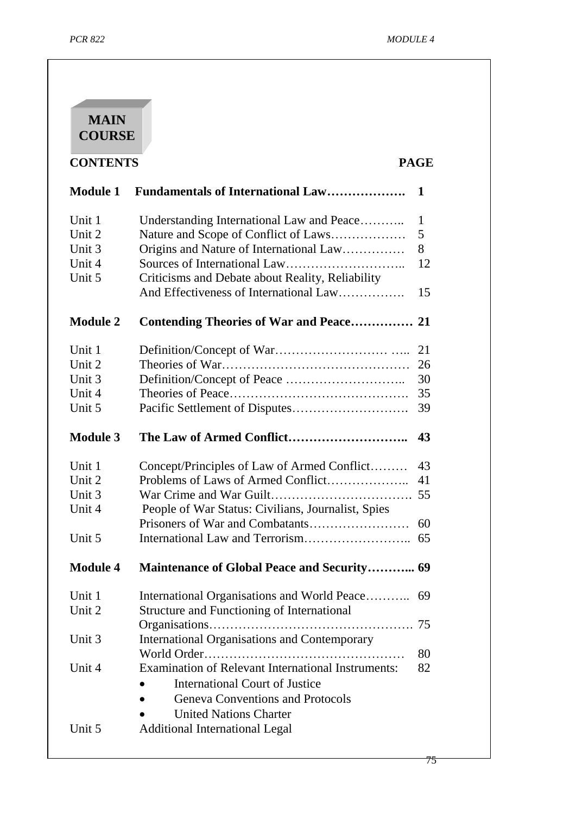

**CONTENTS** 

| <b>Module 1</b>                                | <b>Fundamentals of International Law</b>                                                                                                                                                                                | 1                          |
|------------------------------------------------|-------------------------------------------------------------------------------------------------------------------------------------------------------------------------------------------------------------------------|----------------------------|
| Unit 1<br>Unit 2<br>Unit 3<br>Unit 4<br>Unit 5 | Understanding International Law and Peace<br>Nature and Scope of Conflict of Laws<br>Origins and Nature of International Law<br>Criticisms and Debate about Reality, Reliability                                        | 1<br>5<br>8<br>12          |
|                                                | And Effectiveness of International Law                                                                                                                                                                                  | 15                         |
| <b>Module 2</b>                                | <b>Contending Theories of War and Peace</b>                                                                                                                                                                             | 21                         |
| Unit 1<br>Unit 2<br>Unit 3<br>Unit 4<br>Unit 5 |                                                                                                                                                                                                                         | 21<br>26<br>30<br>35<br>39 |
| <b>Module 3</b>                                |                                                                                                                                                                                                                         | 43                         |
| Unit 1<br>Unit 2<br>Unit 3<br>Unit 4           | Concept/Principles of Law of Armed Conflict<br>Problems of Laws of Armed Conflict<br>People of War Status: Civilians, Journalist, Spies                                                                                 | 43<br>41<br>55             |
| Unit 5                                         |                                                                                                                                                                                                                         | 60<br>65                   |
| <b>Module 4</b>                                | <b>Maintenance of Global Peace and Security 69</b>                                                                                                                                                                      |                            |
| Unit 1<br>Unit 2                               | International Organisations and World Peace<br>Structure and Functioning of International                                                                                                                               | 69                         |
| Unit 3                                         | <b>International Organisations and Contemporary</b>                                                                                                                                                                     | 75<br>80                   |
| Unit 4<br>Unit 5                               | <b>Examination of Relevant International Instruments:</b><br><b>International Court of Justice</b><br><b>Geneva Conventions and Protocols</b><br><b>United Nations Charter</b><br><b>Additional International Legal</b> | 82                         |
|                                                |                                                                                                                                                                                                                         |                            |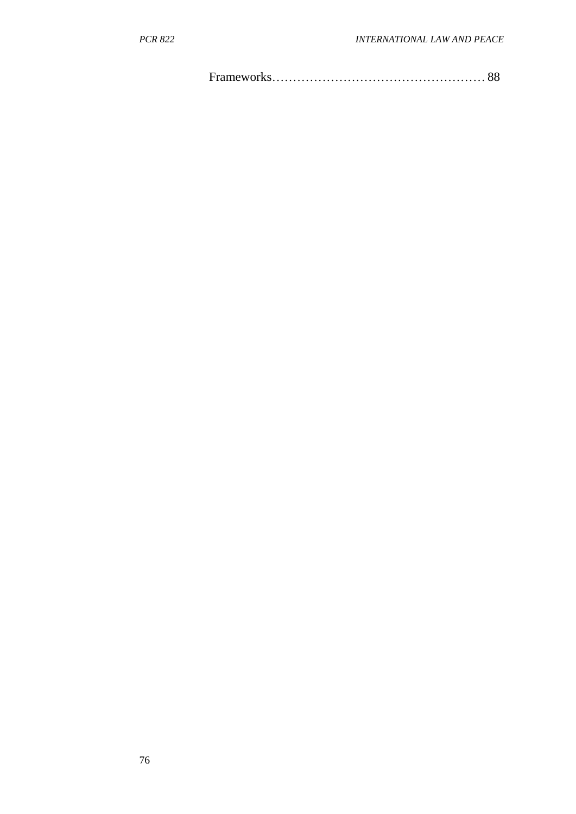Frameworks…………………………………………… 88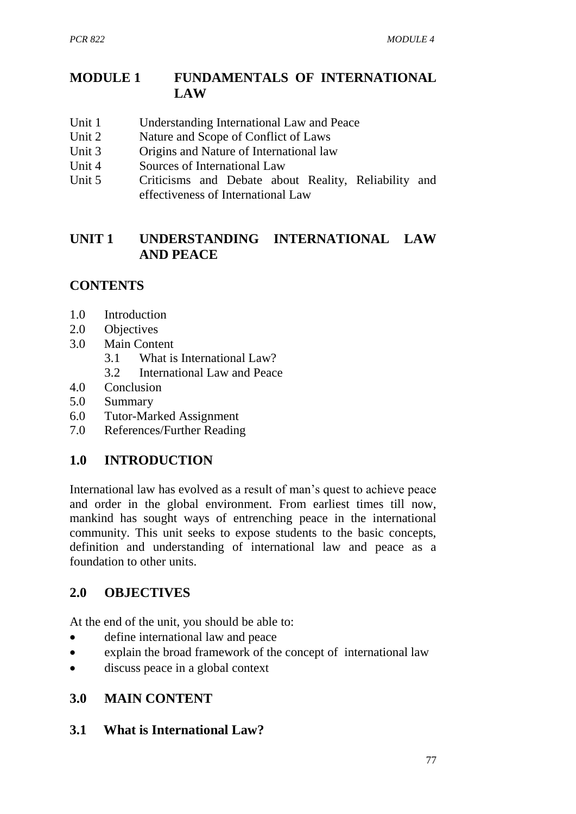## **MODULE 1 FUNDAMENTALS OF INTERNATIONAL LAW**

- Unit 1 Understanding International Law and Peace
- Unit 2 Nature and Scope of Conflict of Laws
- Unit 3 Origins and Nature of International law
- Unit 4 Sources of International Law
- Unit 5 Criticisms and Debate about Reality, Reliability and effectiveness of International Law

## **UNIT 1 UNDERSTANDING INTERNATIONAL LAW AND PEACE**

## **CONTENTS**

- 1.0 Introduction
- 2.0 Objectives
- 3.0 Main Content
	- 3.1 What is International Law?
	- 3.2 International Law and Peace
- 4.0 Conclusion
- 5.0 Summary
- 6.0 Tutor-Marked Assignment
- 7.0 References/Further Reading

### **1.0 INTRODUCTION**

International law has evolved as a result of man's quest to achieve peace and order in the global environment. From earliest times till now, mankind has sought ways of entrenching peace in the international community. This unit seeks to expose students to the basic concepts, definition and understanding of international law and peace as a foundation to other units.

### **2.0 OBJECTIVES**

At the end of the unit, you should be able to:

- define international law and peace
- explain the broad framework of the concept of international law
- discuss peace in a global context

#### **3.0 MAIN CONTENT**

#### **3.1 What is International Law?**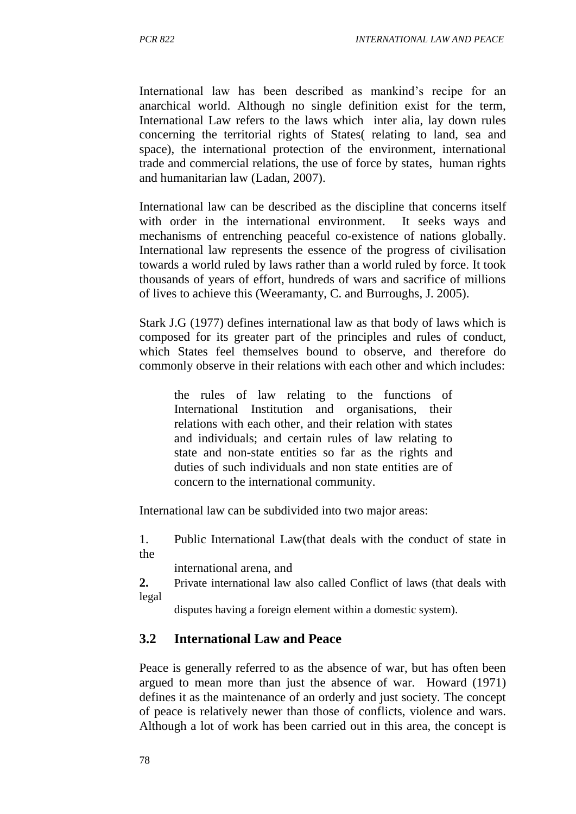International law has been described as mankind's recipe for an anarchical world. Although no single definition exist for the term, International Law refers to the laws which inter alia, lay down rules concerning the territorial rights of States( relating to land, sea and space), the international protection of the environment, international trade and commercial relations, the use of force by states, human rights and humanitarian law (Ladan, 2007).

International law can be described as the discipline that concerns itself with order in the international environment. It seeks ways and mechanisms of entrenching peaceful co-existence of nations globally. International law represents the essence of the progress of civilisation towards a world ruled by laws rather than a world ruled by force. It took thousands of years of effort, hundreds of wars and sacrifice of millions of lives to achieve this (Weeramanty, C. and Burroughs, J. 2005).

Stark J.G (1977) defines international law as that body of laws which is composed for its greater part of the principles and rules of conduct, which States feel themselves bound to observe, and therefore do commonly observe in their relations with each other and which includes:

the rules of law relating to the functions of International Institution and organisations, their relations with each other, and their relation with states and individuals; and certain rules of law relating to state and non-state entities so far as the rights and duties of such individuals and non state entities are of concern to the international community.

International law can be subdivided into two major areas:

1. Public International Law(that deals with the conduct of state in the

international arena, and

**2.** Private international law also called Conflict of laws (that deals with legal

disputes having a foreign element within a domestic system).

#### **3.2 International Law and Peace**

Peace is generally referred to as the absence of war, but has often been argued to mean more than just the absence of war. Howard (1971) defines it as the maintenance of an orderly and just society. The concept of peace is relatively newer than those of conflicts, violence and wars. Although a lot of work has been carried out in this area, the concept is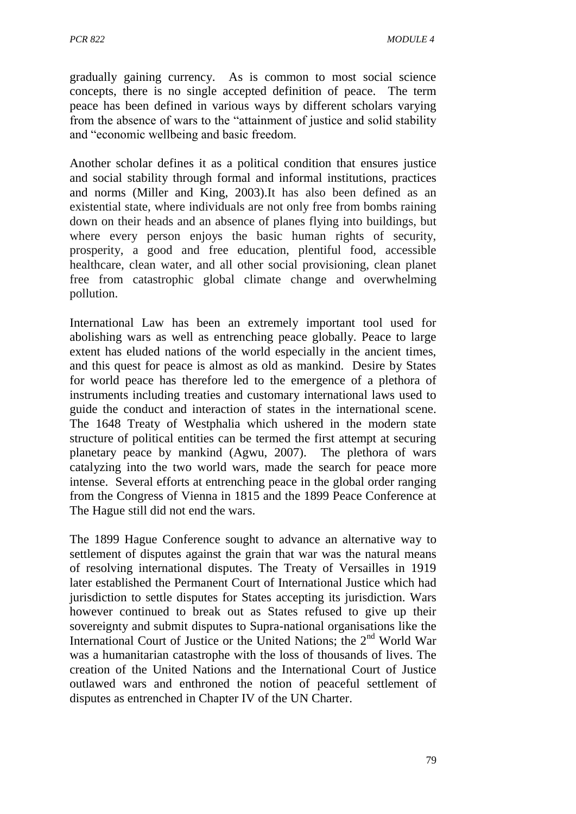gradually gaining currency. As is common to most social science concepts, there is no single accepted definition of peace. The term peace has been defined in various ways by different scholars varying from the absence of wars to the "attainment of justice and solid stability and "economic wellbeing and basic freedom.

Another scholar defines it as a political condition that ensures justice and social stability through formal and informal institutions, practices and norms (Miller and King, 2003).It has also been defined as an existential state, where individuals are not only free from bombs raining down on their heads and an absence of planes flying into buildings, but where every person enjoys the basic human rights of security, prosperity, a good and free education, plentiful food, accessible healthcare, clean water, and all other social provisioning, clean planet free from catastrophic global climate change and overwhelming pollution.

International Law has been an extremely important tool used for abolishing wars as well as entrenching peace globally. Peace to large extent has eluded nations of the world especially in the ancient times, and this quest for peace is almost as old as mankind. Desire by States for world peace has therefore led to the emergence of a plethora of instruments including treaties and customary international laws used to guide the conduct and interaction of states in the international scene. The 1648 Treaty of Westphalia which ushered in the modern state structure of political entities can be termed the first attempt at securing planetary peace by mankind (Agwu, 2007). The plethora of wars catalyzing into the two world wars, made the search for peace more intense. Several efforts at entrenching peace in the global order ranging from the Congress of Vienna in 1815 and the 1899 Peace Conference at The Hague still did not end the wars.

The 1899 Hague Conference sought to advance an alternative way to settlement of disputes against the grain that war was the natural means of resolving international disputes. The Treaty of Versailles in 1919 later established the Permanent Court of International Justice which had jurisdiction to settle disputes for States accepting its jurisdiction. Wars however continued to break out as States refused to give up their sovereignty and submit disputes to Supra-national organisations like the International Court of Justice or the United Nations; the  $2<sup>nd</sup>$  World War was a humanitarian catastrophe with the loss of thousands of lives. The creation of the United Nations and the International Court of Justice outlawed wars and enthroned the notion of peaceful settlement of disputes as entrenched in Chapter IV of the UN Charter.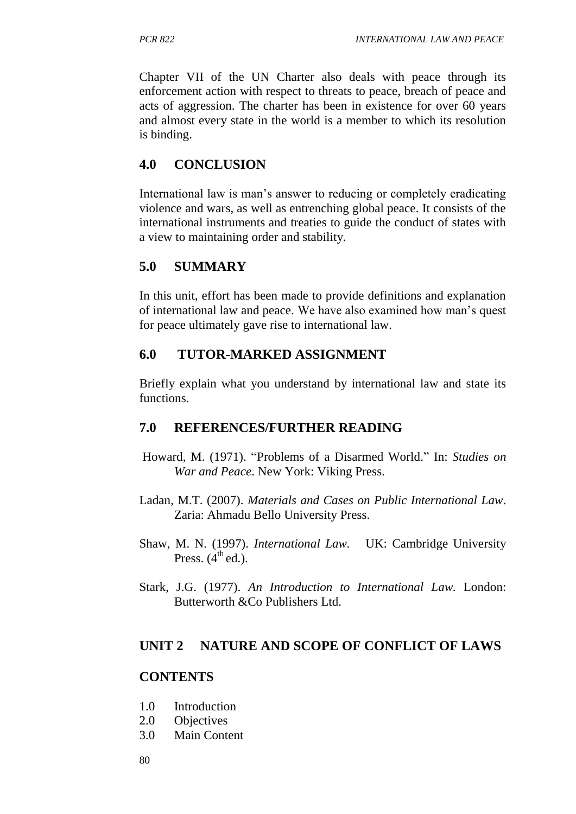Chapter VII of the UN Charter also deals with peace through its enforcement action with respect to threats to peace, breach of peace and acts of aggression. The charter has been in existence for over 60 years and almost every state in the world is a member to which its resolution is binding.

## **4.0 CONCLUSION**

International law is man's answer to reducing or completely eradicating violence and wars, as well as entrenching global peace. It consists of the international instruments and treaties to guide the conduct of states with a view to maintaining order and stability.

## **5.0 SUMMARY**

In this unit, effort has been made to provide definitions and explanation of international law and peace. We have also examined how man's quest for peace ultimately gave rise to international law.

## **6.0 TUTOR-MARKED ASSIGNMENT**

Briefly explain what you understand by international law and state its functions.

## **7.0 REFERENCES/FURTHER READING**

- Howard, M. (1971). "Problems of a Disarmed World." In: *Studies on War and Peace*. New York: Viking Press.
- Ladan, M.T. (2007). *Materials and Cases on Public International Law*. Zaria: Ahmadu Bello University Press.
- Shaw, M. N. (1997). *International Law.* UK: Cambridge University Press.  $(4<sup>th</sup>$ ed.).
- Stark, J.G. (1977). *An Introduction to International Law.* London: Butterworth &Co Publishers Ltd.

## **UNIT 2 NATURE AND SCOPE OF CONFLICT OF LAWS**

### **CONTENTS**

- 1.0 Introduction
- 2.0 Objectives
- 3.0 Main Content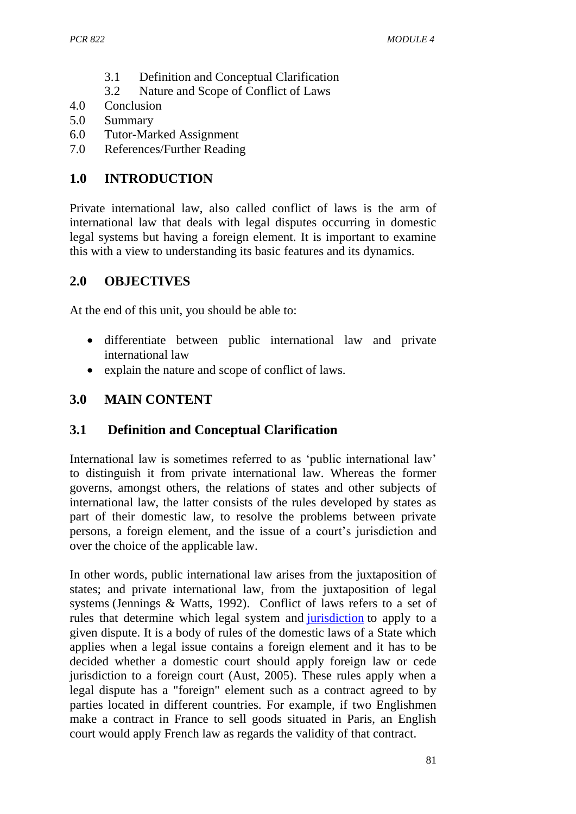- 3.1 Definition and Conceptual Clarification
- 3.2 Nature and Scope of Conflict of Laws
- 4.0 Conclusion
- 5.0 Summary
- 6.0 Tutor-Marked Assignment
- 7.0 References/Further Reading

# **1.0 INTRODUCTION**

Private international law, also called conflict of laws is the arm of international law that deals with legal disputes occurring in domestic legal systems but having a foreign element. It is important to examine this with a view to understanding its basic features and its dynamics.

## **2.0 OBJECTIVES**

At the end of this unit, you should be able to:

- differentiate between public international law and private international law
- explain the nature and scope of conflict of laws.

## **3.0 MAIN CONTENT**

## **3.1 Definition and Conceptual Clarification**

International law is sometimes referred to as 'public international law' to distinguish it from private international law. Whereas the former governs, amongst others, the relations of states and other subjects of international law, the latter consists of the rules developed by states as part of their domestic law, to resolve the problems between private persons, a foreign element, and the issue of a court's jurisdiction and over the choice of the applicable law.

In other words, public international law arises from the juxtaposition of states; and private international law, from the juxtaposition of legal systems (Jennings & Watts, 1992). Conflict of laws refers to a set of rules that determine which legal system and [jurisdiction](http://en.wikipedia.org/wiki/Jurisdiction_(area)) to apply to a given dispute. It is a body of rules of the domestic laws of a State which applies when a legal issue contains a foreign element and it has to be decided whether a domestic court should apply foreign law or cede jurisdiction to a foreign court (Aust, 2005). These rules apply when a legal dispute has a "foreign" element such as a contract agreed to by parties located in different countries. For example, if two Englishmen make a contract in France to sell goods situated in Paris, an English court would apply French law as regards the validity of that contract.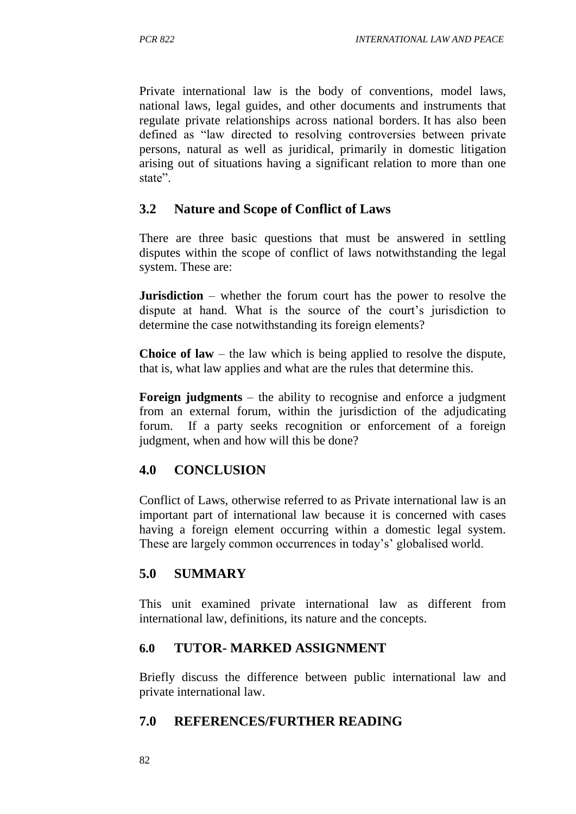Private international law is the body of conventions, model laws, national laws, legal guides, and other documents and instruments that regulate private relationships across national borders. It has also been defined as "law directed to resolving controversies between private persons, natural as well as juridical, primarily in domestic litigation arising out of situations having a significant relation to more than one state".

#### **3.2 Nature and Scope of Conflict of Laws**

There are three basic questions that must be answered in settling disputes within the scope of conflict of laws notwithstanding the legal system. These are:

**Jurisdiction** – whether the forum court has the power to resolve the dispute at hand. What is the source of the court's jurisdiction to determine the case notwithstanding its foreign elements?

**Choice of law** – the law which is being applied to resolve the dispute, that is, what law applies and what are the rules that determine this.

**Foreign judgments** – the ability to recognise and enforce a judgment from an external forum, within the jurisdiction of the adjudicating forum. If a party seeks recognition or enforcement of a foreign judgment, when and how will this be done?

#### **4.0 CONCLUSION**

Conflict of Laws, otherwise referred to as Private international law is an important part of international law because it is concerned with cases having a foreign element occurring within a domestic legal system. These are largely common occurrences in today's' globalised world.

#### **5.0 SUMMARY**

This unit examined private international law as different from international law, definitions, its nature and the concepts.

#### **6.0 TUTOR- MARKED ASSIGNMENT**

Briefly discuss the difference between public international law and private international law.

#### **7.0 REFERENCES/FURTHER READING**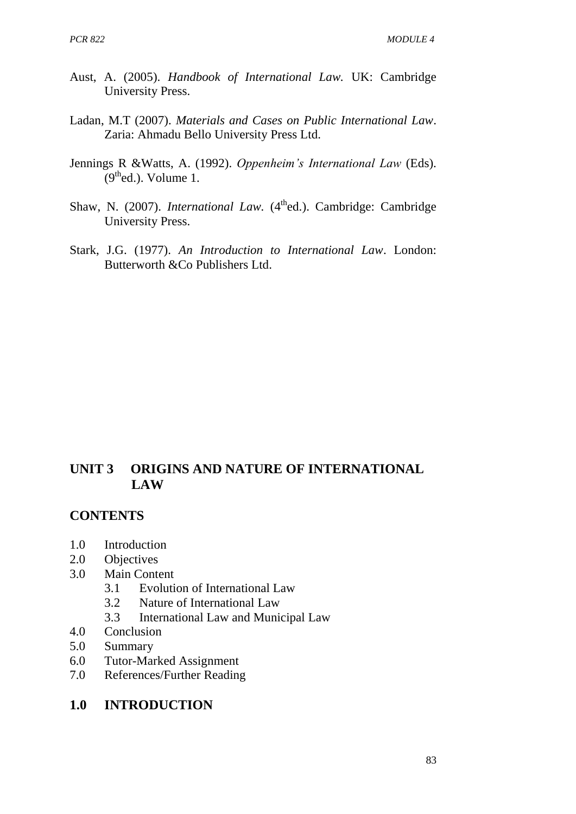- Aust, A. (2005). *Handbook of International Law.* UK: Cambridge University Press.
- Ladan, M.T (2007). *Materials and Cases on Public International Law*. Zaria: Ahmadu Bello University Press Ltd.
- Jennings R &Watts, A. (1992). *Oppenheim's International Law* (Eds).  $(9<sup>th</sup>$ ed.). Volume 1.
- Shaw, N. (2007). *International Law.* (4<sup>th</sup>ed.). Cambridge: Cambridge University Press.
- Stark, J.G. (1977). *An Introduction to International Law*. London: Butterworth &Co Publishers Ltd.

## **UNIT 3 ORIGINS AND NATURE OF INTERNATIONAL LAW**

#### **CONTENTS**

- 1.0 Introduction
- 2.0 Objectives
- 3.0 Main Content
	- 3.1 Evolution of International Law
	- 3.2 Nature of International Law
	- 3.3 International Law and Municipal Law
- 4.0 Conclusion
- 5.0 Summary
- 6.0 Tutor-Marked Assignment
- 7.0 References/Further Reading

#### **1.0 INTRODUCTION**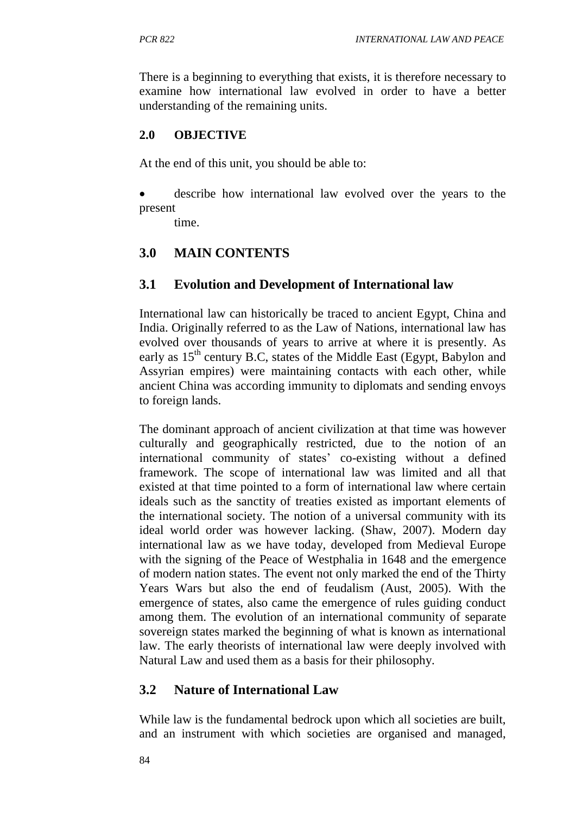There is a beginning to everything that exists, it is therefore necessary to examine how international law evolved in order to have a better understanding of the remaining units.

#### **2.0 OBJECTIVE**

At the end of this unit, you should be able to:

 describe how international law evolved over the years to the present

time.

## **3.0 MAIN CONTENTS**

## **3.1 Evolution and Development of International law**

International law can historically be traced to ancient Egypt, China and India. Originally referred to as the Law of Nations, international law has evolved over thousands of years to arrive at where it is presently. As early as  $15<sup>th</sup>$  century B.C, states of the Middle East (Egypt, Babylon and Assyrian empires) were maintaining contacts with each other, while ancient China was according immunity to diplomats and sending envoys to foreign lands.

The dominant approach of ancient civilization at that time was however culturally and geographically restricted, due to the notion of an international community of states' co-existing without a defined framework. The scope of international law was limited and all that existed at that time pointed to a form of international law where certain ideals such as the sanctity of treaties existed as important elements of the international society. The notion of a universal community with its ideal world order was however lacking. (Shaw, 2007). Modern day international law as we have today, developed from Medieval Europe with the signing of the Peace of Westphalia in 1648 and the emergence of modern nation states. The event not only marked the end of the Thirty Years Wars but also the end of feudalism (Aust, 2005). With the emergence of states, also came the emergence of rules guiding conduct among them. The evolution of an international community of separate sovereign states marked the beginning of what is known as international law. The early theorists of international law were deeply involved with Natural Law and used them as a basis for their philosophy.

### **3.2 Nature of International Law**

While law is the fundamental bedrock upon which all societies are built, and an instrument with which societies are organised and managed,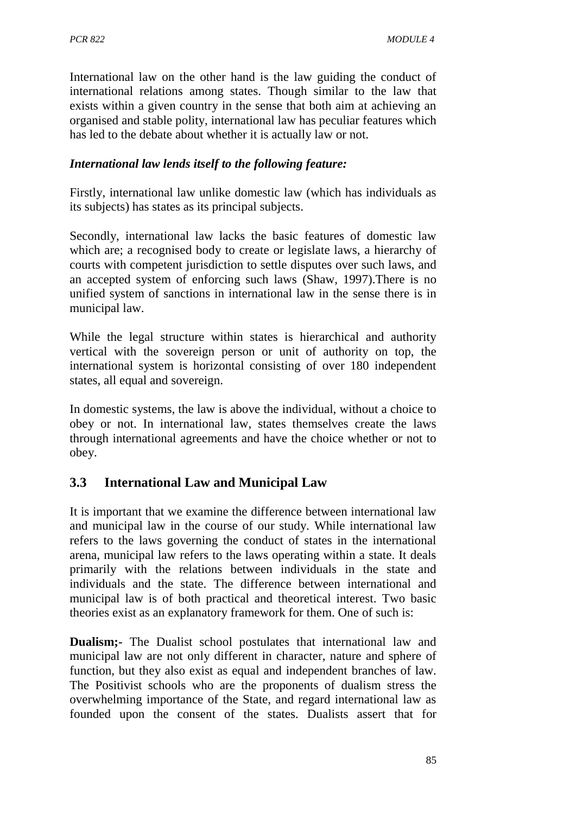International law on the other hand is the law guiding the conduct of international relations among states. Though similar to the law that exists within a given country in the sense that both aim at achieving an organised and stable polity, international law has peculiar features which has led to the debate about whether it is actually law or not.

#### *International law lends itself to the following feature:*

Firstly, international law unlike domestic law (which has individuals as its subjects) has states as its principal subjects.

Secondly, international law lacks the basic features of domestic law which are; a recognised body to create or legislate laws, a hierarchy of courts with competent jurisdiction to settle disputes over such laws, and an accepted system of enforcing such laws (Shaw, 1997).There is no unified system of sanctions in international law in the sense there is in municipal law.

While the legal structure within states is hierarchical and authority vertical with the sovereign person or unit of authority on top, the international system is horizontal consisting of over 180 independent states, all equal and sovereign.

In domestic systems, the law is above the individual, without a choice to obey or not. In international law, states themselves create the laws through international agreements and have the choice whether or not to obey.

## **3.3 International Law and Municipal Law**

It is important that we examine the difference between international law and municipal law in the course of our study. While international law refers to the laws governing the conduct of states in the international arena, municipal law refers to the laws operating within a state. It deals primarily with the relations between individuals in the state and individuals and the state. The difference between international and municipal law is of both practical and theoretical interest. Two basic theories exist as an explanatory framework for them. One of such is:

**Dualism;-** The Dualist school postulates that international law and municipal law are not only different in character, nature and sphere of function, but they also exist as equal and independent branches of law. The Positivist schools who are the proponents of dualism stress the overwhelming importance of the State, and regard international law as founded upon the consent of the states. Dualists assert that for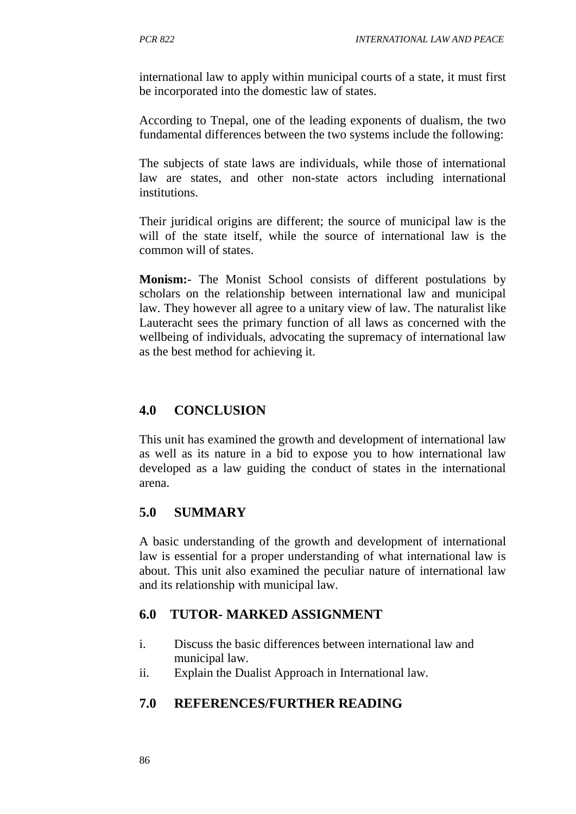international law to apply within municipal courts of a state, it must first be incorporated into the domestic law of states.

According to Tnepal, one of the leading exponents of dualism, the two fundamental differences between the two systems include the following:

The subjects of state laws are individuals, while those of international law are states, and other non-state actors including international **institutions** 

Their juridical origins are different; the source of municipal law is the will of the state itself, while the source of international law is the common will of states.

**Monism:-** The Monist School consists of different postulations by scholars on the relationship between international law and municipal law. They however all agree to a unitary view of law. The naturalist like Lauteracht sees the primary function of all laws as concerned with the wellbeing of individuals, advocating the supremacy of international law as the best method for achieving it.

## **4.0 CONCLUSION**

This unit has examined the growth and development of international law as well as its nature in a bid to expose you to how international law developed as a law guiding the conduct of states in the international arena.

### **5.0 SUMMARY**

A basic understanding of the growth and development of international law is essential for a proper understanding of what international law is about. This unit also examined the peculiar nature of international law and its relationship with municipal law.

### **6.0 TUTOR- MARKED ASSIGNMENT**

- i. Discuss the basic differences between international law and municipal law.
- ii. Explain the Dualist Approach in International law.

### **7.0 REFERENCES/FURTHER READING**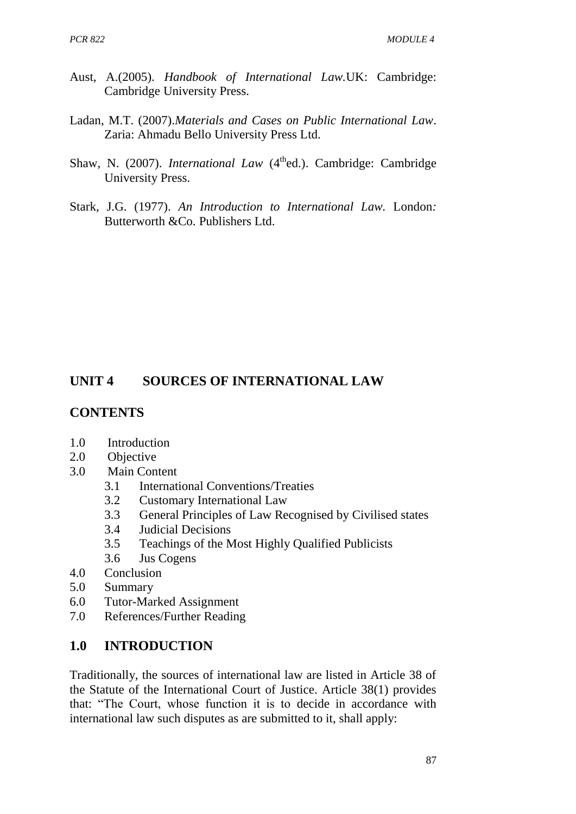- Aust, A.(2005). *Handbook of International Law.*UK: Cambridge: Cambridge University Press.
- Ladan, M.T. (2007).*Materials and Cases on Public International Law*. Zaria: Ahmadu Bello University Press Ltd.
- Shaw, N. (2007). *International Law* (4<sup>th</sup>ed.). Cambridge: Cambridge University Press.
- Stark, J.G. (1977). *An Introduction to International Law.* London*:* Butterworth &Co. Publishers Ltd.

## **UNIT 4 SOURCES OF INTERNATIONAL LAW**

#### **CONTENTS**

- 1.0 Introduction
- 2.0 Objective
- 3.0 Main Content
	- 3.1 International Conventions/Treaties
	- 3.2 Customary International Law
	- 3.3 General Principles of Law Recognised by Civilised states
	- 3.4 Judicial Decisions
	- 3.5 Teachings of the Most Highly Qualified Publicists
	- 3.6 Jus Cogens
- 4.0 Conclusion
- 5.0 Summary
- 6.0 Tutor-Marked Assignment
- 7.0 References/Further Reading

#### **1.0 INTRODUCTION**

Traditionally, the sources of international law are listed in Article 38 of the Statute of the International Court of Justice. Article 38(1) provides that: "The Court, whose function it is to decide in accordance with international law such disputes as are submitted to it, shall apply: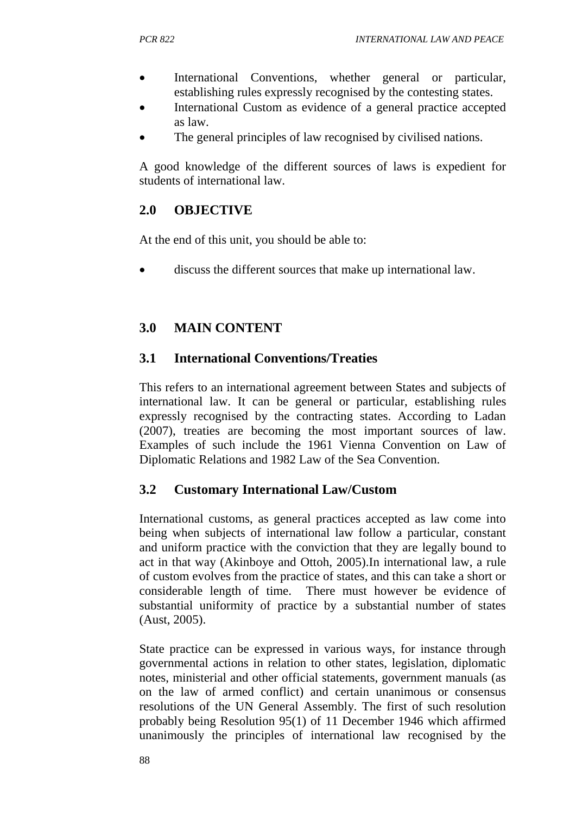- International Conventions, whether general or particular, establishing rules expressly recognised by the contesting states.
- International Custom as evidence of a general practice accepted as law.
- The general principles of law recognised by civilised nations.

A good knowledge of the different sources of laws is expedient for students of international law.

### **2.0 OBJECTIVE**

At the end of this unit, you should be able to:

discuss the different sources that make up international law.

### **3.0 MAIN CONTENT**

#### **3.1 International Conventions/Treaties**

This refers to an international agreement between States and subjects of international law. It can be general or particular, establishing rules expressly recognised by the contracting states. According to Ladan (2007), treaties are becoming the most important sources of law. Examples of such include the 1961 Vienna Convention on Law of Diplomatic Relations and 1982 Law of the Sea Convention.

### **3.2 Customary International Law/Custom**

International customs, as general practices accepted as law come into being when subjects of international law follow a particular, constant and uniform practice with the conviction that they are legally bound to act in that way (Akinboye and Ottoh, 2005).In international law, a rule of custom evolves from the practice of states, and this can take a short or considerable length of time. There must however be evidence of substantial uniformity of practice by a substantial number of states (Aust, 2005).

State practice can be expressed in various ways, for instance through governmental actions in relation to other states, legislation, diplomatic notes, ministerial and other official statements, government manuals (as on the law of armed conflict) and certain unanimous or consensus resolutions of the UN General Assembly. The first of such resolution probably being Resolution 95(1) of 11 December 1946 which affirmed unanimously the principles of international law recognised by the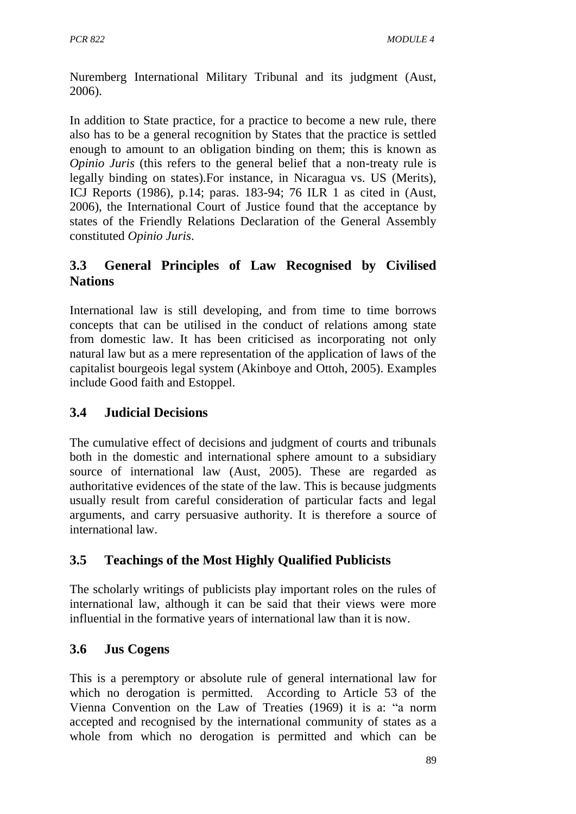Nuremberg International Military Tribunal and its judgment (Aust, 2006).

In addition to State practice, for a practice to become a new rule, there also has to be a general recognition by States that the practice is settled enough to amount to an obligation binding on them; this is known as *Opinio Juris* (this refers to the general belief that a non-treaty rule is legally binding on states).For instance, in Nicaragua vs. US (Merits), ICJ Reports (1986), p.14; paras. 183-94; 76 ILR 1 as cited in (Aust, 2006), the International Court of Justice found that the acceptance by states of the Friendly Relations Declaration of the General Assembly constituted *Opinio Juris*.

## **3.3 General Principles of Law Recognised by Civilised Nations**

International law is still developing, and from time to time borrows concepts that can be utilised in the conduct of relations among state from domestic law. It has been criticised as incorporating not only natural law but as a mere representation of the application of laws of the capitalist bourgeois legal system (Akinboye and Ottoh, 2005). Examples include Good faith and Estoppel.

## **3.4 Judicial Decisions**

The cumulative effect of decisions and judgment of courts and tribunals both in the domestic and international sphere amount to a subsidiary source of international law (Aust, 2005). These are regarded as authoritative evidences of the state of the law. This is because judgments usually result from careful consideration of particular facts and legal arguments, and carry persuasive authority. It is therefore a source of international law.

## **3.5 Teachings of the Most Highly Qualified Publicists**

The scholarly writings of publicists play important roles on the rules of international law, although it can be said that their views were more influential in the formative years of international law than it is now.

### **3.6 Jus Cogens**

This is a peremptory or absolute rule of general international law for which no derogation is permitted. According to Article 53 of the Vienna Convention on the Law of Treaties (1969) it is a: "a norm accepted and recognised by the international community of states as a whole from which no derogation is permitted and which can be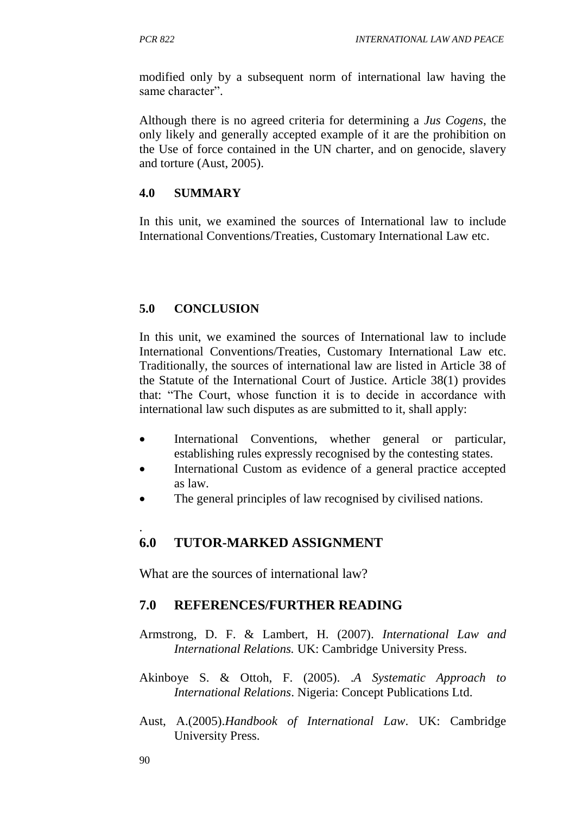modified only by a subsequent norm of international law having the same character".

Although there is no agreed criteria for determining a *Jus Cogens*, the only likely and generally accepted example of it are the prohibition on the Use of force contained in the UN charter, and on genocide, slavery and torture (Aust, 2005).

#### **4.0 SUMMARY**

In this unit, we examined the sources of International law to include International Conventions/Treaties, Customary International Law etc.

#### **5.0 CONCLUSION**

In this unit, we examined the sources of International law to include International Conventions/Treaties, Customary International Law etc. Traditionally, the sources of international law are listed in Article 38 of the Statute of the International Court of Justice. Article 38(1) provides that: "The Court, whose function it is to decide in accordance with international law such disputes as are submitted to it, shall apply:

- International Conventions, whether general or particular, establishing rules expressly recognised by the contesting states.
- International Custom as evidence of a general practice accepted as law.
- The general principles of law recognised by civilised nations.

#### . **6.0 TUTOR-MARKED ASSIGNMENT**

What are the sources of international law?

#### **7.0 REFERENCES/FURTHER READING**

- Armstrong, D. F. & Lambert, H. (2007). *International Law and International Relations.* UK: Cambridge University Press.
- Akinboye S. & Ottoh, F. (2005). .*A Systematic Approach to International Relations*. Nigeria: Concept Publications Ltd.
- Aust, A.(2005).*Handbook of International Law*. UK: Cambridge University Press.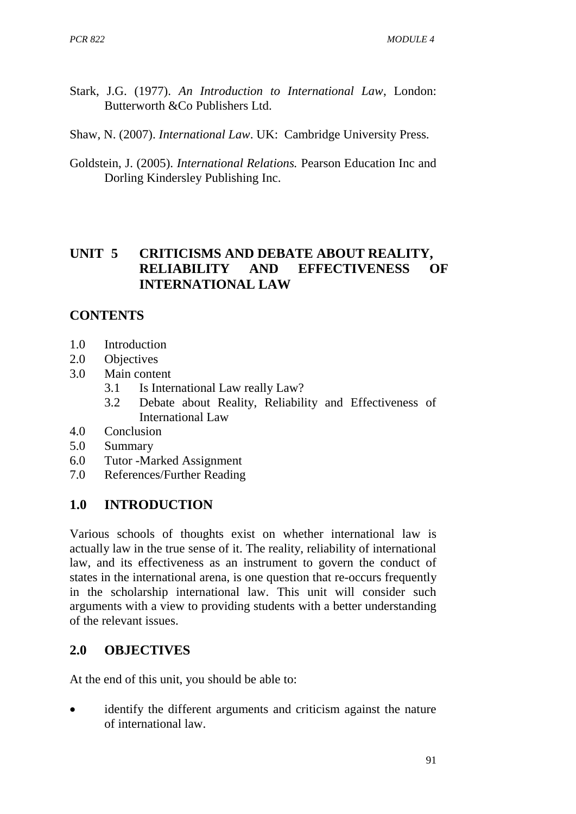- Stark, J.G. (1977). *An Introduction to International Law*, London: Butterworth &Co Publishers Ltd.
- Shaw, N. (2007). *International Law*. UK: Cambridge University Press.
- Goldstein, J. (2005). *International Relations.* Pearson Education Inc and Dorling Kindersley Publishing Inc.

## **UNIT 5 CRITICISMS AND DEBATE ABOUT REALITY, RELIABILITY AND EFFECTIVENESS OF INTERNATIONAL LAW**

### **CONTENTS**

- 1.0 Introduction
- 2.0 Objectives
- 3.0 Main content
	- 3.1 Is International Law really Law?
	- 3.2 Debate about Reality, Reliability and Effectiveness of International Law
- 4.0 Conclusion
- 5.0 Summary
- 6.0 Tutor -Marked Assignment
- 7.0 References/Further Reading

### **1.0 INTRODUCTION**

Various schools of thoughts exist on whether international law is actually law in the true sense of it. The reality, reliability of international law, and its effectiveness as an instrument to govern the conduct of states in the international arena, is one question that re-occurs frequently in the scholarship international law. This unit will consider such arguments with a view to providing students with a better understanding of the relevant issues.

### **2.0 OBJECTIVES**

At the end of this unit, you should be able to:

 identify the different arguments and criticism against the nature of international law.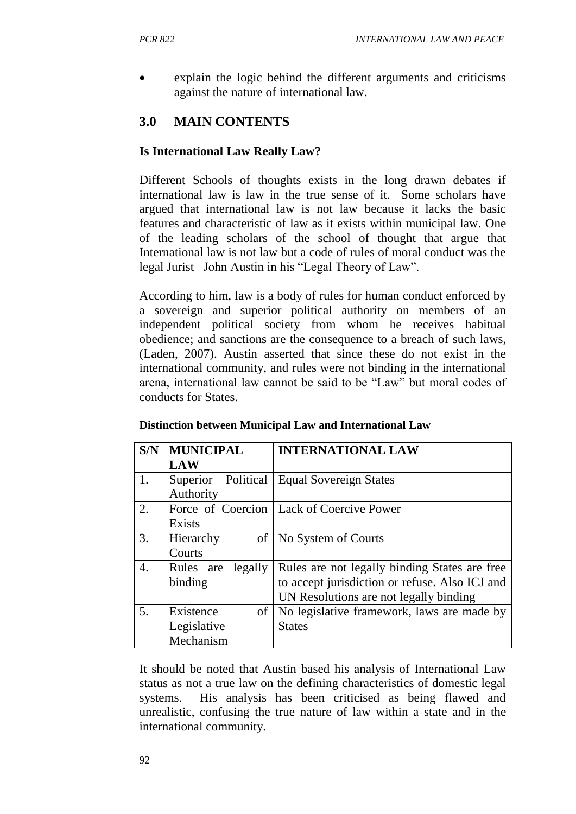explain the logic behind the different arguments and criticisms against the nature of international law.

## **3.0 MAIN CONTENTS**

### **Is International Law Really Law?**

Different Schools of thoughts exists in the long drawn debates if international law is law in the true sense of it. Some scholars have argued that international law is not law because it lacks the basic features and characteristic of law as it exists within municipal law. One of the leading scholars of the school of thought that argue that International law is not law but a code of rules of moral conduct was the legal Jurist –John Austin in his "Legal Theory of Law".

According to him, law is a body of rules for human conduct enforced by a sovereign and superior political authority on members of an independent political society from whom he receives habitual obedience; and sanctions are the consequence to a breach of such laws, (Laden, 2007). Austin asserted that since these do not exist in the international community, and rules were not binding in the international arena, international law cannot be said to be "Law" but moral codes of conducts for States.

| S/N | <b>MUNICIPAL</b>   | <b>INTERNATIONAL LAW</b>                       |
|-----|--------------------|------------------------------------------------|
|     | <b>LAW</b>         |                                                |
| 1.  | Superior Political | <b>Equal Sovereign States</b>                  |
|     | Authority          |                                                |
| 2.  |                    | Force of Coercion   Lack of Coercive Power     |
|     | <b>Exists</b>      |                                                |
| 3.  | of<br>Hierarchy    | No System of Courts                            |
|     | Courts             |                                                |
| 4.  | Rules are legally  | Rules are not legally binding States are free  |
|     | binding            | to accept jurisdiction or refuse. Also ICJ and |
|     |                    | UN Resolutions are not legally binding         |
| 5.  | Existence<br>of    | No legislative framework, laws are made by     |
|     | Legislative        | <b>States</b>                                  |
|     | Mechanism          |                                                |

#### **Distinction between Municipal Law and International Law**

It should be noted that Austin based his analysis of International Law status as not a true law on the defining characteristics of domestic legal systems. His analysis has been criticised as being flawed and unrealistic, confusing the true nature of law within a state and in the international community.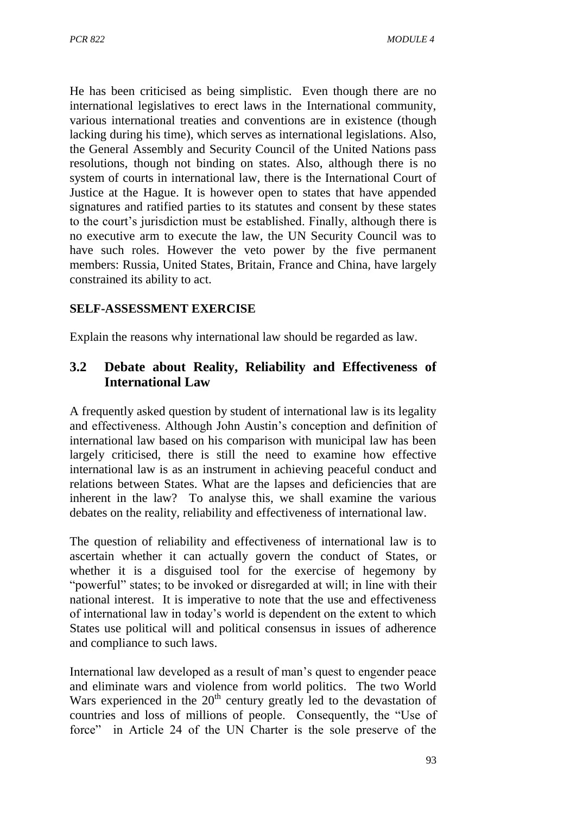He has been criticised as being simplistic. Even though there are no international legislatives to erect laws in the International community, various international treaties and conventions are in existence (though lacking during his time), which serves as international legislations. Also, the General Assembly and Security Council of the United Nations pass resolutions, though not binding on states. Also, although there is no system of courts in international law, there is the International Court of Justice at the Hague. It is however open to states that have appended signatures and ratified parties to its statutes and consent by these states to the court's jurisdiction must be established. Finally, although there is no executive arm to execute the law, the UN Security Council was to have such roles. However the veto power by the five permanent members: Russia, United States, Britain, France and China, have largely constrained its ability to act.

#### **SELF-ASSESSMENT EXERCISE**

Explain the reasons why international law should be regarded as law.

## **3.2 Debate about Reality, Reliability and Effectiveness of International Law**

A frequently asked question by student of international law is its legality and effectiveness. Although John Austin's conception and definition of international law based on his comparison with municipal law has been largely criticised, there is still the need to examine how effective international law is as an instrument in achieving peaceful conduct and relations between States. What are the lapses and deficiencies that are inherent in the law? To analyse this, we shall examine the various debates on the reality, reliability and effectiveness of international law.

The question of reliability and effectiveness of international law is to ascertain whether it can actually govern the conduct of States, or whether it is a disguised tool for the exercise of hegemony by "powerful" states; to be invoked or disregarded at will; in line with their national interest. It is imperative to note that the use and effectiveness of international law in today's world is dependent on the extent to which States use political will and political consensus in issues of adherence and compliance to such laws.

International law developed as a result of man's quest to engender peace and eliminate wars and violence from world politics. The two World Wars experienced in the  $20<sup>th</sup>$  century greatly led to the devastation of countries and loss of millions of people. Consequently, the "Use of force" in Article 24 of the UN Charter is the sole preserve of the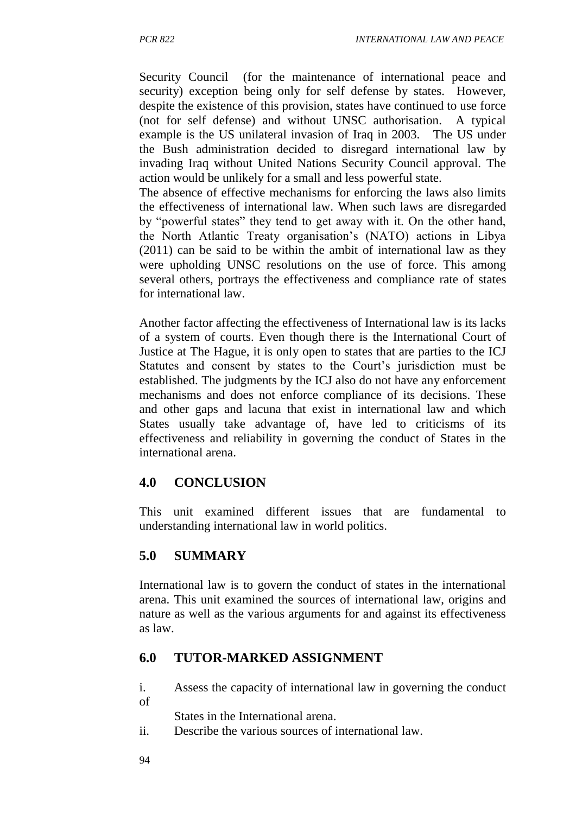Security Council (for the maintenance of international peace and security) exception being only for self defense by states. However, despite the existence of this provision, states have continued to use force (not for self defense) and without UNSC authorisation. A typical example is the US unilateral invasion of Iraq in 2003. The US under the Bush administration decided to disregard international law by invading Iraq without United Nations Security Council approval. The action would be unlikely for a small and less powerful state.

The absence of effective mechanisms for enforcing the laws also limits the effectiveness of international law. When such laws are disregarded by "powerful states" they tend to get away with it. On the other hand, the North Atlantic Treaty organisation's (NATO) actions in Libya (2011) can be said to be within the ambit of international law as they were upholding UNSC resolutions on the use of force. This among several others, portrays the effectiveness and compliance rate of states for international law.

Another factor affecting the effectiveness of International law is its lacks of a system of courts. Even though there is the International Court of Justice at The Hague, it is only open to states that are parties to the ICJ Statutes and consent by states to the Court's jurisdiction must be established. The judgments by the ICJ also do not have any enforcement mechanisms and does not enforce compliance of its decisions. These and other gaps and lacuna that exist in international law and which States usually take advantage of, have led to criticisms of its effectiveness and reliability in governing the conduct of States in the international arena.

### **4.0 CONCLUSION**

This unit examined different issues that are fundamental to understanding international law in world politics.

### **5.0 SUMMARY**

International law is to govern the conduct of states in the international arena. This unit examined the sources of international law, origins and nature as well as the various arguments for and against its effectiveness as law.

### **6.0 TUTOR-MARKED ASSIGNMENT**

i. Assess the capacity of international law in governing the conduct of

States in the International arena.

ii. Describe the various sources of international law.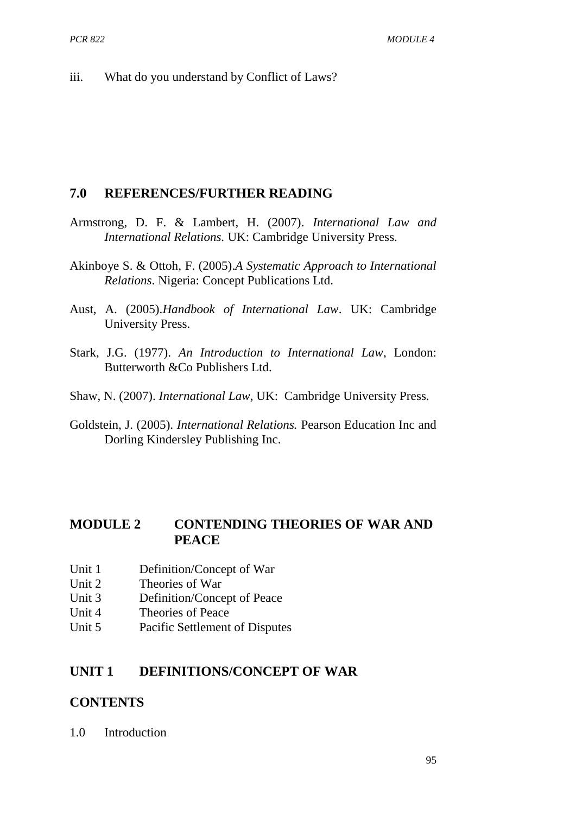iii. What do you understand by Conflict of Laws?

#### **7.0 REFERENCES/FURTHER READING**

- Armstrong, D. F. & Lambert, H. (2007). *International Law and International Relations.* UK: Cambridge University Press.
- Akinboye S. & Ottoh, F. (2005).*A Systematic Approach to International Relations*. Nigeria: Concept Publications Ltd.
- Aust, A. (2005).*Handbook of International Law*. UK: Cambridge University Press.
- Stark, J.G. (1977). *An Introduction to International Law*, London: Butterworth &Co Publishers Ltd.
- Shaw, N. (2007). *International Law*, UK: Cambridge University Press.
- Goldstein, J. (2005). *International Relations.* Pearson Education Inc and Dorling Kindersley Publishing Inc.

#### **MODULE 2 CONTENDING THEORIES OF WAR AND PEACE**

- Unit 1 Definition/Concept of War
- Unit 2 Theories of War
- Unit 3 Definition/Concept of Peace
- Unit 4 Theories of Peace
- Unit 5 Pacific Settlement of Disputes

#### **UNIT 1 DEFINITIONS/CONCEPT OF WAR**

#### **CONTENTS**

1.0 Introduction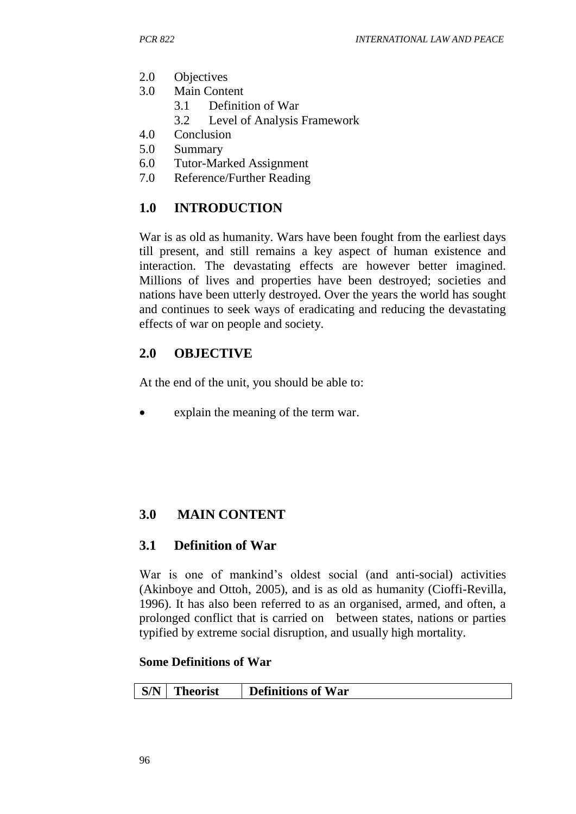- 2.0 Objectives
- 3.0 Main Content
	- 3.1 Definition of War
	- 3.2 Level of Analysis Framework
- 4.0 Conclusion
- 5.0 Summary
- 6.0 Tutor-Marked Assignment
- 7.0 Reference/Further Reading

## **1.0 INTRODUCTION**

War is as old as humanity. Wars have been fought from the earliest days till present, and still remains a key aspect of human existence and interaction. The devastating effects are however better imagined. Millions of lives and properties have been destroyed; societies and nations have been utterly destroyed. Over the years the world has sought and continues to seek ways of eradicating and reducing the devastating effects of war on people and society.

### **2.0 OBJECTIVE**

At the end of the unit, you should be able to:

explain the meaning of the term war.

# **3.0 MAIN CONTENT**

#### **3.1 Definition of War**

War is one of mankind's oldest social (and anti-social) activities (Akinboye and Ottoh, 2005), and is as old as humanity (Cioffi-Revilla, 1996). It has also been referred to as an organised, armed, and often, a prolonged conflict that is carried on between states, nations or parties typified by extreme [social](http://en.wikipedia.org/wiki/Society) disruption, and usually high mortality.

#### **Some Definitions of War**

|  | $\mid$ S/N | <b>Theorist</b> | <b>Definitions of War</b> |
|--|------------|-----------------|---------------------------|
|--|------------|-----------------|---------------------------|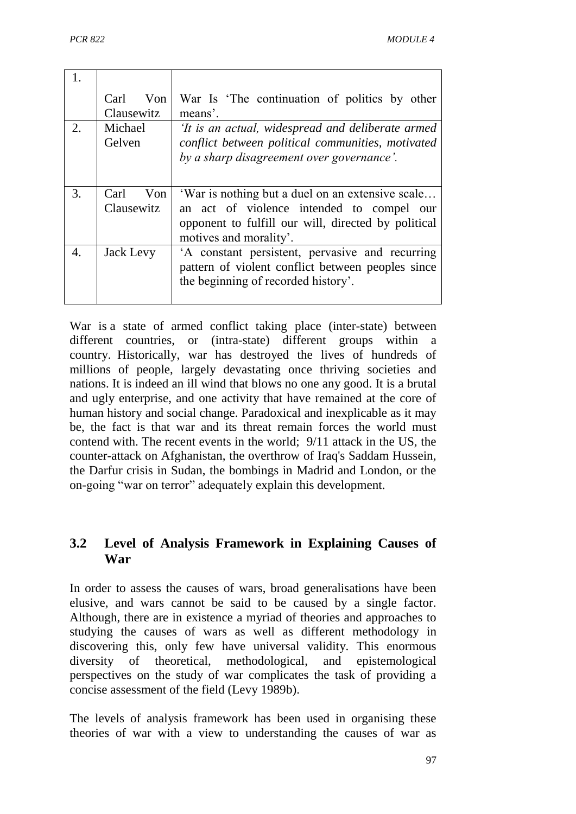|    | Carl<br>Von<br>Clausewitz | War Is 'The continuation of politics by other<br>means'.                                                                                            |
|----|---------------------------|-----------------------------------------------------------------------------------------------------------------------------------------------------|
| 2. | Michael<br>Gelven         | 'It is an actual, widespread and deliberate armed<br>conflict between political communities, motivated<br>by a sharp disagreement over governance'. |
| 3. | Carl<br>Von               | 'War is nothing but a duel on an extensive scale                                                                                                    |
|    | Clausewitz                | an act of violence intended to compel our<br>opponent to fulfill our will, directed by political<br>motives and morality.                           |

War is a state of armed conflict taking place (inter-state) between different countries, or (intra-state) different groups within a country. Historically, war has destroyed the lives of hundreds of millions of people, largely devastating once thriving societies and nations. It is indeed an ill wind that blows no one any good. It is a brutal and ugly enterprise, and one activity that have remained at the core of human history and social change. Paradoxical and inexplicable as it may be, the fact is that war and its threat remain forces the world must contend with. The recent events in the world; 9/11 attack in the US, the counter-attack on Afghanistan, the overthrow of Iraq's Saddam Hussein, the Darfur crisis in Sudan, the bombings in Madrid and London, or the on-going "war on terror" adequately explain this development.

## **3.2 Level of Analysis Framework in Explaining Causes of War**

In order to assess the causes of wars, broad generalisations have been elusive, and wars cannot be said to be caused by a single factor. Although, there are in existence a myriad of theories and approaches to studying the causes of wars as well as different methodology in discovering this, only few have universal validity. This enormous diversity of theoretical, methodological, and epistemological perspectives on the study of war complicates the task of providing a concise assessment of the field (Levy 1989b).

The levels of analysis framework has been used in organising these theories of war with a view to understanding the causes of war as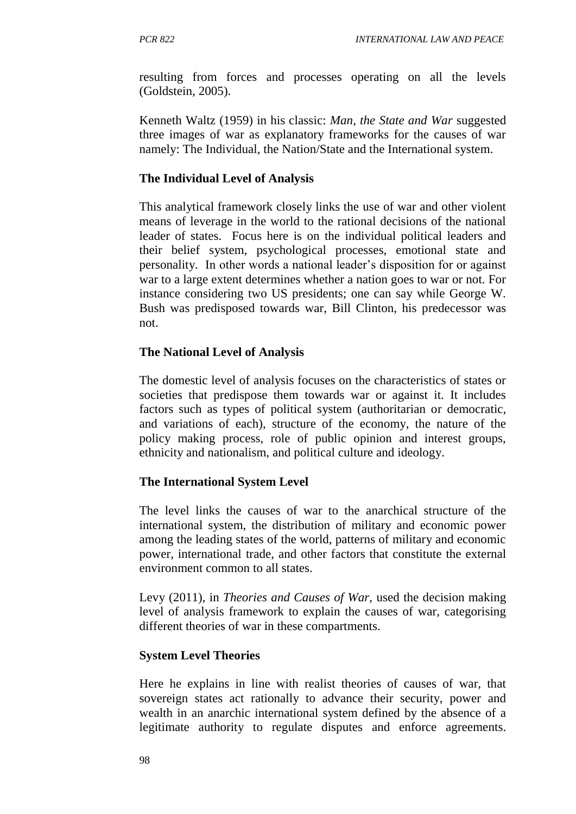resulting from forces and processes operating on all the levels (Goldstein, 2005).

Kenneth Waltz (1959) in his classic: *Man, the State and War* suggested three images of war as explanatory frameworks for the causes of war namely: The Individual, the Nation/State and the International system.

#### **The Individual Level of Analysis**

This analytical framework closely links the use of war and other violent means of leverage in the world to the rational decisions of the national leader of states. Focus here is on the individual political leaders and their belief system, psychological processes, emotional state and personality. In other words a national leader's disposition for or against war to a large extent determines whether a nation goes to war or not. For instance considering two US presidents; one can say while George W. Bush was predisposed towards war, Bill Clinton, his predecessor was not.

#### **The National Level of Analysis**

The domestic level of analysis focuses on the characteristics of states or societies that predispose them towards war or against it. It includes factors such as types of political system (authoritarian or democratic, and variations of each), structure of the economy, the nature of the policy making process, role of public opinion and interest groups, ethnicity and nationalism, and political culture and ideology.

#### **The International System Level**

The level links the causes of war to the anarchical structure of the international system, the distribution of military and economic power among the leading states of the world, patterns of military and economic power, international trade, and other factors that constitute the external environment common to all states.

Levy (2011), in *Theories and Causes of War,* used the decision making level of analysis framework to explain the causes of war, categorising different theories of war in these compartments.

#### **System Level Theories**

Here he explains in line with realist theories of causes of war, that sovereign states act rationally to advance their security, power and wealth in an anarchic international system defined by the absence of a legitimate authority to regulate disputes and enforce agreements.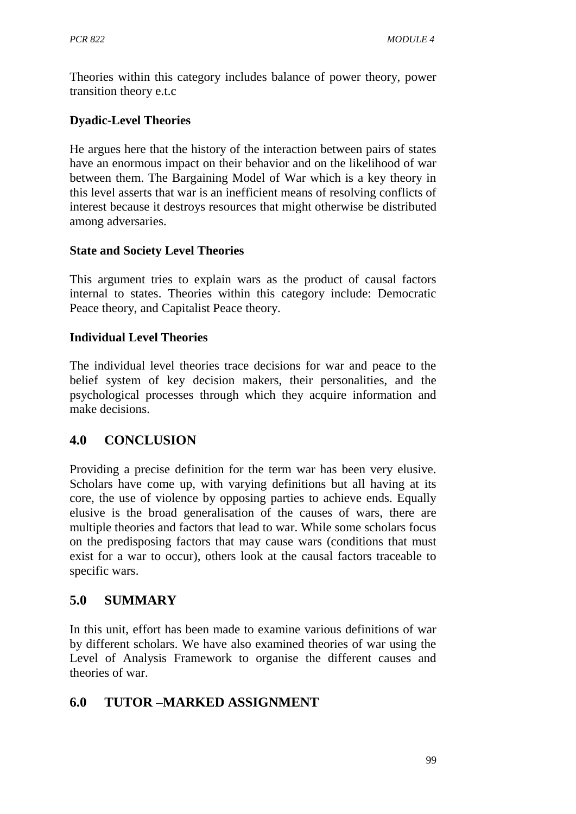Theories within this category includes balance of power theory, power transition theory e.t.c

### **Dyadic-Level Theories**

He argues here that the history of the interaction between pairs of states have an enormous impact on their behavior and on the likelihood of war between them. The Bargaining Model of War which is a key theory in this level asserts that war is an inefficient means of resolving conflicts of interest because it destroys resources that might otherwise be distributed among adversaries.

### **State and Society Level Theories**

This argument tries to explain wars as the product of causal factors internal to states. Theories within this category include: Democratic Peace theory, and Capitalist Peace theory.

#### **Individual Level Theories**

The individual level theories trace decisions for war and peace to the belief system of key decision makers, their personalities, and the psychological processes through which they acquire information and make decisions.

## **4.0 CONCLUSION**

Providing a precise definition for the term war has been very elusive. Scholars have come up, with varying definitions but all having at its core, the use of violence by opposing parties to achieve ends. Equally elusive is the broad generalisation of the causes of wars, there are multiple theories and factors that lead to war. While some scholars focus on the predisposing factors that may cause wars (conditions that must exist for a war to occur), others look at the causal factors traceable to specific wars.

## **5.0 SUMMARY**

In this unit, effort has been made to examine various definitions of war by different scholars. We have also examined theories of war using the Level of Analysis Framework to organise the different causes and theories of war.

## **6.0 TUTOR –MARKED ASSIGNMENT**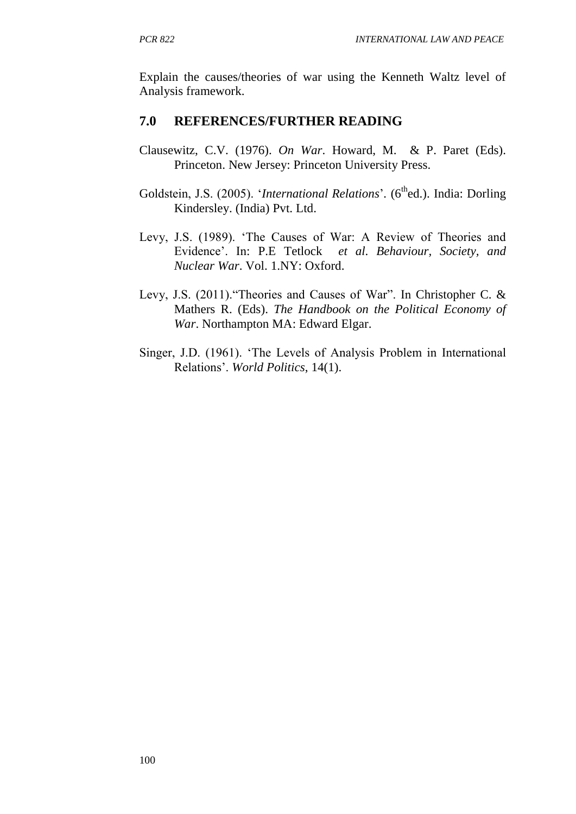Explain the causes/theories of war using the Kenneth Waltz level of Analysis framework.

## **7.0 REFERENCES/FURTHER READING**

- Clausewitz, C.V. (1976). *On War*. Howard, M. & P. Paret (Eds). Princeton. New Jersey: Princeton University Press.
- Goldstein, J.S. (2005). '*International Relations*'. (6<sup>th</sup>ed.). India: Dorling Kindersley. (India) Pvt. Ltd.
- Levy, J.S. (1989). 'The Causes of War: A Review of Theories and Evidence'. In: P.E Tetlock *et al*. *Behaviour, Society, and Nuclear War*. Vol. 1.NY: Oxford.
- Levy, J.S. (2011)."Theories and Causes of War". In Christopher C. & Mathers R. (Eds). *The Handbook on the Political Economy of War*. Northampton MA: Edward Elgar.
- Singer, J.D. (1961). 'The Levels of Analysis Problem in International Relations'. *World Politics*, 14(1).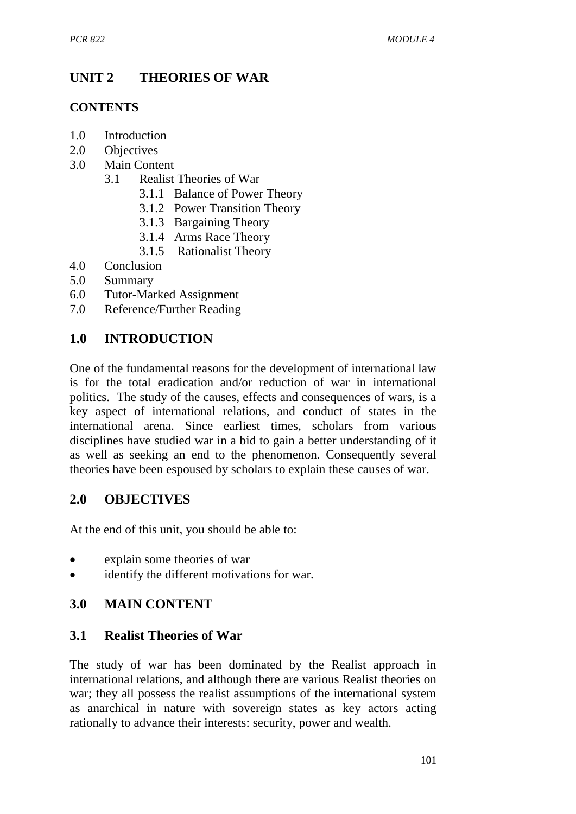# **UNIT 2 THEORIES OF WAR**

#### **CONTENTS**

- 1.0 Introduction
- 2.0 Objectives
- 3.0 Main Content
	- 3.1 Realist Theories of War
		- 3.1.1 Balance of Power Theory
		- 3.1.2 Power Transition Theory
		- 3.1.3 Bargaining Theory
		- 3.1.4 Arms Race Theory
		- 3.1.5 Rationalist Theory
- 4.0 Conclusion
- 5.0 Summary
- 6.0 Tutor-Marked Assignment
- 7.0 Reference/Further Reading

## **1.0 INTRODUCTION**

One of the fundamental reasons for the development of international law is for the total eradication and/or reduction of war in international politics. The study of the causes, effects and consequences of wars, is a key aspect of international relations, and conduct of states in the international arena. Since earliest times, scholars from various disciplines have studied war in a bid to gain a better understanding of it as well as seeking an end to the phenomenon. Consequently several theories have been espoused by scholars to explain these causes of war.

### **2.0 OBJECTIVES**

At the end of this unit, you should be able to:

- explain some theories of war
- identify the different motivations for war.

### **3.0 MAIN CONTENT**

### **3.1 Realist Theories of War**

The study of war has been dominated by the Realist approach in international relations, and although there are various Realist theories on war; they all possess the realist assumptions of the international system as anarchical in nature with sovereign states as key actors acting rationally to advance their interests: security, power and wealth.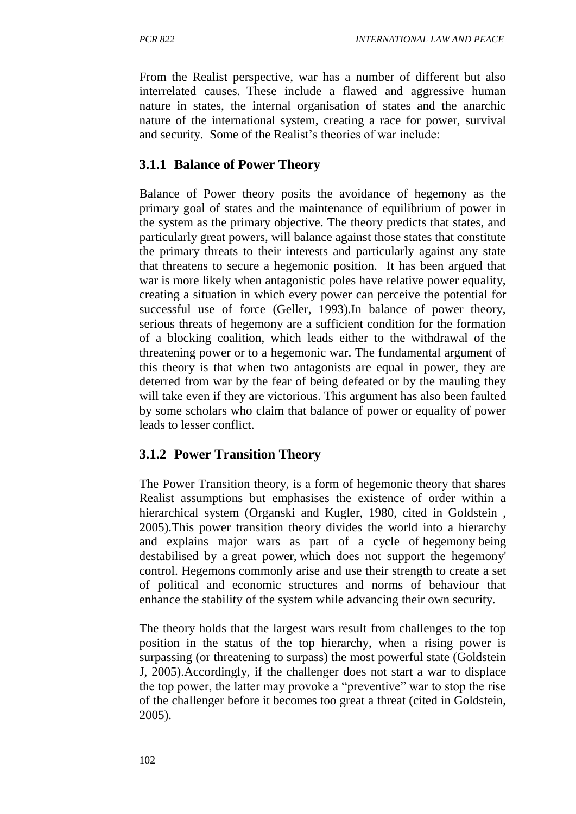From the Realist perspective, war has a number of different but also interrelated causes. These include a flawed and aggressive human nature in states, the internal organisation of states and the anarchic nature of the international system, creating a race for power, survival and security. Some of the Realist's theories of war include:

## **3.1.1 Balance of Power Theory**

Balance of Power theory posits the avoidance of hegemony as the primary goal of states and the maintenance of equilibrium of power in the system as the primary objective. The theory predicts that states, and particularly great powers, will balance against those states that constitute the primary threats to their interests and particularly against any state that threatens to secure a hegemonic position. It has been argued that war is more likely when antagonistic poles have relative power equality, creating a situation in which every power can perceive the potential for successful use of force (Geller, 1993).In balance of power theory, serious threats of hegemony are a sufficient condition for the formation of a blocking coalition, which leads either to the withdrawal of the threatening power or to a hegemonic war. The fundamental argument of this theory is that when two antagonists are equal in power, they are deterred from war by the fear of being defeated or by the mauling they will take even if they are victorious. This argument has also been faulted by some scholars who claim that balance of power or equality of power leads to lesser conflict.

### **3.1.2 Power Transition Theory**

The Power Transition theory, is a form of hegemonic theory that shares Realist assumptions but emphasises the existence of order within a hierarchical system (Organski and Kugler, 1980, cited in Goldstein, 2005).This power transition theory divides the world into a hierarchy and explains major wars as part of a cycle of [hegemony](http://en.wikipedia.org/wiki/Hegemony) being destabilised by a [great power](http://en.wikipedia.org/wiki/Great_power), which does not support the hegemony' control. Hegemons commonly arise and use their strength to create a set of political and economic structures and norms of behaviour that enhance the stability of the system while advancing their own security.

The theory holds that the largest wars result from challenges to the top position in the status of the top hierarchy, when a rising power is surpassing (or threatening to surpass) the most powerful state (Goldstein J, 2005).Accordingly, if the challenger does not start a war to displace the top power, the latter may provoke a "preventive" war to stop the rise of the challenger before it becomes too great a threat (cited in Goldstein, 2005).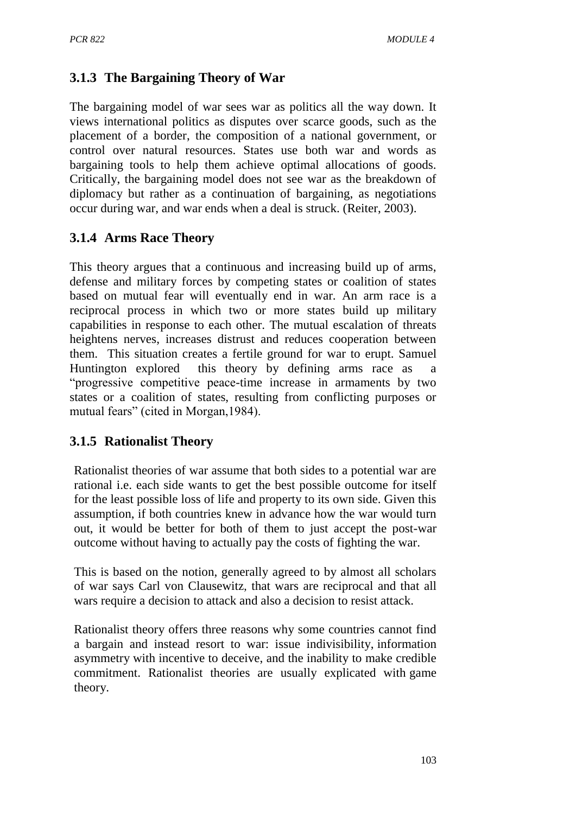# **3.1.3 The Bargaining Theory of War**

The bargaining model of war sees war as politics all the way down. It views international politics as disputes over scarce goods, such as the placement of a border, the composition of a national government, or control over natural resources. States use both war and words as bargaining tools to help them achieve optimal allocations of goods. Critically, the bargaining model does not see war as the breakdown of diplomacy but rather as a continuation of bargaining, as negotiations occur during war, and war ends when a deal is struck. (Reiter, 2003).

# **3.1.4 Arms Race Theory**

This theory argues that a continuous and increasing build up of arms, defense and military forces by competing states or coalition of states based on mutual fear will eventually end in war. An arm race is a reciprocal process in which two or more states build up military capabilities in response to each other. The mutual escalation of threats heightens nerves, increases distrust and reduces cooperation between them. This situation creates a fertile ground for war to erupt. Samuel Huntington explored this theory by defining arms race as "progressive competitive peace-time increase in armaments by two states or a coalition of states, resulting from conflicting purposes or mutual fears" (cited in Morgan,1984).

# **3.1.5 Rationalist Theory**

Rationalist theories of war assume that both sides to a potential war are rational i.e. each side wants to get the best possible outcome for itself for the least possible loss of life and property to its own side. Given this assumption, if both countries knew in advance how the war would turn out, it would be better for both of them to just accept the post-war outcome without having to actually pay the costs of fighting the war.

This is based on the notion, generally agreed to by almost all scholars of war says [Carl von Clausewitz](http://en.wikipedia.org/wiki/Carl_von_Clausewitz), that wars are reciprocal and that all wars require a decision to attack and also a decision to resist attack.

Rationalist theory offers three reasons why some countries cannot find a bargain and instead resort to war: issue indivisibility, [information](http://en.wikipedia.org/wiki/Information_asymmetry)  [asymmetry](http://en.wikipedia.org/wiki/Information_asymmetry) with incentive to deceive, and the inability to make credible commitment. Rationalist theories are usually explicated with [game](http://en.wikipedia.org/wiki/Game_theory)  [theory.](http://en.wikipedia.org/wiki/Game_theory)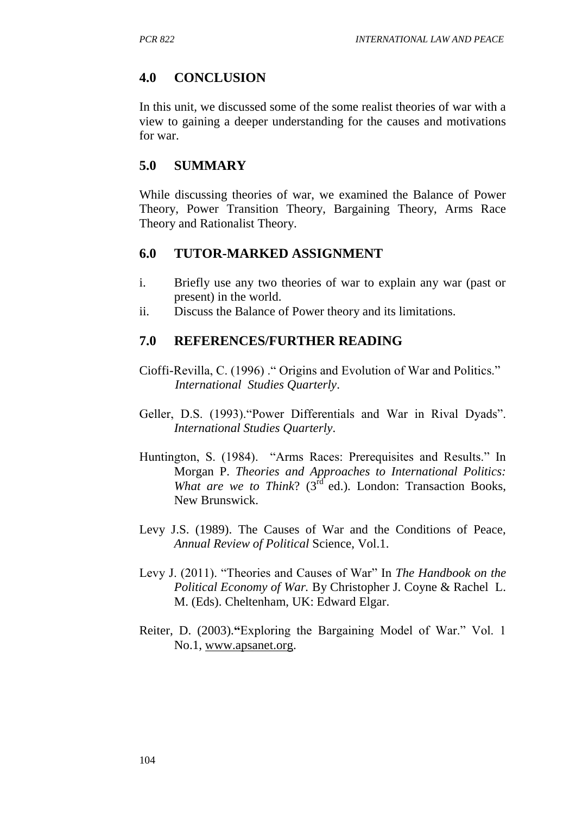### **4.0 CONCLUSION**

In this unit, we discussed some of the some realist theories of war with a view to gaining a deeper understanding for the causes and motivations for war.

#### **5.0 SUMMARY**

While discussing theories of war, we examined the Balance of Power Theory, Power Transition Theory, Bargaining Theory, Arms Race Theory and Rationalist Theory.

#### **6.0 TUTOR-MARKED ASSIGNMENT**

- i. Briefly use any two theories of war to explain any war (past or present) in the world.
- ii. Discuss the Balance of Power theory and its limitations.

#### **7.0 REFERENCES/FURTHER READING**

- Cioffi-Revilla, C. (1996) ." Origins and Evolution of War and Politics."  *International Studies Quarterly*.
- Geller, D.S. (1993)."Power Differentials and War in Rival Dyads". *International Studies Quarterly*.
- Huntington, S. (1984). "Arms Races: Prerequisites and Results." In Morgan P. *Theories and Approaches to International Politics: What are we to Think*? (3<sup>rd</sup> ed.). London: Transaction Books, New Brunswick.
- Levy J.S. (1989). The Causes of War and the Conditions of Peace, *Annual Review of Political* Science, Vol.1.
- Levy J. (2011). "Theories and Causes of War" In *The Handbook on the Political Economy of War.* By Christopher J. Coyne & Rachel L. M. (Eds). Cheltenham, UK: Edward Elgar.
- Reiter, D. (2003).**"**Exploring the Bargaining Model of War." Vol. 1 No.1, [www.apsanet.org.](http://www.apsanet.org/)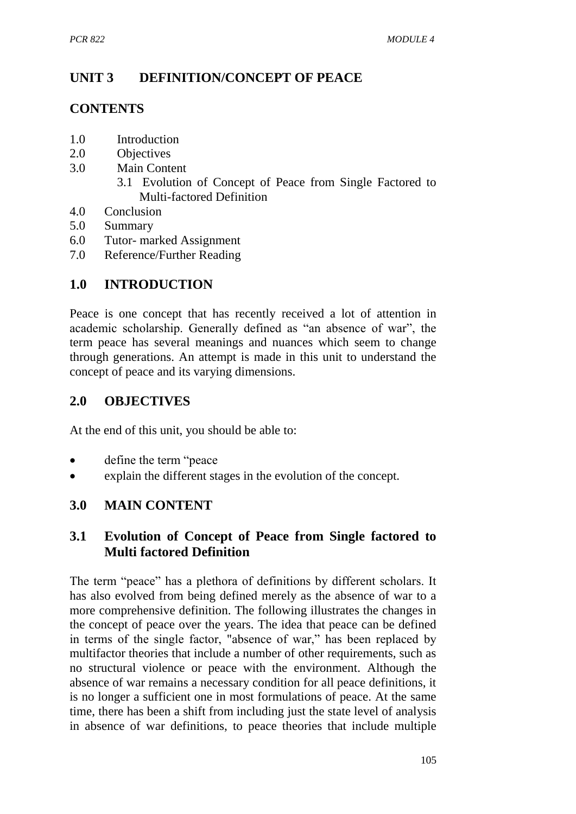# **UNIT 3 DEFINITION/CONCEPT OF PEACE**

## **CONTENTS**

- 1.0 Introduction
- 2.0 Objectives
- 3.0 Main Content
	- 3.1 Evolution of Concept of Peace from Single Factored to Multi-factored Definition
- 4.0 Conclusion
- 5.0 Summary
- 6.0 Tutor- marked Assignment
- 7.0 Reference/Further Reading

# **1.0 INTRODUCTION**

Peace is one concept that has recently received a lot of attention in academic scholarship. Generally defined as "an absence of war", the term peace has several meanings and nuances which seem to change through generations. An attempt is made in this unit to understand the concept of peace and its varying dimensions.

## **2.0 OBJECTIVES**

At the end of this unit, you should be able to:

- define the term "peace
- explain the different stages in the evolution of the concept.

### **3.0 MAIN CONTENT**

## **3.1 Evolution of Concept of Peace from Single factored to Multi factored Definition**

The term "peace" has a plethora of definitions by different scholars. It has also evolved from being defined merely as the absence of war to a more comprehensive definition. The following illustrates the changes in the concept of peace over the years. The idea that peace can be defined in terms of the single factor, "absence of war," has been replaced by multifactor theories that include a number of other requirements, such as no structural violence or peace with the environment. Although the absence of war remains a necessary condition for all peace definitions, it is no longer a sufficient one in most formulations of peace. At the same time, there has been a shift from including just the state level of analysis in absence of war definitions, to peace theories that include multiple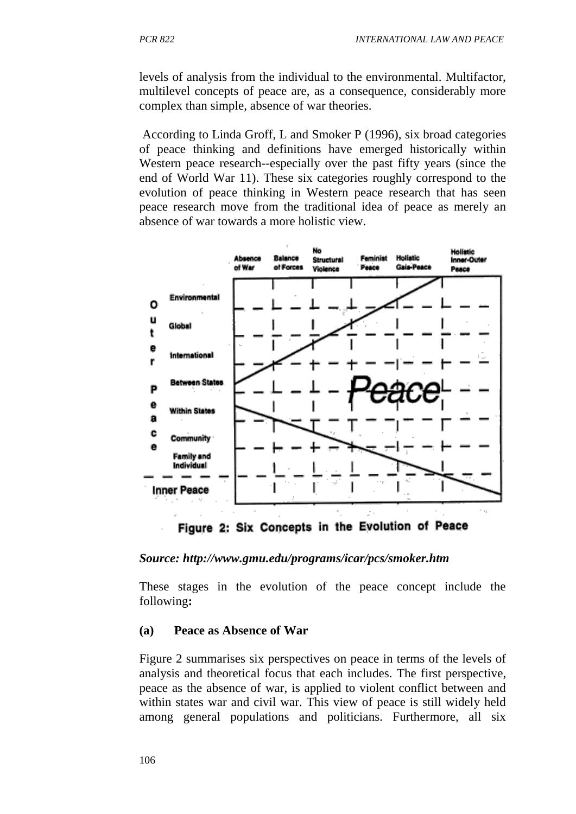levels of analysis from the individual to the environmental. Multifactor, multilevel concepts of peace are, as a consequence, considerably more complex than simple, absence of war theories.

According to Linda Groff, L and Smoker P (1996), six broad categories of peace thinking and definitions have emerged historically within Western peace research--especially over the past fifty years (since the end of World War 11). These six categories roughly correspond to the evolution of peace thinking in Western peace research that has seen peace research move from the traditional idea of peace as merely an absence of war towards a more holistic view.



Figure 2: Six Concepts in the Evolution of Peace

#### *Source: http://www.gmu.edu/programs/icar/pcs/smoker.htm*

These stages in the evolution of the peace concept include the following**:**

#### **(a) Peace as Absence of War**

Figure 2 summarises six perspectives on peace in terms of the levels of analysis and theoretical focus that each includes. The first perspective, peace as the absence of war, is applied to violent conflict between and within states war and civil war. This view of peace is still widely held among general populations and politicians. Furthermore, all six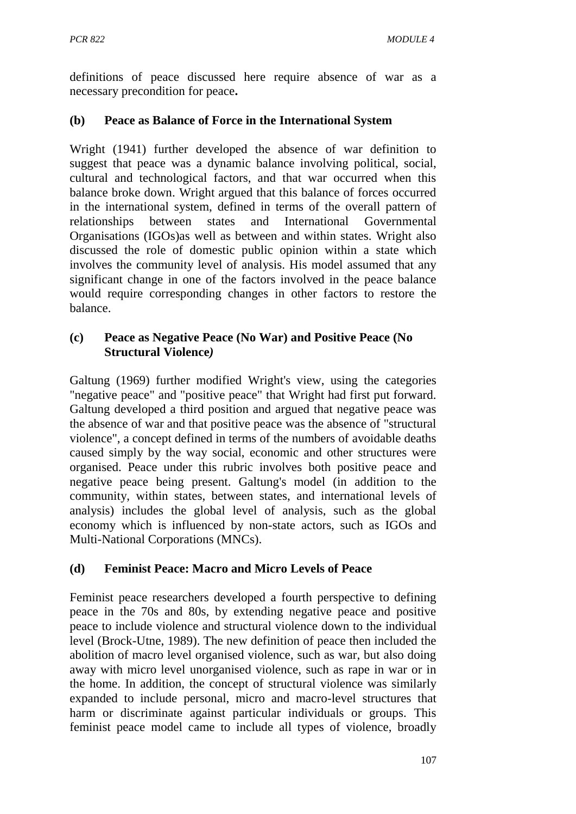definitions of peace discussed here require absence of war as a necessary precondition for peace**.**

#### **(b) Peace as Balance of Force in the International System**

Wright (1941) further developed the absence of war definition to suggest that peace was a dynamic balance involving political, social, cultural and technological factors, and that war occurred when this balance broke down. Wright argued that this balance of forces occurred in the international system, defined in terms of the overall pattern of relationships between states and International Governmental Organisations (IGOs)as well as between and within states. Wright also discussed the role of domestic public opinion within a state which involves the community level of analysis. His model assumed that any significant change in one of the factors involved in the peace balance would require corresponding changes in other factors to restore the balance.

#### **(c) Peace as Negative Peace (No War) and Positive Peace (No Structural Violence***)*

Galtung (1969) further modified Wright's view, using the categories "negative peace" and "positive peace" that Wright had first put forward. Galtung developed a third position and argued that negative peace was the absence of war and that positive peace was the absence of "structural violence", a concept defined in terms of the numbers of avoidable deaths caused simply by the way social, economic and other structures were organised. Peace under this rubric involves both positive peace and negative peace being present. Galtung's model (in addition to the community, within states, between states, and international levels of analysis) includes the global level of analysis, such as the global economy which is influenced by non-state actors, such as IGOs and Multi-National Corporations (MNCs).

#### **(d) Feminist Peace: Macro and Micro Levels of Peace**

Feminist peace researchers developed a fourth perspective to defining peace in the 70s and 80s, by extending negative peace and positive peace to include violence and structural violence down to the individual level (Brock-Utne, 1989). The new definition of peace then included the abolition of macro level organised violence, such as war, but also doing away with micro level unorganised violence, such as rape in war or in the home. In addition, the concept of structural violence was similarly expanded to include personal, micro and macro-level structures that harm or discriminate against particular individuals or groups. This feminist peace model came to include all types of violence, broadly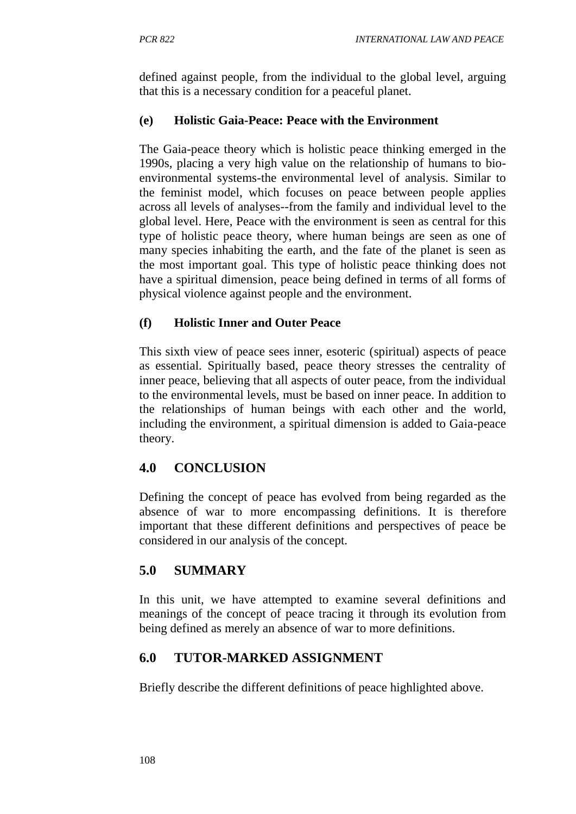defined against people, from the individual to the global level, arguing that this is a necessary condition for a peaceful planet.

### **(e) Holistic Gaia-Peace: Peace with the Environment**

The Gaia-peace theory which is holistic peace thinking emerged in the 1990s, placing a very high value on the relationship of humans to bioenvironmental systems-the environmental level of analysis. Similar to the feminist model, which focuses on peace between people applies across all levels of analyses--from the family and individual level to the global level. Here, Peace with the environment is seen as central for this type of holistic peace theory, where human beings are seen as one of many species inhabiting the earth, and the fate of the planet is seen as the most important goal. This type of holistic peace thinking does not have a spiritual dimension, peace being defined in terms of all forms of physical violence against people and the environment.

### **(f) Holistic Inner and Outer Peace**

This sixth view of peace sees inner, esoteric (spiritual) aspects of peace as essential. Spiritually based, peace theory stresses the centrality of inner peace, believing that all aspects of outer peace, from the individual to the environmental levels, must be based on inner peace. In addition to the relationships of human beings with each other and the world, including the environment, a spiritual dimension is added to Gaia-peace theory.

# **4.0 CONCLUSION**

Defining the concept of peace has evolved from being regarded as the absence of war to more encompassing definitions. It is therefore important that these different definitions and perspectives of peace be considered in our analysis of the concept.

# **5.0 SUMMARY**

In this unit, we have attempted to examine several definitions and meanings of the concept of peace tracing it through its evolution from being defined as merely an absence of war to more definitions.

# **6.0 TUTOR-MARKED ASSIGNMENT**

Briefly describe the different definitions of peace highlighted above.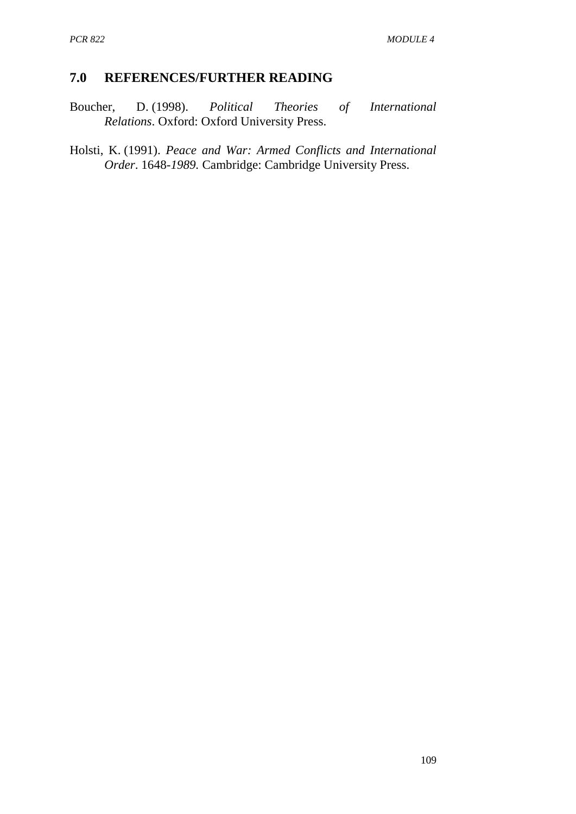### **7.0 REFERENCES/FURTHER READING**

Boucher, D. (1998). *Political Theories of International Relations*. Oxford: Oxford University Press.

Holsti, K. (1991). *Peace and War: Armed Conflicts and International Order*. 1648-*1989.* Cambridge: Cambridge University Press.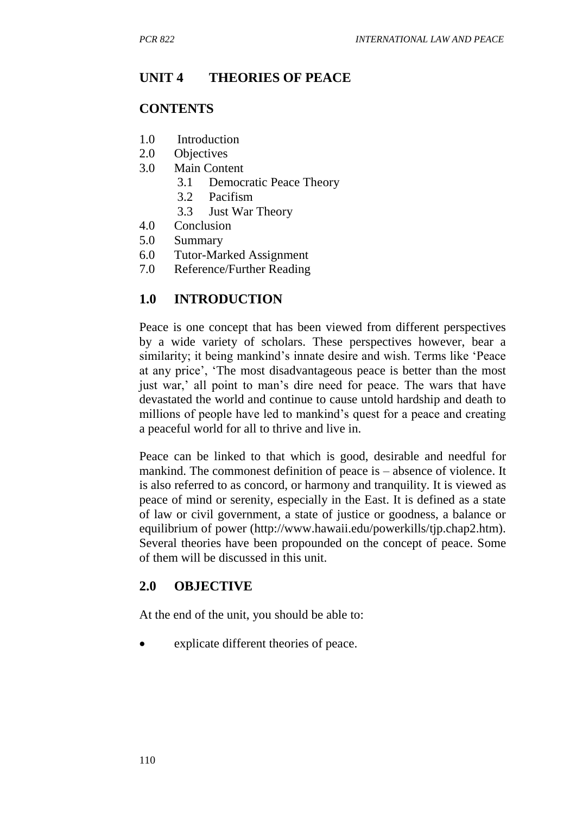### **UNIT 4 THEORIES OF PEACE**

#### **CONTENTS**

- 1.0 Introduction
- 2.0 Objectives
- 3.0 Main Content
	- 3.1 Democratic Peace Theory
		- 3.2 Pacifism
	- 3.3 Just War Theory
- 4.0 Conclusion
- 5.0 Summary
- 6.0 Tutor-Marked Assignment
- 7.0 Reference/Further Reading

#### **1.0 INTRODUCTION**

Peace is one concept that has been viewed from different perspectives by a wide variety of scholars. These perspectives however, bear a similarity; it being mankind's innate desire and wish. Terms like 'Peace at any price', 'The most disadvantageous peace is better than the most just war,' all point to man's dire need for peace. The wars that have devastated the world and continue to cause untold hardship and death to millions of people have led to mankind's quest for a peace and creating a peaceful world for all to thrive and live in.

Peace can be linked to that which is good, desirable and needful for mankind. The commonest definition of peace is – absence of violence. It is also referred to as concord, or harmony and tranquility. It is viewed as peace of mind or serenity, especially in the East. It is defined as a state of law or civil government, a state of justice or goodness, a balance or equilibrium of power (http://www.hawaii.edu/powerkills/tjp.chap2.htm). Several theories have been propounded on the concept of peace. Some of them will be discussed in this unit.

#### **2.0 OBJECTIVE**

At the end of the unit, you should be able to:

explicate different theories of peace.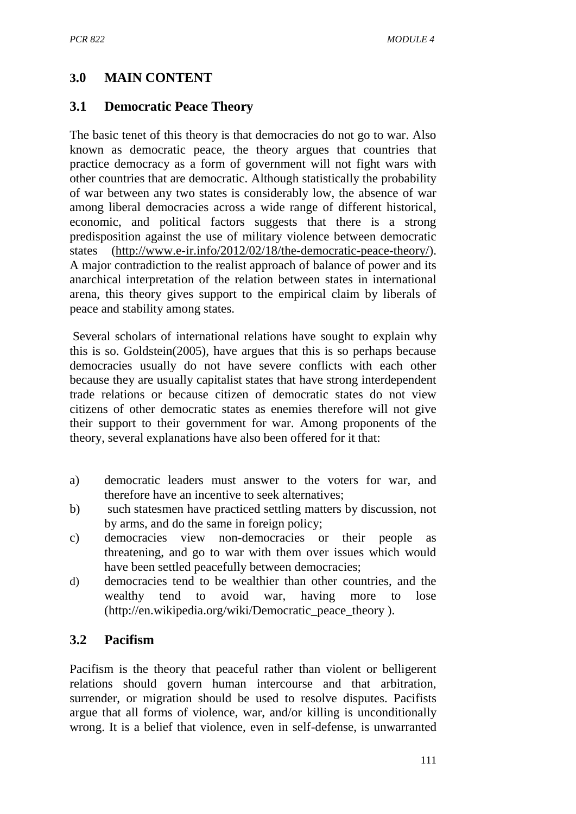# **3.0 MAIN CONTENT**

## **3.1 Democratic Peace Theory**

The basic tenet of this theory is that democracies do not go to war. Also known as democratic peace, the theory argues that countries that practice democracy as a form of government will not fight wars with other countries that are democratic. Although statistically the probability of war between any two states is considerably low, the absence of war among liberal democracies across a wide range of different historical, economic, and political factors suggests that there is a strong predisposition against the use of military violence between democratic states [\(http://www.e-ir.info/2012/02/18/the-democratic-peace-theory/\)](http://www.e-ir.info/2012/02/18/the-democratic-peace-theory/). A major contradiction to the realist approach of balance of power and its anarchical interpretation of the relation between states in international arena, this theory gives support to the empirical claim by liberals of peace and stability among states.

Several scholars of international relations have sought to explain why this is so. Goldstein(2005), have argues that this is so perhaps because democracies usually do not have severe conflicts with each other because they are usually capitalist states that have strong interdependent trade relations or because citizen of democratic states do not view citizens of other democratic states as enemies therefore will not give their support to their government for war. Among proponents of the theory, several explanations have also been offered for it that:

- a) democratic leaders must answer to the voters for war, and therefore have an incentive to seek alternatives;
- b) such statesmen have practiced settling matters by discussion, not by arms, and do the same in foreign policy;
- c) democracies view non-democracies or their people as threatening, and go to war with them over issues which would have been settled peacefully between democracies;
- d) democracies tend to be wealthier than other countries, and the wealthy tend to avoid war, having more to lose (http://en.wikipedia.org/wiki/Democratic\_peace\_theory ).

# **3.2 Pacifism**

Pacifism is the theory that peaceful rather than violent or belligerent relations should govern human intercourse and that arbitration, surrender, or migration should be used to resolve disputes. Pacifists argue that all forms of violence, war, and/or killing is unconditionally wrong. It is a belief that violence, even in self-defense, is unwarranted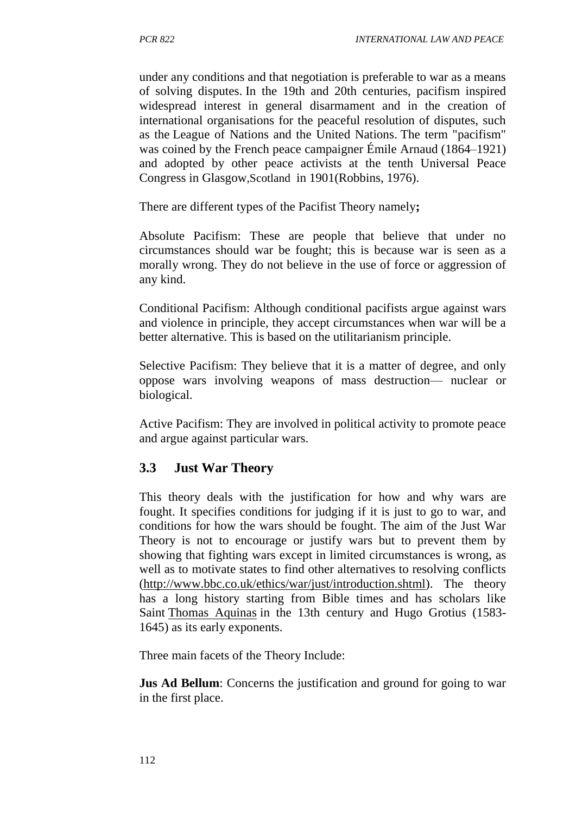under any conditions and that negotiation is preferable to war as a means of solving disputes. In the 19th and 20th centuries, pacifism inspired widespread interest in general disarmament and in the creation of international organisations for the peaceful resolution of disputes, such as the League of Nations and the United Nations. The term "pacifism" was coined by the French peace campaigner [Émile Arnaud](http://en.wikipedia.org/wiki/%C3%89mile_Arnaud) (1864–1921) and adop[ted by other peace activists at the tenth Universal Peace](http://en.wikipedia.org/wiki/Keith_Robbins)  Congress in [Glasgow](http://en.wikipedia.org/wiki/Keith_Robbins),Scotland [in 1901\(Robbins,](http://en.wikipedia.org/wiki/Keith_Robbins) 1976).

There are different types of the Pacifist Theory namely**;**

Absolute Pacifism: These are people that believe that under no circumstances should war be fought; this is because war is seen as a morally wrong. They do not believe in the use of force or aggression of any kind.

Conditional Pacifism: Although conditional pacifists argue against wars and violence in principle, they accept circumstances when war will be a better alternative. This is based on the utilitarianism principle.

Selective Pacifism: They believe that it is a matter of degree, and only oppose wars involving weapons of mass destruction— nuclear or biological.

Active Pacifism: They are involved in political activity to promote peace and argue against particular wars.

### **3.3 Just War Theory**

This theory deals with the justification for how and why wars are fought. It specifies conditions for judging if it is just to go to war, and conditions for how the wars should be fought. The aim of the Just War Theory is not to encourage or justify wars but to prevent them by showing that fighting wars except in limited circumstances is wrong, as well as to motivate states to find other alternatives to resolving conflicts [\(http://www.bbc.co.uk/ethics/war/just/introduction.shtml\)](http://www.bbc.co.uk/ethics/war/just/introduction.shtml). The theory has a long history starting from Bible times and has scholars like Saint [Thomas Aquinas](http://www.iep.utm.edu/aqui-pol) in the 13th century and Hugo Grotius (1583- 1645) as its early exponents.

Three main facets of the Theory Include:

**Jus Ad Bellum:** Concerns the justification and ground for going to war in the first place.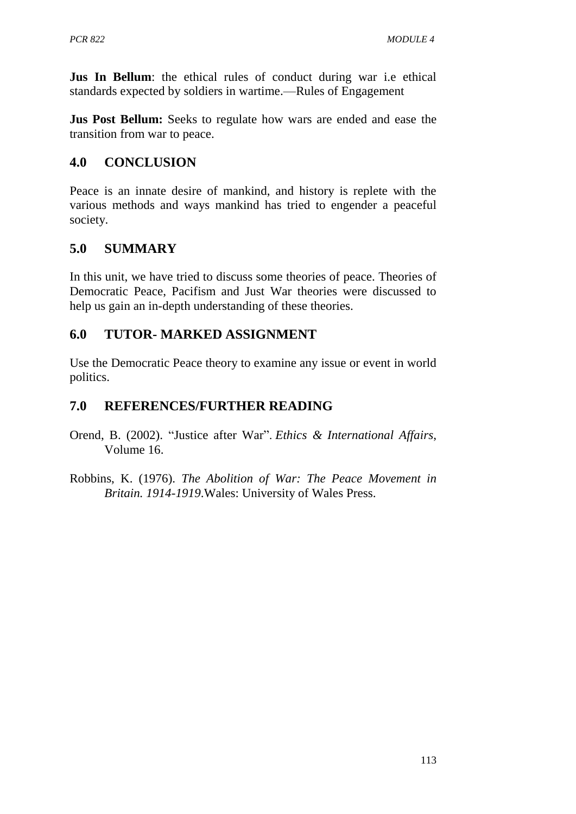**Jus In Bellum**: the ethical rules of conduct during war i.e ethical standards expected by soldiers in wartime.—Rules of Engagement

**Jus Post Bellum:** Seeks to regulate how wars are ended and ease the transition from war to peace.

## **4.0 CONCLUSION**

Peace is an innate desire of mankind, and history is replete with the various methods and ways mankind has tried to engender a peaceful society.

## **5.0 SUMMARY**

In this unit, we have tried to discuss some theories of peace. Theories of Democratic Peace, Pacifism and Just War theories were discussed to help us gain an in-depth understanding of these theories.

## **6.0 TUTOR- MARKED ASSIGNMENT**

Use the Democratic Peace theory to examine any issue or event in world politics.

## **7.0 REFERENCES/FURTHER READING**

- Orend, B. (2002). ["Justice after](http://www.carnegiecouncil.org/media/277_orend.pdf) War". *Ethics & International Affairs*, Volume 16.
- Robbins, K. (1976). *The Abolition of War: The Peace Movement in Britain. 1914-1919*.Wales: University of Wales Press.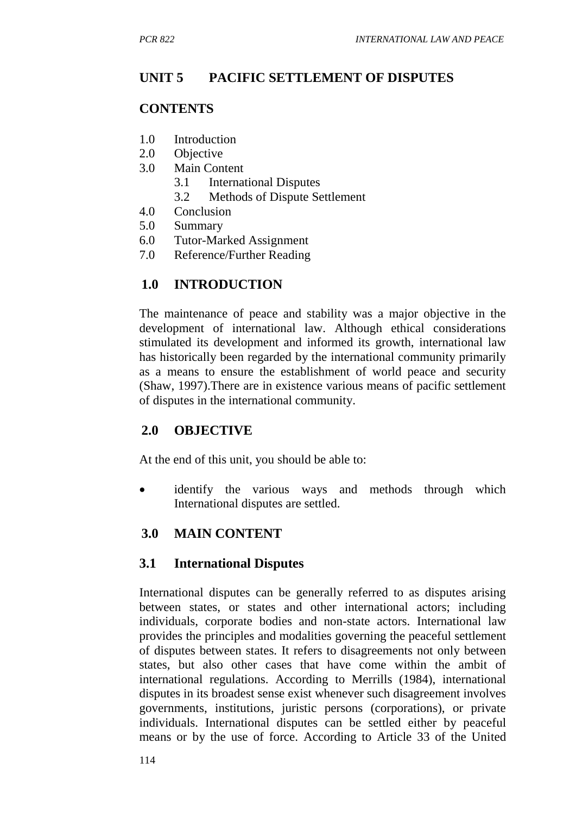### **UNIT 5 PACIFIC SETTLEMENT OF DISPUTES**

#### **CONTENTS**

- 1.0 Introduction
- 2.0 Objective
- 3.0 Main Content
	- 3.1 International Disputes
	- 3.2 Methods of Dispute Settlement
- 4.0 Conclusion
- 5.0 Summary
- 6.0 Tutor-Marked Assignment
- 7.0 Reference/Further Reading

### **1.0 INTRODUCTION**

The maintenance of peace and stability was a major objective in the development of international law. Although ethical considerations stimulated its development and informed its growth, international law has historically been regarded by the international community primarily as a means to ensure the establishment of world peace and security (Shaw, 1997).There are in existence various means of pacific settlement of disputes in the international community.

### **2.0 OBJECTIVE**

At the end of this unit, you should be able to:

• identify the various ways and methods through which International disputes are settled.

### **3.0 MAIN CONTENT**

#### **3.1 International Disputes**

International disputes can be generally referred to as disputes arising between states, or states and other international actors; including individuals, corporate bodies and non-state actors. International law provides the principles and modalities governing the peaceful settlement of disputes between states. It refers to disagreements not only between states, but also other cases that have come within the ambit of international regulations. According to Merrills (1984), international disputes in its broadest sense exist whenever such disagreement involves governments, institutions, juristic persons (corporations), or private individuals. International disputes can be settled either by peaceful means or by the use of force. According to Article 33 of the United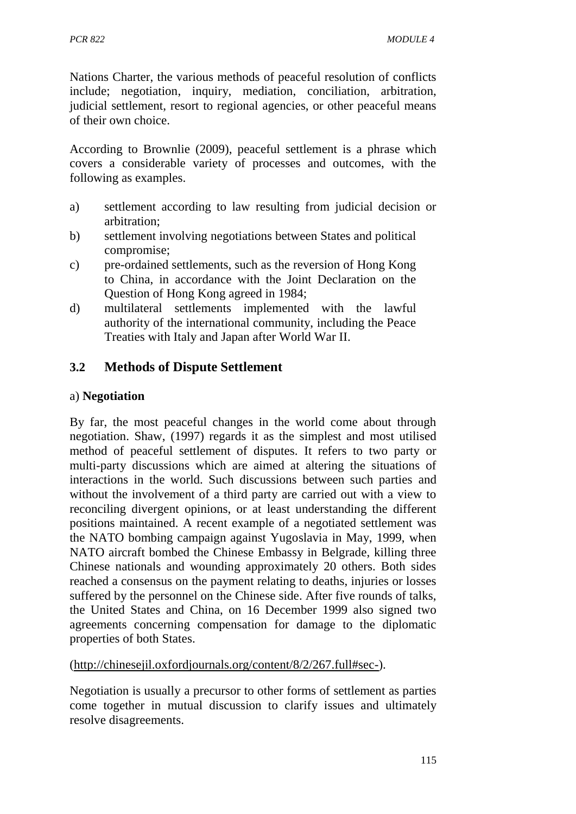Nations Charter, the various methods of peaceful resolution of conflicts include; negotiation, inquiry, mediation, conciliation, arbitration, judicial settlement, resort to regional agencies, or other peaceful means of their own choice.

According to Brownlie (2009), peaceful settlement is a phrase which covers a considerable variety of processes and outcomes, with the following as examples.

- a) settlement according to law resulting from judicial decision or arbitration;
- b) settlement involving negotiations between States and political compromise;
- c) pre-ordained settlements, such as the reversion of Hong Kong to China, in accordance with the Joint Declaration on the Question of Hong Kong agreed in 1984;
- d) multilateral settlements implemented with the lawful authority of the international community, including the Peace Treaties with Italy and Japan after World War II.

## **3.2 Methods of Dispute Settlement**

#### a) **Negotiation**

By far, the most peaceful changes in the world come about through negotiation. Shaw, (1997) regards it as the simplest and most utilised method of peaceful settlement of disputes. It refers to two party or multi-party discussions which are aimed at altering the situations of interactions in the world. Such discussions between such parties and without the involvement of a third party are carried out with a view to reconciling divergent opinions, or at least understanding the different positions maintained. A recent example of a negotiated settlement was the NATO bombing campaign against Yugoslavia in May, 1999, when NATO aircraft bombed the Chinese Embassy in Belgrade, killing three Chinese nationals and wounding approximately 20 others. Both sides reached a consensus on the payment relating to deaths, injuries or losses suffered by the personnel on the Chinese side. After five rounds of talks, the United States and China, on 16 December 1999 also signed two agreements concerning compensation for damage to the diplomatic properties of both States.

[\(http://chinesejil.oxfordjournals.org/content/8/2/267.full#sec-\)](http://chinesejil.oxfordjournals.org/content/8/2/267.full#sec-).

Negotiation is usually a precursor to other forms of settlement as parties come together in mutual discussion to clarify issues and ultimately resolve disagreements.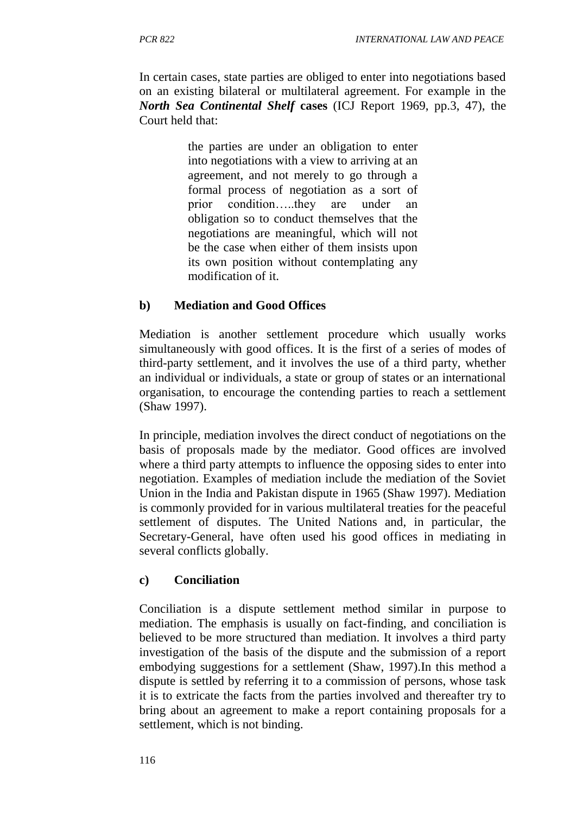In certain cases, state parties are obliged to enter into negotiations based on an existing bilateral or multilateral agreement. For example in the *North Sea Continental Shelf* **cases** (ICJ Report 1969, pp.3, 47), the Court held that:

> the parties are under an obligation to enter into negotiations with a view to arriving at an agreement, and not merely to go through a formal process of negotiation as a sort of prior condition…..they are under an obligation so to conduct themselves that the negotiations are meaningful, which will not be the case when either of them insists upon its own position without contemplating any modification of it.

#### **b) Mediation and Good Offices**

Mediation is another settlement procedure which usually works simultaneously with good offices. It is the first of a series of modes of third-party settlement, and it involves the use of a third party, whether an individual or individuals, a state or group of states or an international organisation, to encourage the contending parties to reach a settlement (Shaw 1997).

In principle, mediation involves the direct conduct of negotiations on the basis of proposals made by the mediator. Good offices are involved where a third party attempts to influence the opposing sides to enter into negotiation. Examples of mediation include the mediation of the Soviet Union in the India and Pakistan dispute in 1965 (Shaw 1997). Mediation is commonly provided for in various multilateral treaties for the peaceful settlement of disputes. The United Nations and, in particular, the Secretary-General, have often used his good offices in mediating in several conflicts globally.

#### **c) Conciliation**

Conciliation is a dispute settlement method similar in purpose to mediation. The emphasis is usually on fact-finding, and conciliation is believed to be more structured than mediation. It involves a third party investigation of the basis of the dispute and the submission of a report embodying suggestions for a settlement (Shaw, 1997).In this method a dispute is settled by referring it to a commission of persons, whose task it is to extricate the facts from the parties involved and thereafter try to bring about an agreement to make a report containing proposals for a settlement, which is not binding.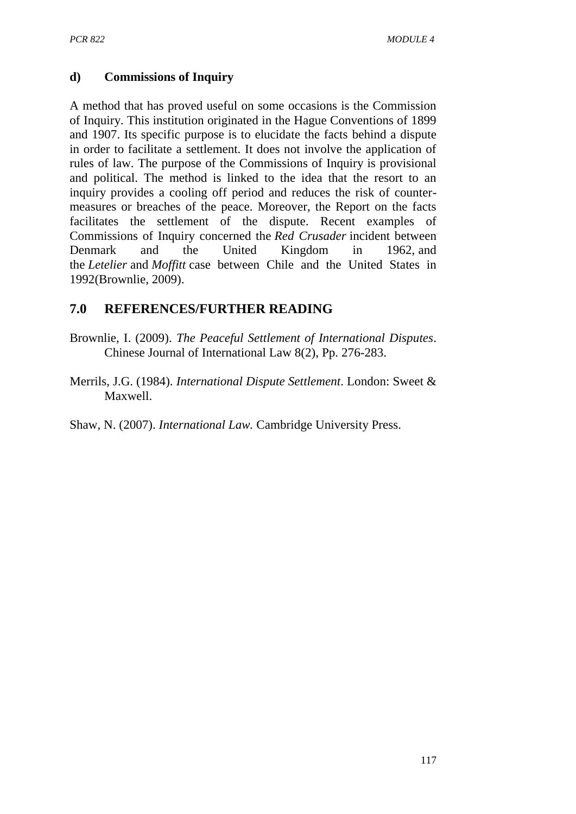### **d) Commissions of Inquiry**

A method that has proved useful on some occasions is the Commission of Inquiry. This institution originated in the Hague Conventions of 1899 and 1907. Its specific purpose is to elucidate the facts behind a dispute in order to facilitate a settlement. It does not involve the application of rules of law. The purpose of the Commissions of Inquiry is provisional and political. The method is linked to the idea that the resort to an inquiry provides a cooling off period and reduces the risk of countermeasures or breaches of the peace. Moreover, the Report on the facts facilitates the settlement of the dispute. Recent examples of Commissions of Inquiry concerned the *Red Crusader* incident between Denmark and the United Kingdom in 1962, and the *Letelier* and *Moffitt* case between Chile and the United States in 1992(Brownlie, 2009).

## **7.0 REFERENCES/FURTHER READING**

- Brownlie, I. (2009). *The Peaceful Settlement of International Disputes*. Chinese Journal of International Law 8(2), Pp. 276-283.
- Merrils, J.G. (1984). *International Dispute Settlement*. London: Sweet & Maxwell.

Shaw, N. (2007). *International Law.* Cambridge University Press.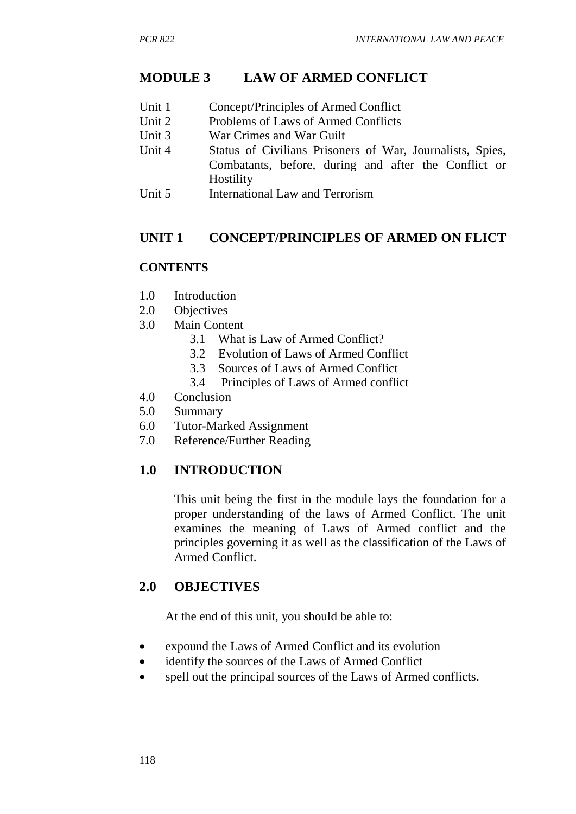## **MODULE 3 LAW OF ARMED CONFLICT**

- Unit 1 Concept/Principles of Armed Conflict
- Unit 2 Problems of Laws of Armed Conflicts
- Unit 3 War Crimes and War Guilt
- Unit 4 Status of Civilians Prisoners of War, Journalists, Spies, Combatants, before, during and after the Conflict or **Hostility**
- Unit 5 International Law and Terrorism

## **UNIT 1 CONCEPT/PRINCIPLES OF ARMED ON FLICT**

### **CONTENTS**

- 1.0 Introduction
- 2.0 Objectives
- 3.0 Main Content
	- 3.1 What is Law of Armed Conflict?
	- 3.2 Evolution of Laws of Armed Conflict
	- 3.3 Sources of Laws of Armed Conflict
	- 3.4 Principles of Laws of Armed conflict
- 4.0 Conclusion
- 5.0 Summary
- 6.0 Tutor-Marked Assignment
- 7.0 Reference/Further Reading

# **1.0 INTRODUCTION**

This unit being the first in the module lays the foundation for a proper understanding of the laws of Armed Conflict. The unit examines the meaning of Laws of Armed conflict and the principles governing it as well as the classification of the Laws of Armed Conflict.

### **2.0 OBJECTIVES**

At the end of this unit, you should be able to:

- expound the Laws of Armed Conflict and its evolution
- identify the sources of the Laws of Armed Conflict
- spell out the principal sources of the Laws of Armed conflicts.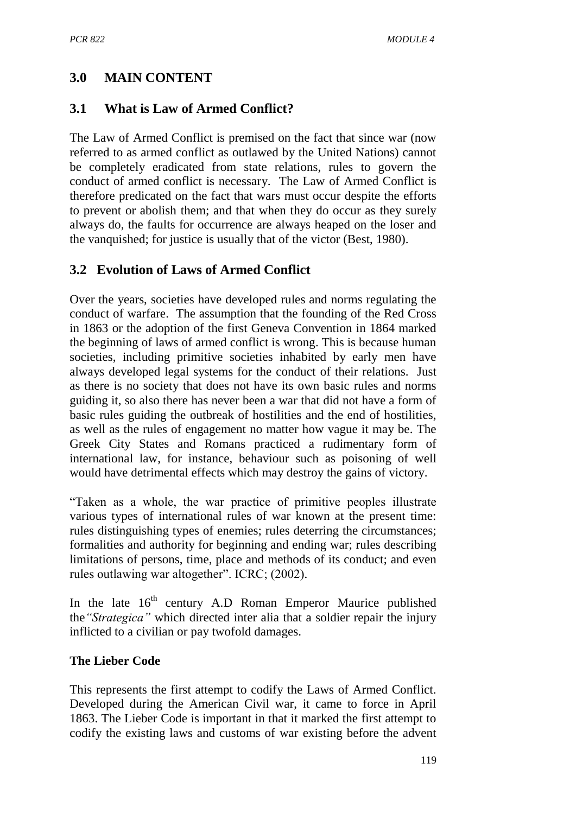## **3.0 MAIN CONTENT**

## **3.1 What is Law of Armed Conflict?**

The Law of Armed Conflict is premised on the fact that since war (now referred to as armed conflict as outlawed by the United Nations) cannot be completely eradicated from state relations, rules to govern the conduct of armed conflict is necessary. The Law of Armed Conflict is therefore predicated on the fact that wars must occur despite the efforts to prevent or abolish them; and that when they do occur as they surely always do, the faults for occurrence are always heaped on the loser and the vanquished; for justice is usually that of the victor (Best, 1980).

### **3.2 Evolution of Laws of Armed Conflict**

Over the years, societies have developed rules and norms regulating the conduct of warfare. The assumption that the founding of the Red Cross in 1863 or the adoption of the first Geneva Convention in 1864 marked the beginning of laws of armed conflict is wrong. This is because human societies, including primitive societies inhabited by early men have always developed legal systems for the conduct of their relations. Just as there is no society that does not have its own basic rules and norms guiding it, so also there has never been a war that did not have a form of basic rules guiding the outbreak of hostilities and the end of hostilities, as well as the rules of engagement no matter how vague it may be. The Greek City States and Romans practiced a rudimentary form of international law, for instance, behaviour such as poisoning of well would have detrimental effects which may destroy the gains of victory.

"Taken as a whole, the war practice of primitive peoples illustrate various types of international rules of war known at the present time: rules distinguishing types of enemies; rules deterring the circumstances; formalities and authority for beginning and ending war; rules describing limitations of persons, time, place and methods of its conduct; and even rules outlawing war altogether". ICRC; (2002).

In the late  $16<sup>th</sup>$  century A.D Roman Emperor Maurice published the*"Strategica"* which directed inter alia that a soldier repair the injury inflicted to a civilian or pay twofold damages.

### **The Lieber Code**

This represents the first attempt to codify the Laws of Armed Conflict. Developed during the American Civil war, it came to force in April 1863. The Lieber Code is important in that it marked the first attempt to codify the existing laws and customs of war existing before the advent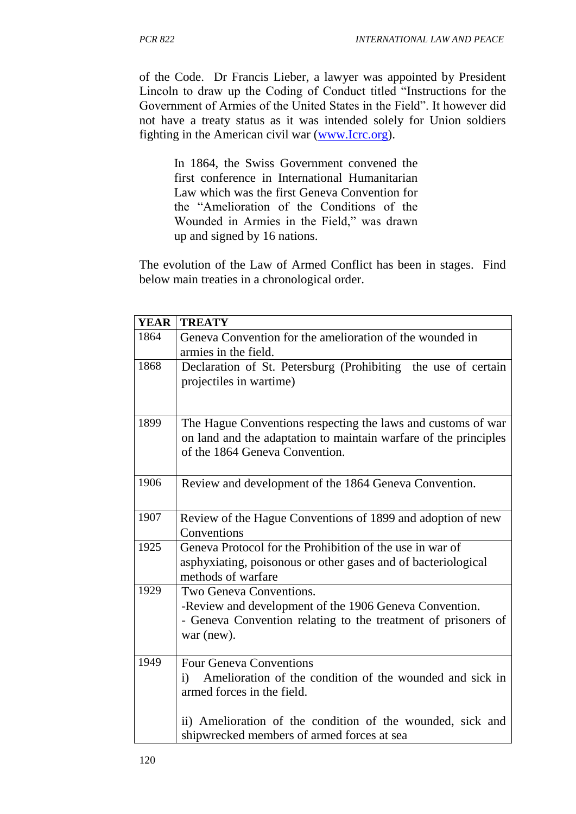of the Code. Dr Francis Lieber, a lawyer was appointed by President Lincoln to draw up the Coding of Conduct titled "Instructions for the Government of Armies of the United States in the Field". It however did not have a treaty status as it was intended solely for Union soldiers fighting in the American civil war [\(www.Icrc.org\)](http://www.icrc.org/).

In 1864, the Swiss Government convened the first conference in International Humanitarian Law which was the first Geneva Convention for the "Amelioration of the Conditions of the Wounded in Armies in the Field," was drawn up and signed by 16 nations.

The evolution of the Law of Armed Conflict has been in stages. Find below main treaties in a chronological order.

| <b>YEAR</b> | <b>TREATY</b>                                                                                                                                                      |
|-------------|--------------------------------------------------------------------------------------------------------------------------------------------------------------------|
| 1864        | Geneva Convention for the amelioration of the wounded in<br>armies in the field.                                                                                   |
| 1868        | Declaration of St. Petersburg (Prohibiting the use of certain<br>projectiles in wartime)                                                                           |
| 1899        | The Hague Conventions respecting the laws and customs of war<br>on land and the adaptation to maintain warfare of the principles<br>of the 1864 Geneva Convention. |
| 1906        | Review and development of the 1864 Geneva Convention.                                                                                                              |
| 1907        | Review of the Hague Conventions of 1899 and adoption of new<br>Conventions                                                                                         |
| 1925        | Geneva Protocol for the Prohibition of the use in war of<br>asphyxiating, poisonous or other gases and of bacteriological<br>methods of warfare                    |
| 1929        | Two Geneva Conventions.<br>-Review and development of the 1906 Geneva Convention.<br>- Geneva Convention relating to the treatment of prisoners of<br>war (new).   |
| 1949        | <b>Four Geneva Conventions</b><br>Amelioration of the condition of the wounded and sick in<br>$\mathbf{i}$<br>armed forces in the field.                           |
|             | ii) Amelioration of the condition of the wounded, sick and<br>shipwrecked members of armed forces at sea                                                           |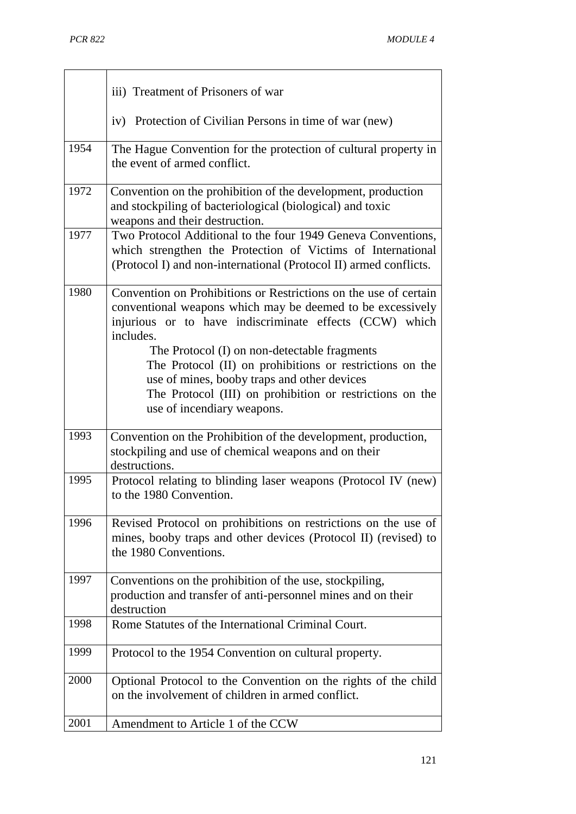|      | iii) Treatment of Prisoners of war                                                                                                                                                                                                                                                                                                                                                                                                                          |
|------|-------------------------------------------------------------------------------------------------------------------------------------------------------------------------------------------------------------------------------------------------------------------------------------------------------------------------------------------------------------------------------------------------------------------------------------------------------------|
|      | iv) Protection of Civilian Persons in time of war (new)                                                                                                                                                                                                                                                                                                                                                                                                     |
| 1954 | The Hague Convention for the protection of cultural property in<br>the event of armed conflict.                                                                                                                                                                                                                                                                                                                                                             |
| 1972 | Convention on the prohibition of the development, production<br>and stockpiling of bacteriological (biological) and toxic<br>weapons and their destruction.                                                                                                                                                                                                                                                                                                 |
| 1977 | Two Protocol Additional to the four 1949 Geneva Conventions,<br>which strengthen the Protection of Victims of International<br>(Protocol I) and non-international (Protocol II) armed conflicts.                                                                                                                                                                                                                                                            |
| 1980 | Convention on Prohibitions or Restrictions on the use of certain<br>conventional weapons which may be deemed to be excessively<br>injurious or to have indiscriminate effects (CCW) which<br>includes.<br>The Protocol (I) on non-detectable fragments<br>The Protocol (II) on prohibitions or restrictions on the<br>use of mines, booby traps and other devices<br>The Protocol (III) on prohibition or restrictions on the<br>use of incendiary weapons. |
| 1993 | Convention on the Prohibition of the development, production,<br>stockpiling and use of chemical weapons and on their<br>destructions.                                                                                                                                                                                                                                                                                                                      |
| 1995 | Protocol relating to blinding laser weapons (Protocol IV (new)<br>to the 1980 Convention.                                                                                                                                                                                                                                                                                                                                                                   |
| 1996 | Revised Protocol on prohibitions on restrictions on the use of<br>mines, booby traps and other devices (Protocol II) (revised) to<br>the 1980 Conventions.                                                                                                                                                                                                                                                                                                  |
| 1997 | Conventions on the prohibition of the use, stockpiling,<br>production and transfer of anti-personnel mines and on their<br>destruction                                                                                                                                                                                                                                                                                                                      |
| 1998 | Rome Statutes of the International Criminal Court.                                                                                                                                                                                                                                                                                                                                                                                                          |
| 1999 | Protocol to the 1954 Convention on cultural property.                                                                                                                                                                                                                                                                                                                                                                                                       |
| 2000 | Optional Protocol to the Convention on the rights of the child<br>on the involvement of children in armed conflict.                                                                                                                                                                                                                                                                                                                                         |
| 2001 | Amendment to Article 1 of the CCW                                                                                                                                                                                                                                                                                                                                                                                                                           |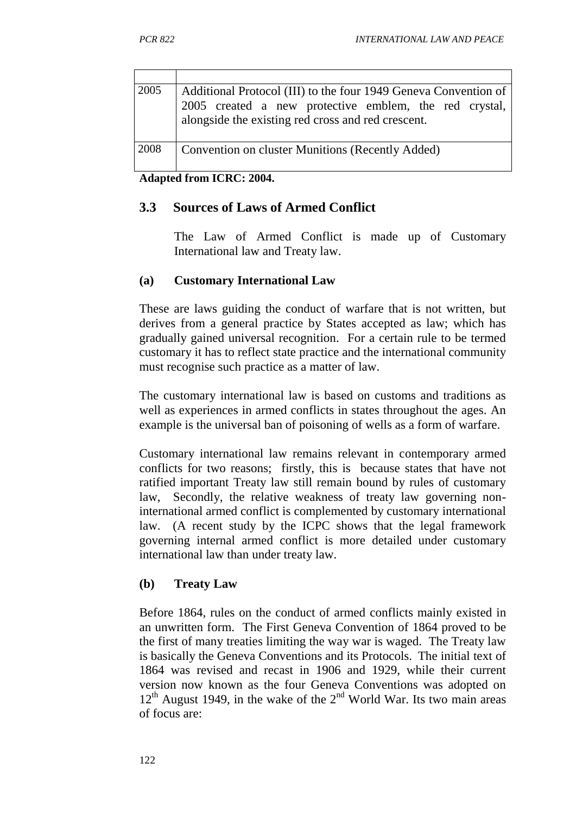| 2005 | Additional Protocol (III) to the four 1949 Geneva Convention of<br>2005 created a new protective emblem, the red crystal,<br>alongside the existing red cross and red crescent. |
|------|---------------------------------------------------------------------------------------------------------------------------------------------------------------------------------|
| 2008 | Convention on cluster Munitions (Recently Added)                                                                                                                                |

**Adapted from ICRC: 2004.**

#### **3.3 Sources of Laws of Armed Conflict**

The Law of Armed Conflict is made up of Customary International law and Treaty law.

#### **(a) Customary International Law**

These are laws guiding the conduct of warfare that is not written, but derives from a general practice by States accepted as law; which has gradually gained universal recognition. For a certain rule to be termed customary it has to reflect state practice and the international community must recognise such practice as a matter of law.

The customary international law is based on customs and traditions as well as experiences in armed conflicts in states throughout the ages. An example is the universal ban of poisoning of wells as a form of warfare.

Customary international law remains relevant in contemporary armed conflicts for two reasons; firstly, this is because states that have not ratified important Treaty law still remain bound by rules of customary law, Secondly, the relative weakness of treaty law governing noninternational armed conflict is complemented by customary international law. (A recent study by the ICPC shows that the legal framework governing internal armed conflict is more detailed under customary international law than under treaty law.

#### **(b) Treaty Law**

Before 1864, rules on the conduct of armed conflicts mainly existed in an unwritten form. The First Geneva Convention of 1864 proved to be the first of many treaties limiting the way war is waged. The Treaty law is basically the Geneva Conventions and its Protocols. The initial text of 1864 was revised and recast in 1906 and 1929, while their current version now known as the four Geneva Conventions was adopted on  $12<sup>th</sup>$  August 1949, in the wake of the  $2<sup>nd</sup>$  World War. Its two main areas of focus are: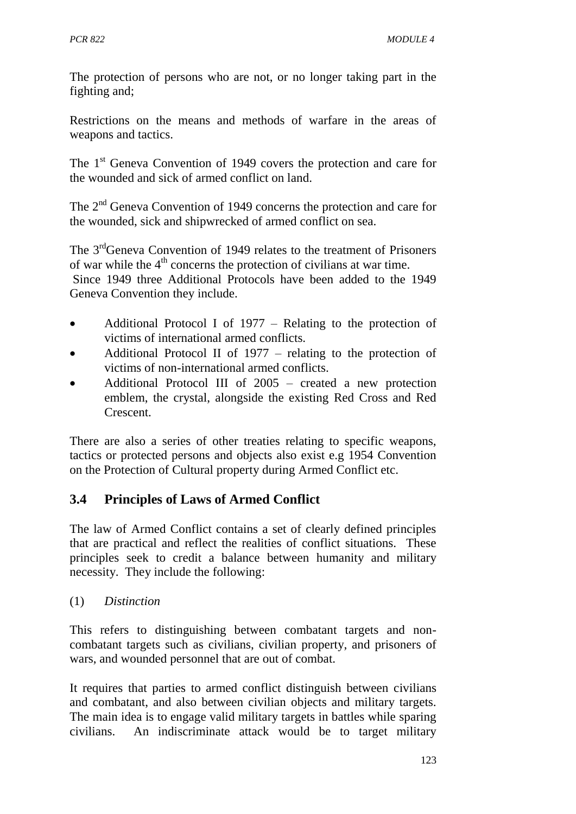The protection of persons who are not, or no longer taking part in the fighting and;

Restrictions on the means and methods of warfare in the areas of weapons and tactics.

The 1<sup>st</sup> Geneva Convention of 1949 covers the protection and care for the wounded and sick of armed conflict on land.

The 2<sup>nd</sup> Geneva Convention of 1949 concerns the protection and care for the wounded, sick and shipwrecked of armed conflict on sea.

The 3<sup>rd</sup>Geneva Convention of 1949 relates to the treatment of Prisoners of war while the  $4<sup>th</sup>$  concerns the protection of civilians at war time. Since 1949 three Additional Protocols have been added to the 1949 Geneva Convention they include.

- Additional Protocol I of 1977 Relating to the protection of victims of international armed conflicts.
- Additional Protocol II of 1977 relating to the protection of victims of non-international armed conflicts.
- Additional Protocol III of 2005 created a new protection emblem, the crystal, alongside the existing Red Cross and Red Crescent.

There are also a series of other treaties relating to specific weapons, tactics or protected persons and objects also exist e.g 1954 Convention on the Protection of Cultural property during Armed Conflict etc.

# **3.4 Principles of Laws of Armed Conflict**

The law of Armed Conflict contains a set of clearly defined principles that are practical and reflect the realities of conflict situations. These principles seek to credit a balance between humanity and military necessity. They include the following:

(1) *Distinction* 

This refers to distinguishing between combatant targets and noncombatant targets such as civilians, civilian property, and prisoners of wars, and wounded personnel that are out of combat.

It requires that parties to armed conflict distinguish between civilians and combatant, and also between civilian objects and military targets. The main idea is to engage valid military targets in battles while sparing civilians. An indiscriminate attack would be to target military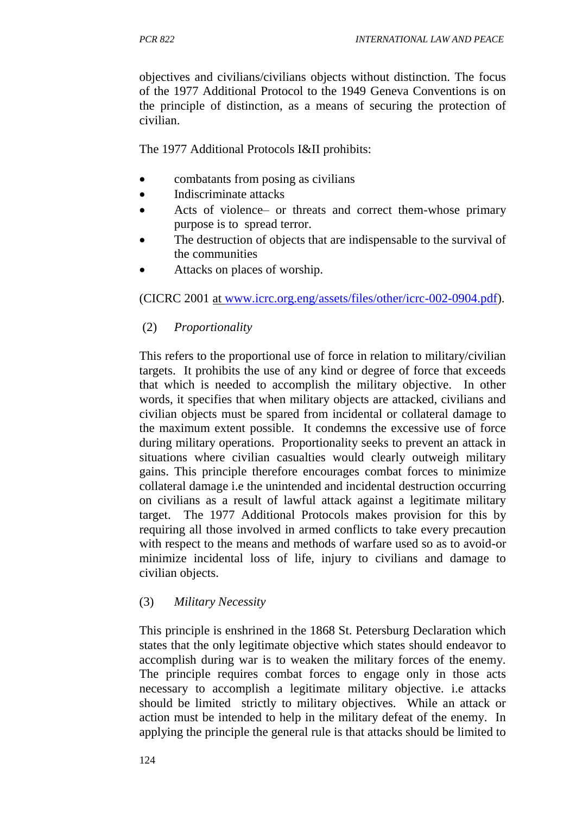objectives and civilians/civilians objects without distinction. The focus of the 1977 Additional Protocol to the 1949 Geneva Conventions is on the principle of distinction, as a means of securing the protection of civilian.

The 1977 Additional Protocols I&II prohibits:

- combatants from posing as civilians
- Indiscriminate attacks
- Acts of violence– or threats and correct them-whose primary purpose is to spread terror.
- The destruction of objects that are indispensable to the survival of the communities
- Attacks on places of worship.

(CICRC 2001 at [www.icrc.org.eng/assets/files/other/icrc-002-0904.pdf\)](http://www.icrc.org.eng/assets/files/other/icrc-002-0904.pdf).

(2) *Proportionality* 

This refers to the proportional use of force in relation to military/civilian targets. It prohibits the use of any kind or degree of force that exceeds that which is needed to accomplish the military objective. In other words, it specifies that when military objects are attacked, civilians and civilian objects must be spared from incidental or collateral damage to the maximum extent possible. It condemns the excessive use of force during military operations. Proportionality seeks to prevent an attack in situations where civilian casualties would clearly outweigh military gains. This principle therefore encourages combat forces to minimize collateral damage i.e the unintended and incidental destruction occurring on civilians as a result of lawful attack against a legitimate military target. The 1977 Additional Protocols makes provision for this by requiring all those involved in armed conflicts to take every precaution with respect to the means and methods of warfare used so as to avoid-or minimize incidental loss of life, injury to civilians and damage to civilian objects.

#### (3) *Military Necessity*

This principle is enshrined in the 1868 St. Petersburg Declaration which states that the only legitimate objective which states should endeavor to accomplish during war is to weaken the military forces of the enemy. The principle requires combat forces to engage only in those acts necessary to accomplish a legitimate military objective. i.e attacks should be limited strictly to military objectives. While an attack or action must be intended to help in the military defeat of the enemy. In applying the principle the general rule is that attacks should be limited to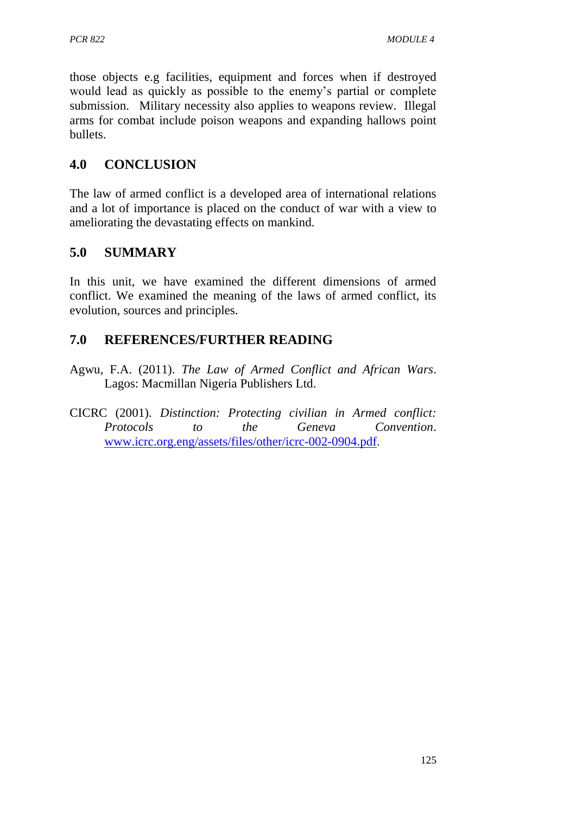those objects e.g facilities, equipment and forces when if destroyed would lead as quickly as possible to the enemy's partial or complete submission. Military necessity also applies to weapons review. Illegal arms for combat include poison weapons and expanding hallows point bullets.

# **4.0 CONCLUSION**

The law of armed conflict is a developed area of international relations and a lot of importance is placed on the conduct of war with a view to ameliorating the devastating effects on mankind.

# **5.0 SUMMARY**

In this unit, we have examined the different dimensions of armed conflict. We examined the meaning of the laws of armed conflict, its evolution, sources and principles.

# **7.0 REFERENCES/FURTHER READING**

- Agwu, F.A. (2011). *The Law of Armed Conflict and African Wars*. Lagos: Macmillan Nigeria Publishers Ltd.
- CICRC (2001). *Distinction: Protecting civilian in Armed conflict: Protocols to the Geneva Convention*. [www.icrc.org.eng/assets/files/other/icrc-002-0904.pdf](http://www.icrc.org.eng/assets/files/other/icrc-002-0904.pdf).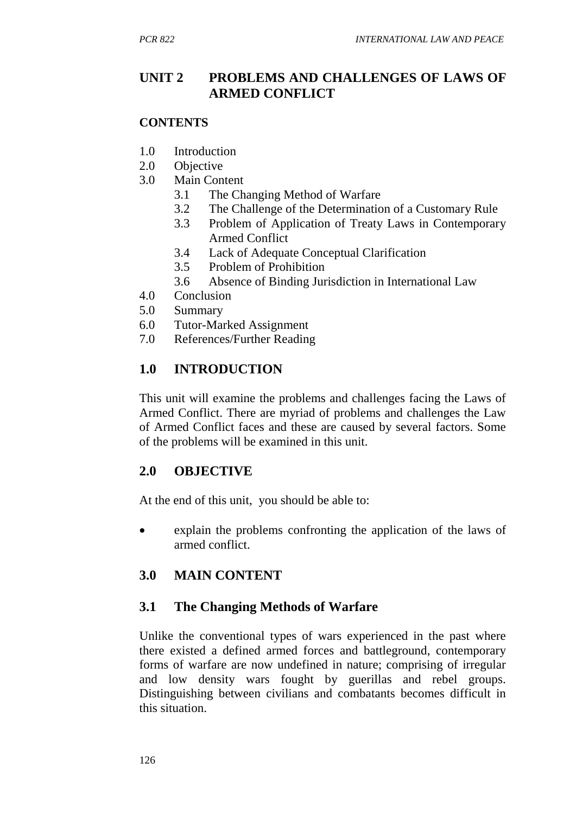## **UNIT 2 PROBLEMS AND CHALLENGES OF LAWS OF ARMED CONFLICT**

#### **CONTENTS**

- 1.0 Introduction
- 2.0 Objective
- 3.0 Main Content
	- 3.1 The Changing Method of Warfare
	- 3.2 The Challenge of the Determination of a Customary Rule
	- 3.3 Problem of Application of Treaty Laws in Contemporary Armed Conflict
	- 3.4 Lack of Adequate Conceptual Clarification
	- 3.5 Problem of Prohibition
	- 3.6 Absence of Binding Jurisdiction in International Law
- 4.0 Conclusion
- 5.0 Summary
- 6.0 Tutor-Marked Assignment
- 7.0 References/Further Reading

## **1.0 INTRODUCTION**

This unit will examine the problems and challenges facing the Laws of Armed Conflict. There are myriad of problems and challenges the Law of Armed Conflict faces and these are caused by several factors. Some of the problems will be examined in this unit.

### **2.0 OBJECTIVE**

At the end of this unit, you should be able to:

 explain the problems confronting the application of the laws of armed conflict.

# **3.0 MAIN CONTENT**

### **3.1 The Changing Methods of Warfare**

Unlike the conventional types of wars experienced in the past where there existed a defined armed forces and battleground, contemporary forms of warfare are now undefined in nature; comprising of irregular and low density wars fought by guerillas and rebel groups. Distinguishing between civilians and combatants becomes difficult in this situation.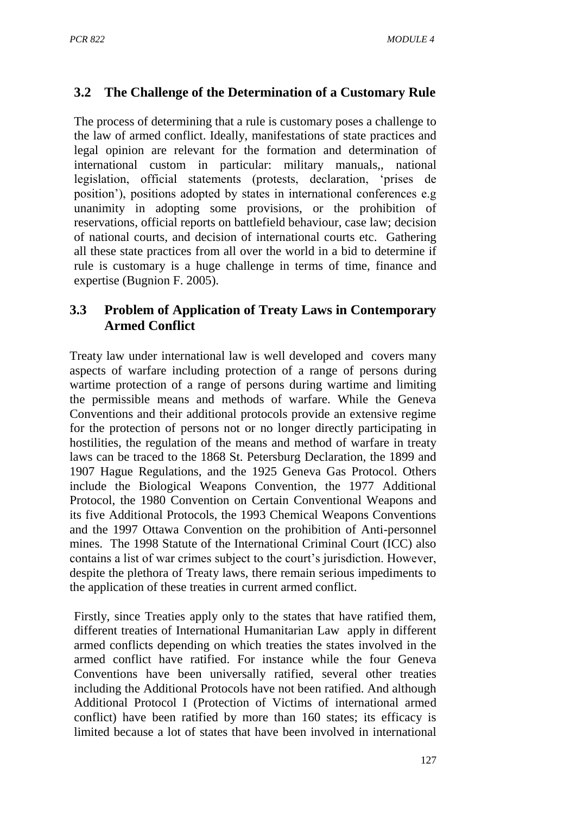# **3.2 The Challenge of the Determination of a Customary Rule**

The process of determining that a rule is customary poses a challenge to the law of armed conflict. Ideally, manifestations of state practices and legal opinion are relevant for the formation and determination of international custom in particular: military manuals,, national legislation, official statements (protests, declaration, 'prises de position'), positions adopted by states in international conferences e.g unanimity in adopting some provisions, or the prohibition of reservations, official reports on battlefield behaviour, case law; decision of national courts, and decision of international courts etc. Gathering all these state practices from all over the world in a bid to determine if rule is customary is a huge challenge in terms of time, finance and expertise (Bugnion F. 2005).

### **3.3 Problem of Application of Treaty Laws in Contemporary Armed Conflict**

Treaty law under international law is well developed and covers many aspects of warfare including protection of a range of persons during wartime protection of a range of persons during wartime and limiting the permissible means and methods of warfare. While the Geneva Conventions and their additional protocols provide an extensive regime for the protection of persons not or no longer directly participating in hostilities, the regulation of the means and method of warfare in treaty laws can be traced to the 1868 St. Petersburg Declaration, the 1899 and 1907 Hague Regulations, and the 1925 Geneva Gas Protocol. Others include the Biological Weapons Convention, the 1977 Additional Protocol, the 1980 Convention on Certain Conventional Weapons and its five Additional Protocols, the 1993 Chemical Weapons Conventions and the 1997 Ottawa Convention on the prohibition of Anti-personnel mines. The 1998 Statute of the International Criminal Court (ICC) also contains a list of war crimes subject to the court's jurisdiction. However, despite the plethora of Treaty laws, there remain serious impediments to the application of these treaties in current armed conflict.

Firstly, since Treaties apply only to the states that have ratified them, different treaties of International Humanitarian Law apply in different armed conflicts depending on which treaties the states involved in the armed conflict have ratified. For instance while the four Geneva Conventions have been universally ratified, several other treaties including the Additional Protocols have not been ratified. And although Additional Protocol I (Protection of Victims of international armed conflict) have been ratified by more than 160 states; its efficacy is limited because a lot of states that have been involved in international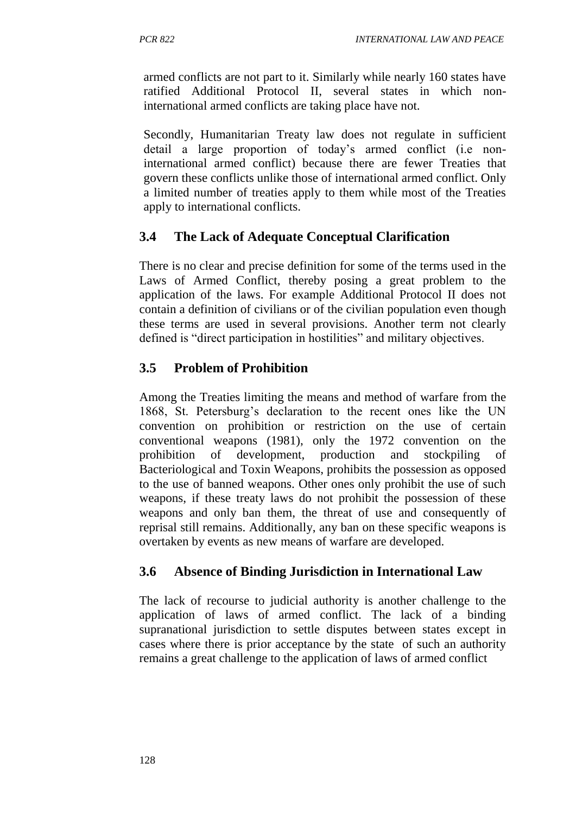armed conflicts are not part to it. Similarly while nearly 160 states have ratified Additional Protocol II, several states in which noninternational armed conflicts are taking place have not.

Secondly, Humanitarian Treaty law does not regulate in sufficient detail a large proportion of today's armed conflict (i.e noninternational armed conflict) because there are fewer Treaties that govern these conflicts unlike those of international armed conflict. Only a limited number of treaties apply to them while most of the Treaties apply to international conflicts.

# **3.4 The Lack of Adequate Conceptual Clarification**

There is no clear and precise definition for some of the terms used in the Laws of Armed Conflict, thereby posing a great problem to the application of the laws. For example Additional Protocol II does not contain a definition of civilians or of the civilian population even though these terms are used in several provisions. Another term not clearly defined is "direct participation in hostilities" and military objectives.

# **3.5 Problem of Prohibition**

Among the Treaties limiting the means and method of warfare from the 1868, St. Petersburg's declaration to the recent ones like the UN convention on prohibition or restriction on the use of certain conventional weapons (1981), only the 1972 convention on the prohibition of development, production and stockpiling of Bacteriological and Toxin Weapons, prohibits the possession as opposed to the use of banned weapons. Other ones only prohibit the use of such weapons, if these treaty laws do not prohibit the possession of these weapons and only ban them, the threat of use and consequently of reprisal still remains. Additionally, any ban on these specific weapons is overtaken by events as new means of warfare are developed.

# **3.6 Absence of Binding Jurisdiction in International Law**

The lack of recourse to judicial authority is another challenge to the application of laws of armed conflict. The lack of a binding supranational jurisdiction to settle disputes between states except in cases where there is prior acceptance by the state of such an authority remains a great challenge to the application of laws of armed conflict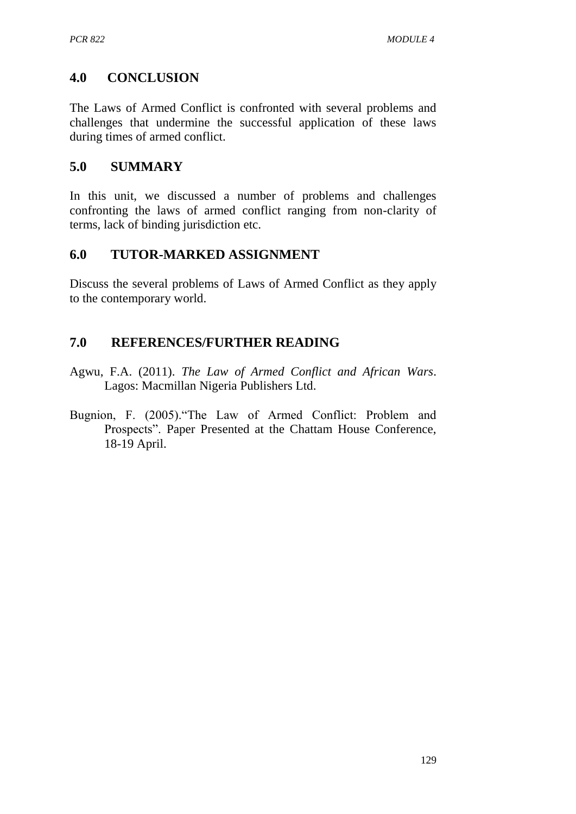# **4.0 CONCLUSION**

The Laws of Armed Conflict is confronted with several problems and challenges that undermine the successful application of these laws during times of armed conflict.

### **5.0 SUMMARY**

In this unit, we discussed a number of problems and challenges confronting the laws of armed conflict ranging from non-clarity of terms, lack of binding jurisdiction etc.

### **6.0 TUTOR-MARKED ASSIGNMENT**

Discuss the several problems of Laws of Armed Conflict as they apply to the contemporary world.

## **7.0 REFERENCES/FURTHER READING**

- Agwu, F.A. (2011). *The Law of Armed Conflict and African Wars*. Lagos: Macmillan Nigeria Publishers Ltd.
- Bugnion, F. (2005)."The Law of Armed Conflict: Problem and Prospects". Paper Presented at the Chattam House Conference, 18-19 April.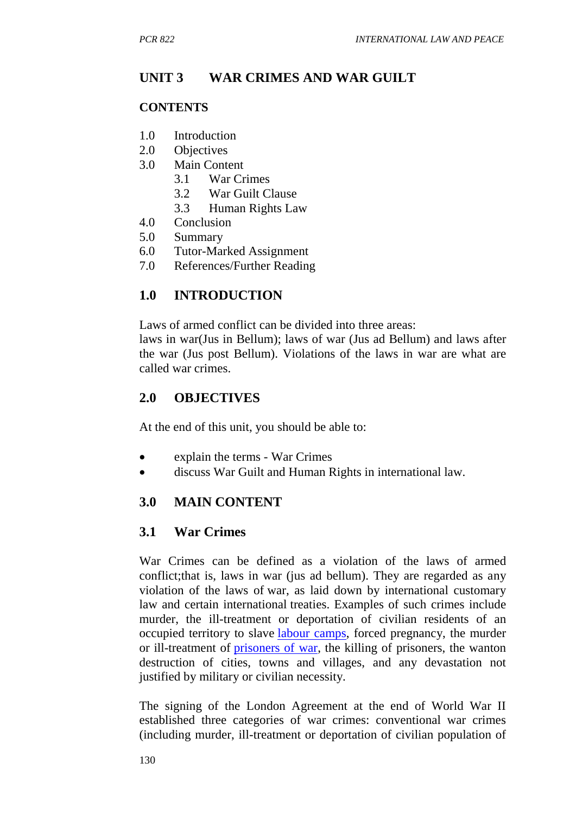### **UNIT 3 WAR CRIMES AND WAR GUILT**

#### **CONTENTS**

- 1.0 Introduction
- 2.0 Objectives
- 3.0 Main Content
	- 3.1 War Crimes
	- 3.2 War Guilt Clause
	- 3.3 Human Rights Law
- 4.0 Conclusion
- 5.0 Summary
- 6.0 Tutor-Marked Assignment
- 7.0 References/Further Reading

### **1.0 INTRODUCTION**

Laws of armed conflict can be divided into three areas:

laws in war(Jus in Bellum); laws of war (Jus ad Bellum) and laws after the war (Jus post Bellum). Violations of the laws in war are what are called war crimes.

#### **2.0 OBJECTIVES**

At the end of this unit, you should be able to:

- explain the terms War Crimes
- discuss War Guilt and Human Rights in international law.

### **3.0 MAIN CONTENT**

#### **3.1 War Crimes**

War Crimes can be defined as a violation of the laws of armed conflict;that is, laws in war (jus ad bellum). They are regarded as any violation of the laws of war, as laid down by international customary law and certain international treaties. Examples of such crimes include murder, the ill-treatment or deportation of civilian residents of an occupied territory to slave [labour camps,](http://en.wikipedia.org/wiki/Labor_camp) forced pregnancy, the murder or ill-treatment of [prisoners of war,](http://en.wikipedia.org/wiki/Prisoner_of_war) the killing of prisoners, the wanton destruction of cities, towns and villages, and any devastation not justified by military or civilian necessity.

The signing of the London Agreement at the end of World War II established three categories of war crimes: conventional war crimes (including murder, ill-treatment or deportation of civilian population of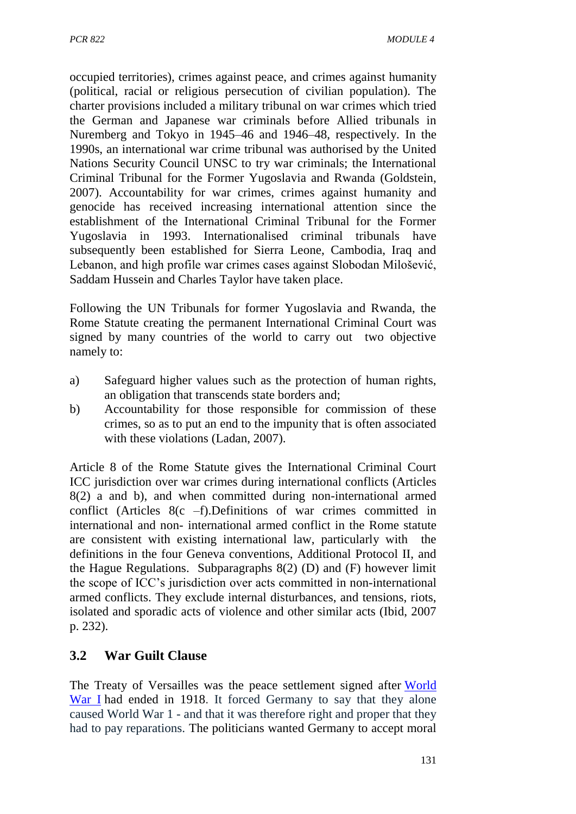occupied territories), crimes against peace, and crimes against humanity (political, racial or religious persecution of civilian population). The charter provisions included a military tribunal on war crimes which tried the German and Japanese war criminals before Allied tribunals in Nuremberg and Tokyo in 1945–46 and 1946–48, respectively. In the 1990s, an international war crime tribunal was authorised by the United Nations Security Council UNSC to try war criminals; the International Criminal Tribunal for the Former Yugoslavia and Rwanda (Goldstein, 2007). Accountability for war crimes, crimes against humanity and genocide has received increasing international attention since the establishment of the International Criminal Tribunal for the Former Yugoslavia in 1993. Internationalised criminal tribunals have subsequently been established for Sierra Leone, Cambodia, Iraq and Lebanon, and high profile war crimes cases against Slobodan Milošević, Saddam Hussein and Charles Taylor have taken place.

Following the UN Tribunals for former Yugoslavia and Rwanda, the Rome Statute creating the permanent International Criminal Court was signed by many countries of the world to carry out two objective namely to:

- a) Safeguard higher values such as the protection of human rights, an obligation that transcends state borders and;
- b) Accountability for those responsible for commission of these crimes, so as to put an end to the impunity that is often associated with these violations (Ladan, 2007).

Article 8 of the Rome Statute gives the International Criminal Court ICC jurisdiction over war crimes during international conflicts (Articles 8(2) a and b), and when committed during non-international armed conflict (Articles 8(c –f).Definitions of war crimes committed in international and non- international armed conflict in the Rome statute are consistent with existing international law, particularly with the definitions in the four Geneva conventions, Additional Protocol II, and the Hague Regulations. Subparagraphs 8(2) (D) and (F) however limit the scope of ICC's jurisdiction over acts committed in non-international armed conflicts. They exclude internal disturbances, and tensions, riots, isolated and sporadic acts of violence and other similar acts (Ibid, 2007 p. 232).

### **3.2 War Guilt Clause**

The Treaty of Versailles was the peace settlement signed after [World](http://www.historylearningsite.co.uk/index.htm)  [War I](http://www.historylearningsite.co.uk/index.htm) had ended in 1918. It forced Germany to say that they alone caused World War 1 - and that it was therefore right and proper that they had to pay reparations. The politicians wanted Germany to accept moral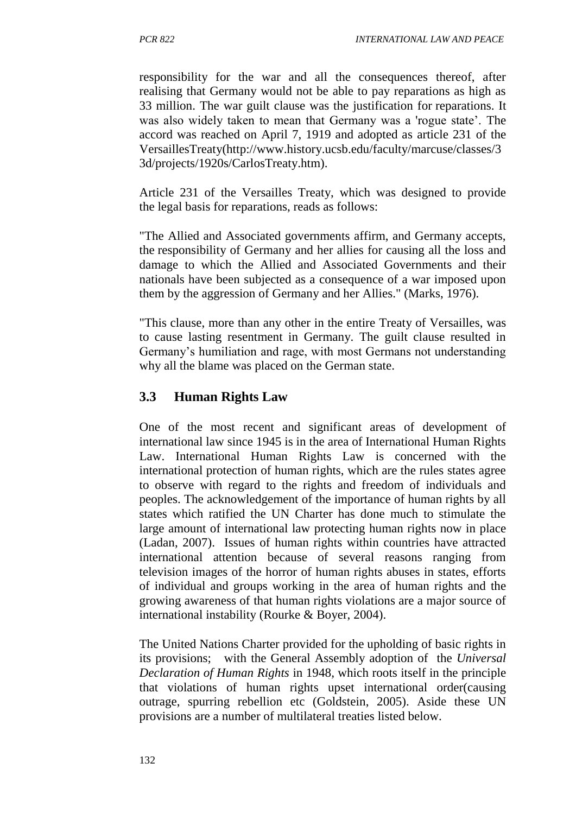responsibility for the war and all the consequences thereof, after realising that Germany would not be able to pay reparations as high as 33 million. The war guilt clause was the justification for reparations. It was also widely taken to mean that Germany was a 'rogue state'. The accord was reached on April 7, 1919 and adopted as article 231 of the VersaillesTreaty(http://www.history.ucsb.edu/faculty/marcuse/classes/3 3d/projects/1920s/CarlosTreaty.htm).

Article 231 of the Versailles Treaty, which was designed to provide the legal basis for reparations, reads as follows:

"The Allied and Associated governments affirm, and Germany accepts, the responsibility of Germany and her allies for causing all the loss and damage to which the Allied and Associated Governments and their nationals have been subjected as a consequence of a war imposed upon them by the aggression of Germany and her Allies." (Marks, 1976).

"This clause, more than any other in the entire Treaty of Versailles, was to cause lasting resentment in Germany. The guilt clause resulted in Germany's humiliation and rage, with most Germans not understanding why all the blame was placed on the German state.

### **3.3 Human Rights Law**

One of the most recent and significant areas of development of international law since 1945 is in the area of International Human Rights Law. International Human Rights Law is concerned with the international protection of human rights, which are the rules states agree to observe with regard to the rights and freedom of individuals and peoples. The acknowledgement of the importance of human rights by all states which ratified the UN Charter has done much to stimulate the large amount of international law protecting human rights now in place (Ladan, 2007). Issues of human rights within countries have attracted international attention because of several reasons ranging from television images of the horror of human rights abuses in states, efforts of individual and groups working in the area of human rights and the growing awareness of that human rights violations are a major source of international instability (Rourke & Boyer, 2004).

The United Nations Charter provided for the upholding of basic rights in its provisions; with the General Assembly adoption of the *Universal Declaration of Human Rights* in 1948*,* which roots itself in the principle that violations of human rights upset international order(causing outrage, spurring rebellion etc (Goldstein, 2005). Aside these UN provisions are a number of multilateral treaties listed below.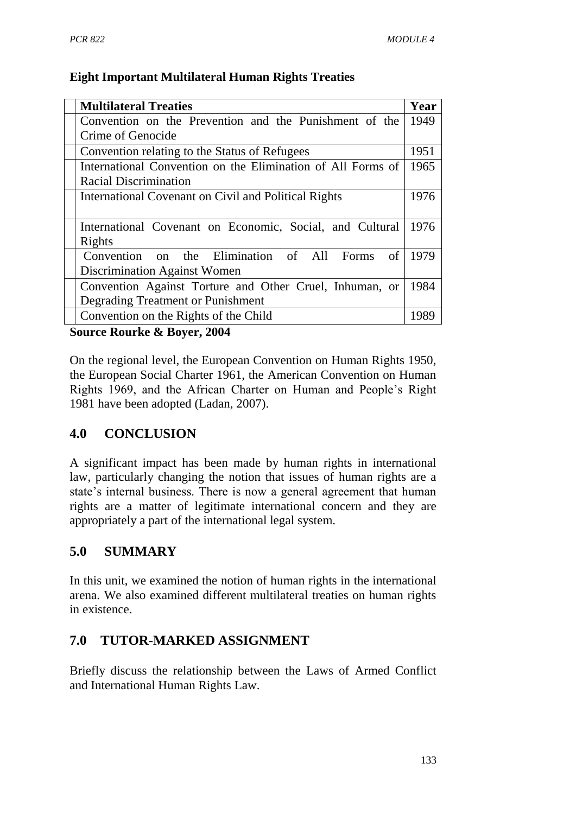### **Eight Important Multilateral Human Rights Treaties**

| <b>Multilateral Treaties</b>                                | Year |
|-------------------------------------------------------------|------|
| Convention on the Prevention and the Punishment of the      | 1949 |
| Crime of Genocide                                           |      |
| Convention relating to the Status of Refugees               | 1951 |
| International Convention on the Elimination of All Forms of | 1965 |
| <b>Racial Discrimination</b>                                |      |
| International Covenant on Civil and Political Rights        | 1976 |
|                                                             |      |
| International Covenant on Economic, Social, and Cultural    | 1976 |
| Rights                                                      |      |
| Convention on the Elimination of All Forms<br>of            | 1979 |
| Discrimination Against Women                                |      |
| Convention Against Torture and Other Cruel, Inhuman, or     | 1984 |
| Degrading Treatment or Punishment                           |      |
| Convention on the Rights of the Child                       | 1989 |

**Source Rourke & Boyer, 2004**

On the regional level, the European Convention on Human Rights 1950, the European Social Charter 1961, the American Convention on Human Rights 1969, and the African Charter on Human and People's Right 1981 have been adopted (Ladan, 2007).

# **4.0 CONCLUSION**

A significant impact has been made by human rights in international law, particularly changing the notion that issues of human rights are a state's internal business. There is now a general agreement that human rights are a matter of legitimate international concern and they are appropriately a part of the international legal system.

# **5.0 SUMMARY**

In this unit, we examined the notion of human rights in the international arena. We also examined different multilateral treaties on human rights in existence.

# **7.0 TUTOR-MARKED ASSIGNMENT**

Briefly discuss the relationship between the Laws of Armed Conflict and International Human Rights Law.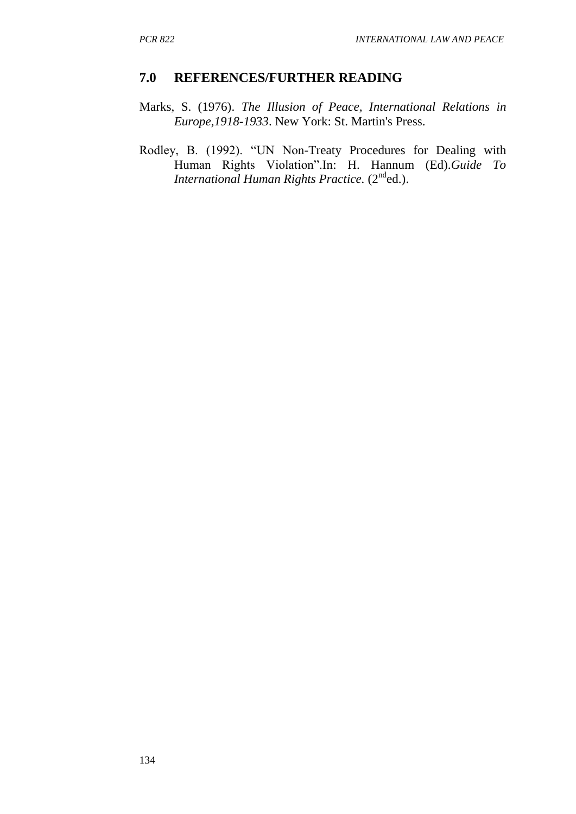#### **7.0 REFERENCES/FURTHER READING**

- Marks, S. (1976). *The Illusion of Peace, International Relations in Europe,1918-1933*. New York: St. Martin's Press.
- Rodley, B. (1992). "UN Non-Treaty Procedures for Dealing with Human Rights Violation".In: H. Hannum (Ed).*Guide To*  International Human Rights Practice. (2<sup>nd</sup>ed.).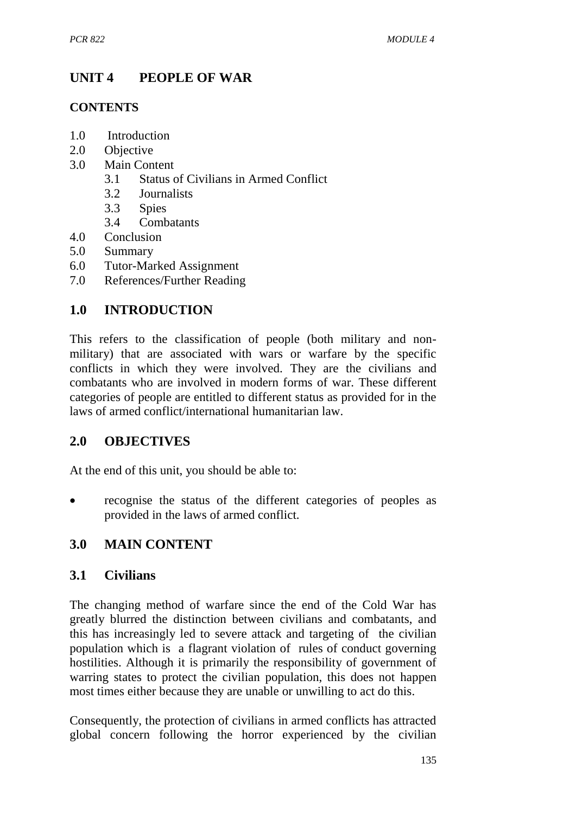# **UNIT 4 PEOPLE OF WAR**

#### **CONTENTS**

- 1.0 Introduction
- 2.0 Objective
- 3.0 Main Content
	- 3.1 Status of Civilians in Armed Conflict
	- 3.2 Journalists
	- 3.3 Spies
	- 3.4 Combatants
- 4.0 Conclusion
- 5.0 Summary
- 6.0 Tutor-Marked Assignment
- 7.0 References/Further Reading

# **1.0 INTRODUCTION**

This refers to the classification of people (both military and nonmilitary) that are associated with wars or warfare by the specific conflicts in which they were involved. They are the civilians and combatants who are involved in modern forms of war. These different categories of people are entitled to different status as provided for in the laws of armed conflict/international humanitarian law.

# **2.0 OBJECTIVES**

At the end of this unit, you should be able to:

• recognise the status of the different categories of peoples as provided in the laws of armed conflict.

### **3.0 MAIN CONTENT**

### **3.1 Civilians**

The changing method of warfare since the end of the Cold War has greatly blurred the distinction between civilians and combatants, and this has increasingly led to severe attack and targeting of the civilian population which is a flagrant violation of rules of conduct governing hostilities. Although it is primarily the responsibility of government of warring states to protect the civilian population, this does not happen most times either because they are unable or unwilling to act do this.

Consequently, the protection of civilians in armed conflicts has attracted global concern following the horror experienced by the civilian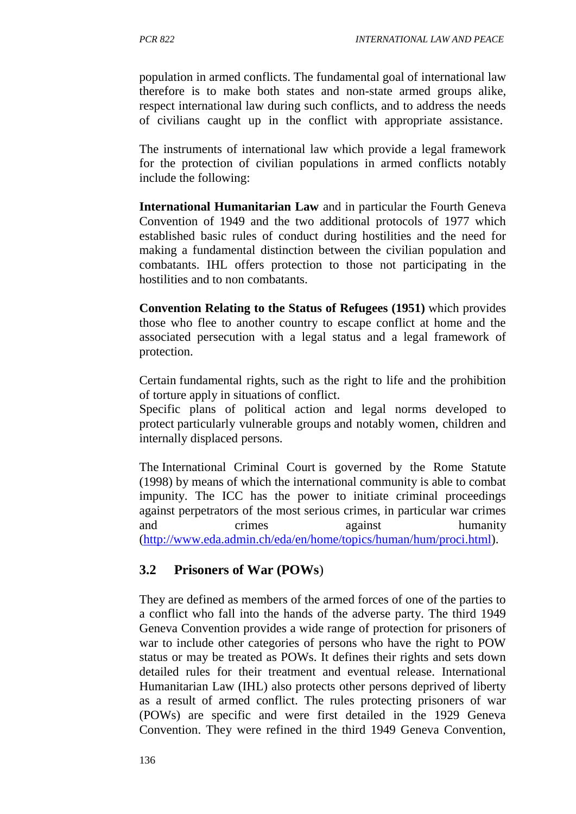population in armed conflicts. The fundamental goal of international law therefore is to make both states and non-state armed groups alike, respect international law during such conflicts, and to address the needs of civilians caught up in the conflict with appropriate assistance.

The instruments of international law which provide a legal framework for the protection of civilian populations in armed conflicts notably include the following:

**International Humanitarian Law** and in particular the Fourth Geneva Convention of 1949 and the two additional protocols of 1977 which established basic rules of conduct during hostilities and the need for making a fundamental distinction between the civilian population and combatants. IHL offers protection to those not participating in the hostilities and to non combatants.

**Convention Relating to the Status of Refugees (1951)** which provides those who flee to another country to escape conflict at home and the associated persecution with a legal status and a legal framework of protection.

Certain fundamental rights, such as the right to life and the prohibition of torture apply in situations of conflict.

Specific plans of political action and legal norms developed to protect particularly vulnerable groups and notably women, children and internally displaced persons.

The International Criminal Court is governed by the Rome Statute (1998) by means of which the international community is able to combat impunity. The ICC has the power to initiate criminal proceedings against perpetrators of the most serious crimes, in particular war crimes and crimes against humanity [\(http://www.eda.admin.ch/eda/en/home/topics/human/hum/proci.html\)](http://www.eda.admin.ch/eda/en/home/topics/human/hum/proci.html).

# **3.2 Prisoners of War (POWs**)

They are defined as members of the armed forces of one of the parties to a conflict who fall into the hands of the adverse party. The third 1949 Geneva Convention provides a wide range of protection for prisoners of war to include other categories of persons who have the right to POW status or may be treated as POWs. It defines their rights and sets down detailed rules for their treatment and eventual release. International Humanitarian Law (IHL) also protects other persons deprived of liberty as a result of armed conflict. The rules protecting prisoners of war (POWs) are specific and were first detailed in the 1929 Geneva Convention. They were refined in the third 1949 Geneva Convention,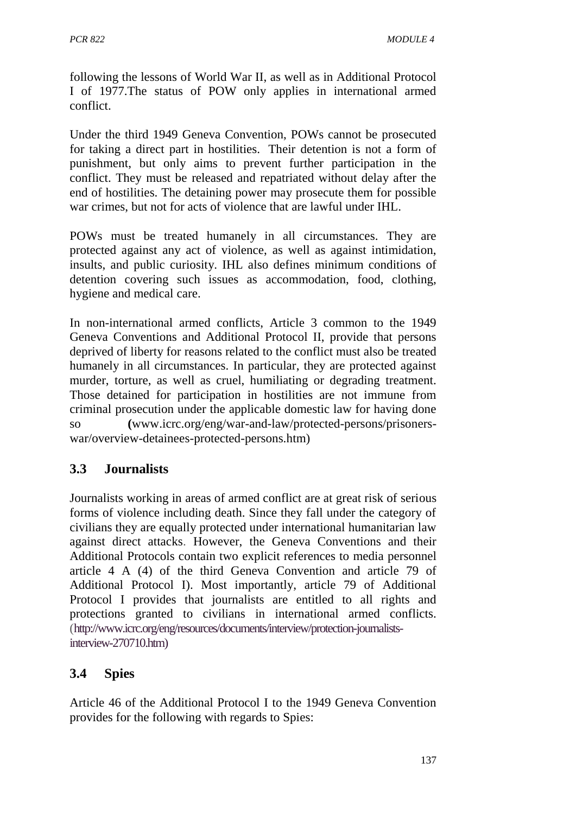following the lessons of World War II, as well as in Additional Protocol I of 1977.The status of POW only applies in international armed conflict.

Under the third 1949 Geneva Convention, POWs cannot be prosecuted for taking a direct part in hostilities. Their detention is not a form of punishment, but only aims to prevent further participation in the conflict. They must be released and repatriated without delay after the end of hostilities. The detaining power may prosecute them for possible war crimes, but not for acts of violence that are lawful under IHL.

POWs must be treated humanely in all circumstances. They are protected against any act of violence, as well as against intimidation, insults, and public curiosity. IHL also defines minimum conditions of detention covering such issues as accommodation, food, clothing, hygiene and medical care.

In non-international armed conflicts, Article 3 common to the 1949 Geneva Conventions and Additional Protocol II, provide that persons deprived of liberty for reasons related to the conflict must also be treated humanely in all circumstances. In particular, they are protected against murder, torture, as well as cruel, humiliating or degrading treatment. Those detained for participation in hostilities are not immune from criminal prosecution under the applicable domestic law for having done so **(**www.icrc.org/eng/war-and-law/protected-persons/prisonerswar/overview-detainees-protected-persons.htm)

### **3.3 Journalists**

Journalists working in areas of armed conflict are at great risk of serious forms of violence including death. Since they fall under the category of civilians they are equally protected under international humanitarian law against direct attacks. However, the Geneva Conventions and their Additional Protocols contain two explicit references to media personnel article 4 A (4) of the third Geneva Convention and article 79 of Additional Protocol I). Most importantly, article 79 of Additional Protocol I provides that journalists are entitled to all rights and protections granted to civilians in international armed conflicts. (http://www.icrc.org/eng/resources/documents/interview/protection-journalistsinterview-270710.htm)

### **3.4 Spies**

Article 46 of the Additional Protocol I to the 1949 Geneva Convention provides for the following with regards to Spies: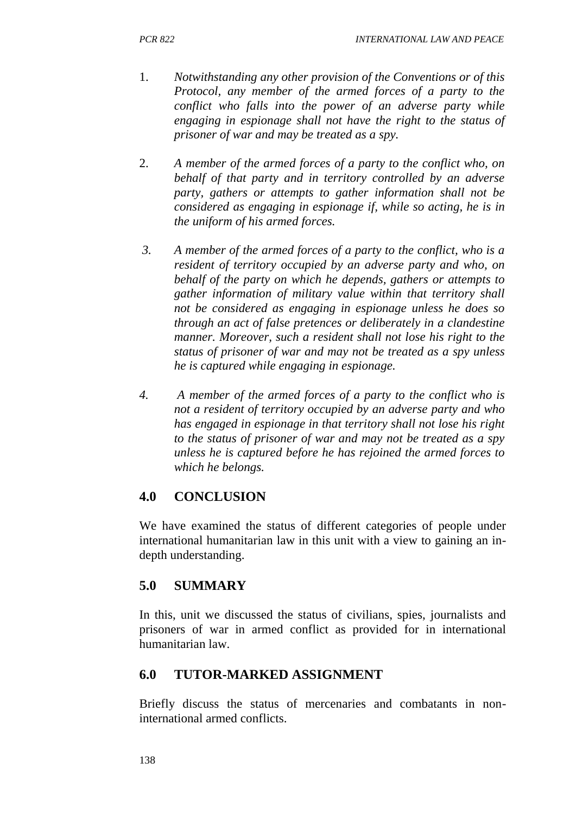- 1. *Notwithstanding any other provision of the Conventions or of this Protocol, any member of the armed forces of a party to the conflict who falls into the power of an adverse party while engaging in espionage shall not have the right to the status of prisoner of war and may be treated as a spy.*
- 2. *A member of the armed forces of a party to the conflict who, on behalf of that party and in territory controlled by an adverse party, gathers or attempts to gather information shall not be considered as engaging in espionage if, while so acting, he is in the uniform of his armed forces.*
- *3. A member of the armed forces of a party to the conflict, who is a resident of territory occupied by an adverse party and who, on behalf of the party on which he depends, gathers or attempts to gather information of military value within that territory shall not be considered as engaging in espionage unless he does so through an act of false pretences or deliberately in a clandestine manner. Moreover, such a resident shall not lose his right to the status of prisoner of war and may not be treated as a spy unless he is captured while engaging in espionage.*
- *4. A member of the armed forces of a party to the conflict who is not a resident of territory occupied by an adverse party and who has engaged in espionage in that territory shall not lose his right to the status of prisoner of war and may not be treated as a spy unless he is captured before he has rejoined the armed forces to which he belongs.*

# **4.0 CONCLUSION**

We have examined the status of different categories of people under international humanitarian law in this unit with a view to gaining an indepth understanding.

# **5.0 SUMMARY**

In this, unit we discussed the status of civilians, spies, journalists and prisoners of war in armed conflict as provided for in international humanitarian law.

# **6.0 TUTOR-MARKED ASSIGNMENT**

Briefly discuss the status of mercenaries and combatants in noninternational armed conflicts.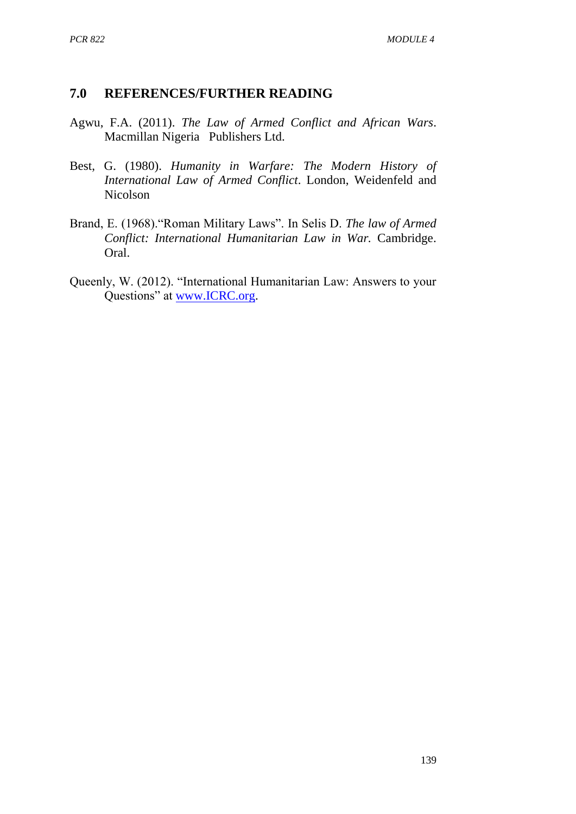#### **7.0 REFERENCES/FURTHER READING**

- Agwu, F.A. (2011). *The Law of Armed Conflict and African Wars*. Macmillan Nigeria Publishers Ltd.
- Best, G. (1980). *Humanity in Warfare: The Modern History of International Law of Armed Conflict*. London, Weidenfeld and Nicolson
- Brand, E. (1968)."Roman Military Laws". In Selis D. *The law of Armed Conflict: International Humanitarian Law in War.* Cambridge. Oral.
- Queenly, W. (2012). "International Humanitarian Law: Answers to your Questions" at [www.ICRC.org.](http://www.icrc.org/)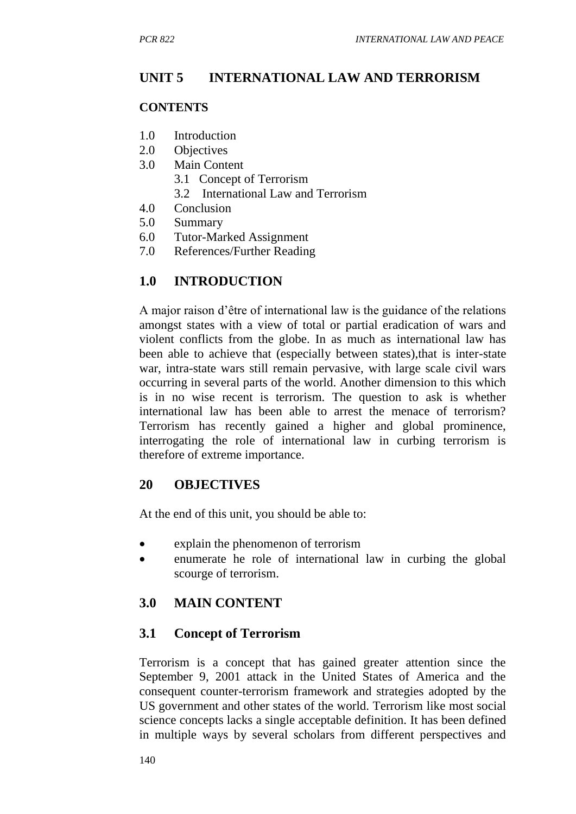## **UNIT 5 INTERNATIONAL LAW AND TERRORISM**

#### **CONTENTS**

- 1.0 Introduction
- 2.0 Objectives
- 3.0 Main Content
	- 3.1 Concept of Terrorism
	- 3.2 International Law and Terrorism
- 4.0 Conclusion
- 5.0 Summary
- 6.0 Tutor-Marked Assignment
- 7.0 References/Further Reading

## **1.0 INTRODUCTION**

A major raison d'être of international law is the guidance of the relations amongst states with a view of total or partial eradication of wars and violent conflicts from the globe. In as much as international law has been able to achieve that (especially between states),that is inter-state war, intra-state wars still remain pervasive, with large scale civil wars occurring in several parts of the world. Another dimension to this which is in no wise recent is terrorism. The question to ask is whether international law has been able to arrest the menace of terrorism? Terrorism has recently gained a higher and global prominence, interrogating the role of international law in curbing terrorism is therefore of extreme importance.

#### **20 OBJECTIVES**

At the end of this unit, you should be able to:

- explain the phenomenon of terrorism
- enumerate he role of international law in curbing the global scourge of terrorism.

## **3.0 MAIN CONTENT**

## **3.1 Concept of Terrorism**

Terrorism is a concept that has gained greater attention since the September 9, 2001 attack in the United States of America and the consequent counter-terrorism framework and strategies adopted by the US government and other states of the world. Terrorism like most social science concepts lacks a single acceptable definition. It has been defined in multiple ways by several scholars from different perspectives and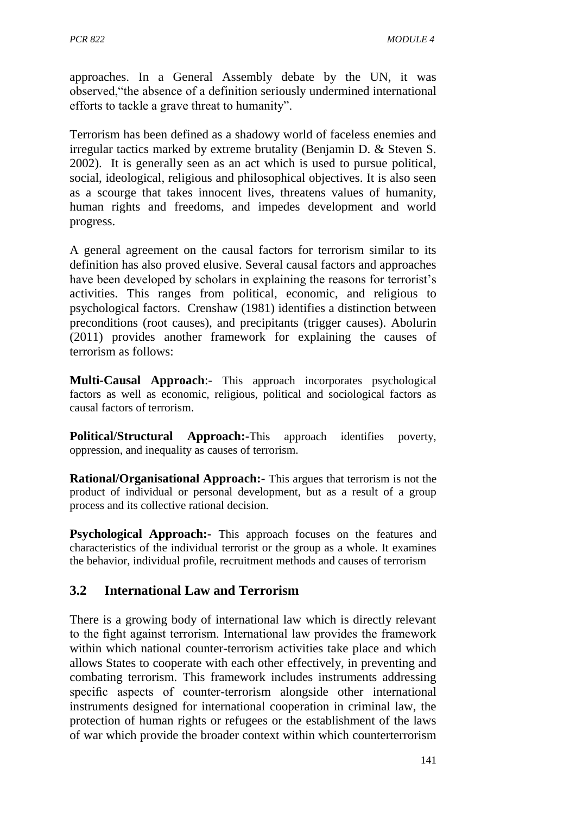approaches. In a General Assembly debate by the UN, it was observed,"the absence of a definition seriously undermined international efforts to tackle a grave threat to humanity".

Terrorism has been defined as a shadowy world of faceless enemies and irregular tactics marked by extreme brutality (Benjamin D. & Steven S. 2002). It is generally seen as an act which is used to pursue political, social, ideological, religious and philosophical objectives. It is also seen as a scourge that takes innocent lives, threatens values of humanity, human rights and freedoms, and impedes development and world progress.

A general agreement on the causal factors for terrorism similar to its definition has also proved elusive. Several causal factors and approaches have been developed by scholars in explaining the reasons for terrorist's activities. This ranges from political, economic, and religious to psychological factors. Crenshaw (1981) identifies a distinction between preconditions (root causes), and precipitants (trigger causes). Abolurin (2011) provides another framework for explaining the causes of terrorism as follows:

**Multi-Causal Approach**:- This approach incorporates psychological factors as well as economic, religious, political and sociological factors as causal factors of terrorism.

**Political/Structural Approach:-**This approach identifies poverty, oppression, and inequality as causes of terrorism.

**Rational/Organisational Approach:-** This argues that terrorism is not the product of individual or personal development, but as a result of a group process and its collective rational decision.

**Psychological Approach:**- This approach focuses on the features and characteristics of the individual terrorist or the group as a whole. It examines the behavior, individual profile, recruitment methods and causes of terrorism

## **3.2 International Law and Terrorism**

There is a growing body of international law which is directly relevant to the fight against terrorism. International law provides the framework within which national counter-terrorism activities take place and which allows States to cooperate with each other effectively, in preventing and combating terrorism. This framework includes instruments addressing specific aspects of counter-terrorism alongside other international instruments designed for international cooperation in criminal law, the protection of human rights or refugees or the establishment of the laws of war which provide the broader context within which counterterrorism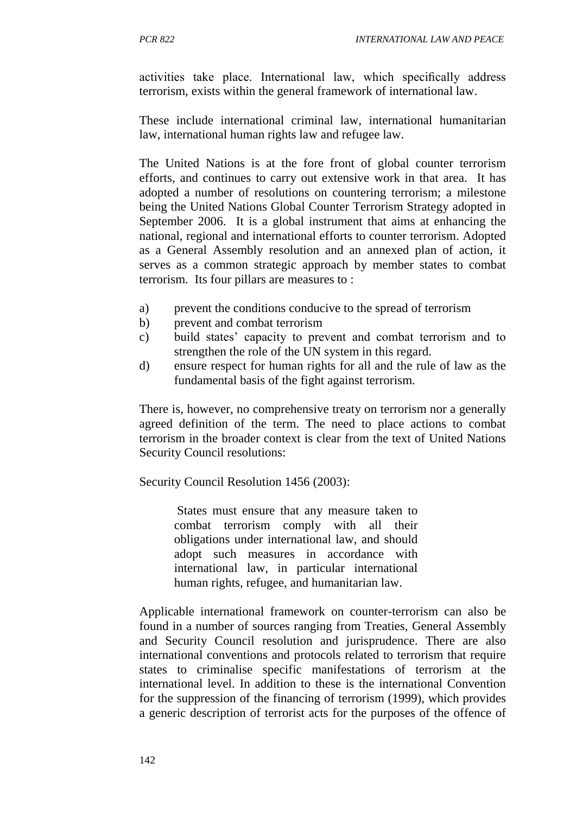activities take place. International law, which specifically address terrorism, exists within the general framework of international law.

These include international criminal law, international humanitarian law, international human rights law and refugee law.

The United Nations is at the fore front of global counter terrorism efforts, and continues to carry out extensive work in that area. It has adopted a number of resolutions on countering terrorism; a milestone being the United Nations Global Counter Terrorism Strategy adopted in September 2006. It is a global instrument that aims at enhancing the national, regional and international efforts to counter terrorism. Adopted as a General Assembly resolution and an annexed plan of action, it serves as a common strategic approach by member states to combat terrorism. Its four pillars are measures to :

- a) prevent the conditions conducive to the spread of terrorism
- b) prevent and combat terrorism
- c) build states' capacity to prevent and combat terrorism and to strengthen the role of the UN system in this regard.
- d) ensure respect for human rights for all and the rule of law as the fundamental basis of the fight against terrorism.

There is, however, no comprehensive treaty on terrorism nor a generally agreed definition of the term. The need to place actions to combat terrorism in the broader context is clear from the text of United Nations Security Council resolutions:

Security Council Resolution 1456 (2003):

States must ensure that any measure taken to combat terrorism comply with all their obligations under international law, and should adopt such measures in accordance with international law, in particular international human rights, refugee, and humanitarian law.

Applicable international framework on counter-terrorism can also be found in a number of sources ranging from Treaties, General Assembly and Security Council resolution and jurisprudence. There are also international conventions and protocols related to terrorism that require states to criminalise specific manifestations of terrorism at the international level. In addition to these is the international Convention for the suppression of the financing of terrorism (1999), which provides a generic description of terrorist acts for the purposes of the offence of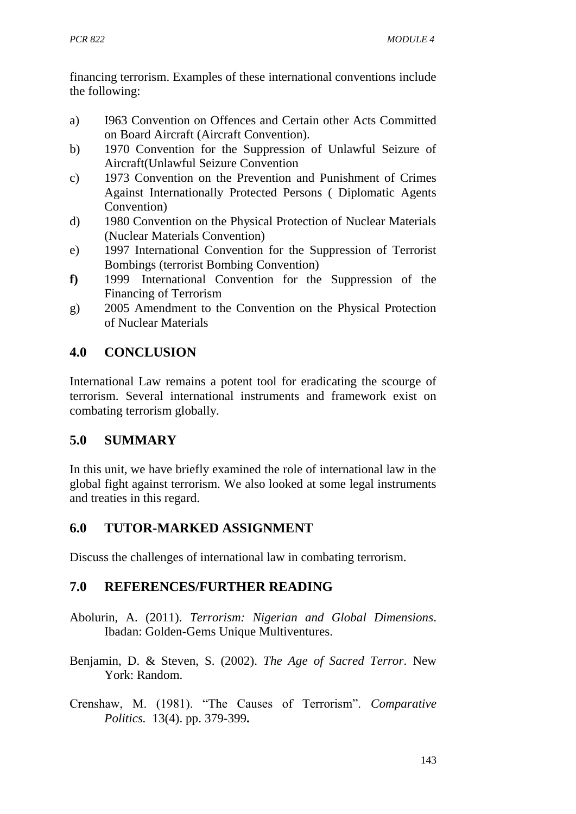financing terrorism. Examples of these international conventions include the following:

- a) I963 Convention on Offences and Certain other Acts Committed on Board Aircraft (Aircraft Convention).
- b) 1970 Convention for the Suppression of Unlawful Seizure of Aircraft(Unlawful Seizure Convention
- c) 1973 Convention on the Prevention and Punishment of Crimes Against Internationally Protected Persons ( Diplomatic Agents Convention)
- d) 1980 Convention on the Physical Protection of Nuclear Materials (Nuclear Materials Convention)
- e) 1997 International Convention for the Suppression of Terrorist Bombings (terrorist Bombing Convention)
- **f)** 1999 International Convention for the Suppression of the Financing of Terrorism
- g) 2005 Amendment to the Convention on the Physical Protection of Nuclear Materials

# **4.0 CONCLUSION**

International Law remains a potent tool for eradicating the scourge of terrorism. Several international instruments and framework exist on combating terrorism globally.

# **5.0 SUMMARY**

In this unit, we have briefly examined the role of international law in the global fight against terrorism. We also looked at some legal instruments and treaties in this regard.

## **6.0 TUTOR-MARKED ASSIGNMENT**

Discuss the challenges of international law in combating terrorism.

## **7.0 REFERENCES/FURTHER READING**

- Abolurin, A. (2011). *Terrorism: Nigerian and Global Dimensions*. Ibadan: Golden-Gems Unique Multiventures.
- Benjamin, D. & Steven, S. (2002). *The Age of Sacred Terror*. New York: Random.
- Crenshaw, M. (1981). "The Causes of Terrorism". *Comparative Politics.* 13(4). pp. 379-399**.**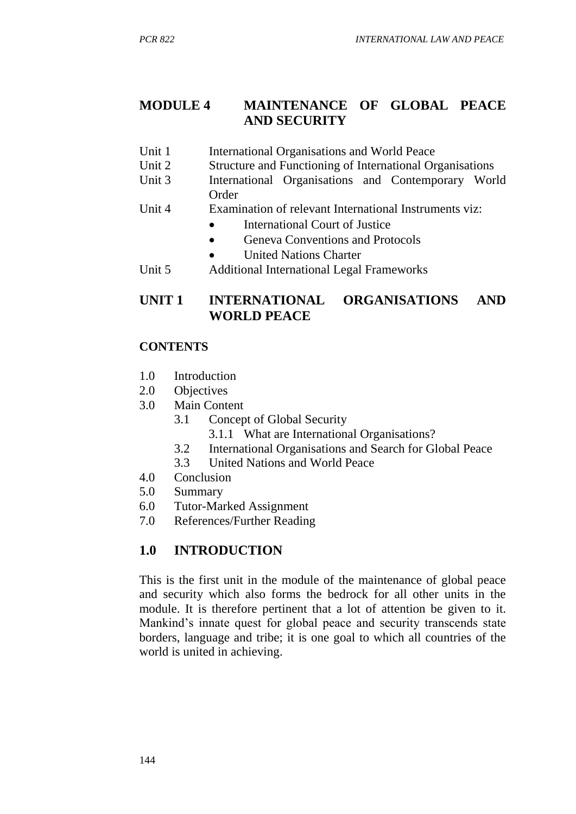#### **MODULE 4 MAINTENANCE OF GLOBAL PEACE AND SECURITY**

- Unit 1 International Organisations and World Peace
- Unit 2 Structure and Functioning of International Organisations
- Unit 3 International Organisations and Contemporary World Order
- Unit 4 Examination of relevant International Instruments viz:
	- International Court of Justice
	- Geneva Conventions and Protocols
	- United Nations Charter
- Unit 5 Additional International Legal Frameworks

## **UNIT 1 INTERNATIONAL ORGANISATIONS AND WORLD PEACE**

#### **CONTENTS**

- 1.0 Introduction
- 2.0 Objectives
- 3.0 Main Content
	- 3.1 Concept of Global Security
		- 3.1.1 What are International Organisations?
	- 3.2 International Organisations and Search for Global Peace
	- 3.3 United Nations and World Peace
- 4.0 Conclusion
- 5.0 Summary
- 6.0 Tutor-Marked Assignment
- 7.0 References/Further Reading

## **1.0 INTRODUCTION**

This is the first unit in the module of the maintenance of global peace and security which also forms the bedrock for all other units in the module. It is therefore pertinent that a lot of attention be given to it. Mankind's innate quest for global peace and security transcends state borders, language and tribe; it is one goal to which all countries of the world is united in achieving.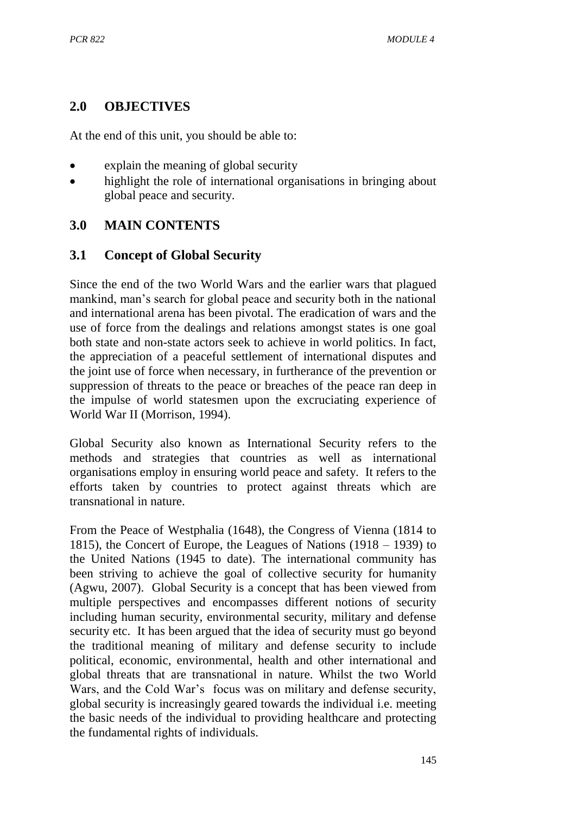## **2.0 OBJECTIVES**

At the end of this unit, you should be able to:

- explain the meaning of global security
- highlight the role of international organisations in bringing about global peace and security.

# **3.0 MAIN CONTENTS**

## **3.1 Concept of Global Security**

Since the end of the two World Wars and the earlier wars that plagued mankind, man's search for global peace and security both in the national and international arena has been pivotal. The eradication of wars and the use of force from the dealings and relations amongst states is one goal both state and non-state actors seek to achieve in world politics. In fact, the appreciation of a peaceful settlement of international disputes and the joint use of force when necessary, in furtherance of the prevention or suppression of threats to the peace or breaches of the peace ran deep in the impulse of world statesmen upon the excruciating experience of World War II (Morrison, 1994).

Global Security also known as International Security refers to the methods and strategies that countries as well as international organisations employ in ensuring world peace and safety. It refers to the efforts taken by countries to protect against threats which are transnational in nature.

From the Peace of Westphalia (1648), the Congress of Vienna (1814 to 1815), the Concert of Europe, the Leagues of Nations (1918 – 1939) to the United Nations (1945 to date). The international community has been striving to achieve the goal of collective security for humanity (Agwu, 2007). Global Security is a concept that has been viewed from multiple perspectives and encompasses different notions of security including human security, environmental security, military and defense security etc. It has been argued that the idea of security must go beyond the traditional meaning of military and defense security to include political, economic, environmental, health and other international and global threats that are transnational in nature. Whilst the two World Wars, and the Cold War's focus was on military and defense security, global security is increasingly geared towards the individual i.e. meeting the basic needs of the individual to providing healthcare and protecting the fundamental rights of individuals.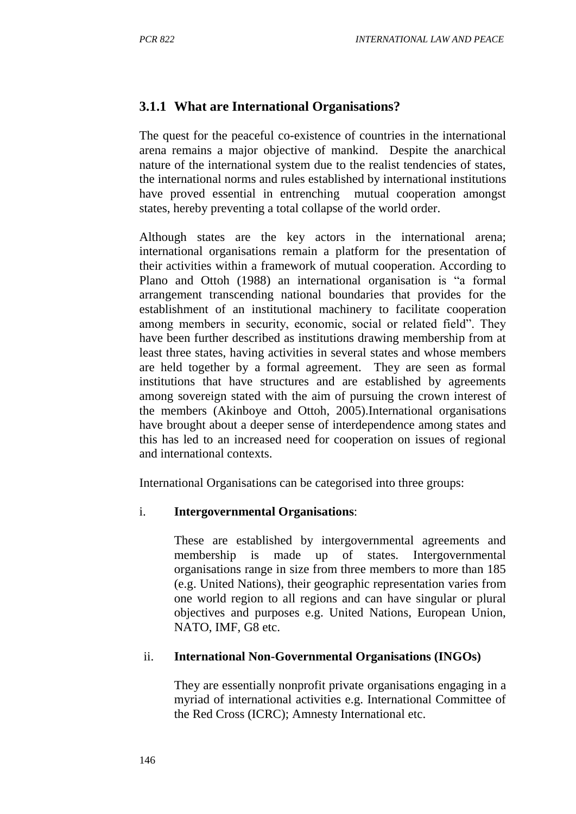### **3.1.1 What are International Organisations?**

The quest for the peaceful co-existence of countries in the international arena remains a major objective of mankind. Despite the anarchical nature of the international system due to the realist tendencies of states, the international norms and rules established by international institutions have proved essential in entrenching mutual cooperation amongst states, hereby preventing a total collapse of the world order.

Although states are the key actors in the international arena; international organisations remain a platform for the presentation of their activities within a framework of mutual cooperation. According to Plano and Ottoh (1988) an international organisation is "a formal arrangement transcending national boundaries that provides for the establishment of an institutional machinery to facilitate cooperation among members in security, economic, social or related field". They have been further described as institutions drawing membership from at least three states, having activities in several states and whose members are held together by a formal agreement. They are seen as formal institutions that have structures and are established by agreements among sovereign stated with the aim of pursuing the crown interest of the members (Akinboye and Ottoh, 2005).International organisations have brought about a deeper sense of interdependence among states and this has led to an increased need for cooperation on issues of regional and international contexts.

International Organisations can be categorised into three groups:

#### i. **Intergovernmental Organisations**:

These are established by intergovernmental agreements and membership is made up of states. Intergovernmental organisations range in size from three members to more than 185 (e.g. United Nations), their geographic representation varies from one world region to all regions and can have singular or plural objectives and purposes e.g. United Nations, European Union, NATO, IMF, G8 etc.

#### ii. **International Non-Governmental Organisations (INGOs)**

They are essentially nonprofit private organisations engaging in a myriad of international activities e.g. International Committee of the Red Cross (ICRC); Amnesty International etc.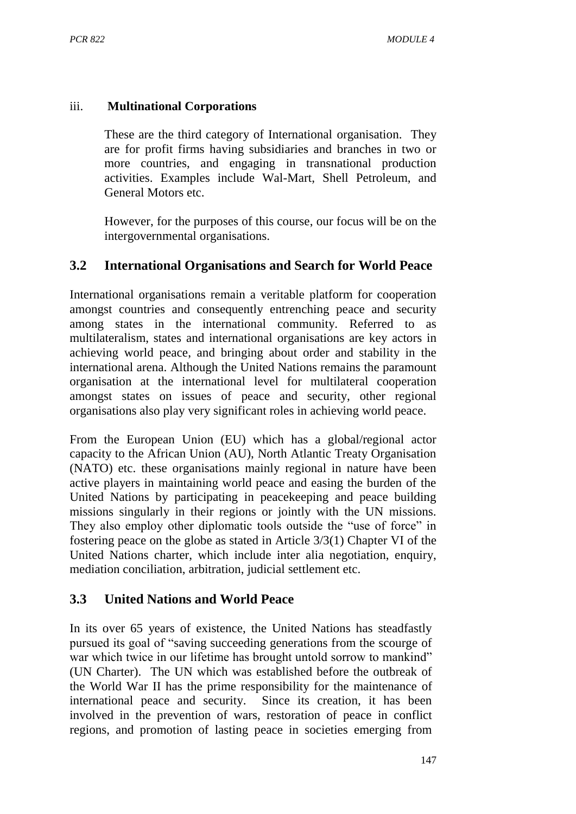#### iii. **Multinational Corporations**

These are the third category of International organisation. They are for profit firms having subsidiaries and branches in two or more countries, and engaging in transnational production activities. Examples include Wal-Mart, Shell Petroleum, and General Motors etc.

However, for the purposes of this course, our focus will be on the intergovernmental organisations.

## **3.2 International Organisations and Search for World Peace**

International organisations remain a veritable platform for cooperation amongst countries and consequently entrenching peace and security among states in the international community. Referred to as multilateralism, states and international organisations are key actors in achieving world peace, and bringing about order and stability in the international arena. Although the United Nations remains the paramount organisation at the international level for multilateral cooperation amongst states on issues of peace and security, other regional organisations also play very significant roles in achieving world peace.

From the European Union (EU) which has a global/regional actor capacity to the African Union (AU), North Atlantic Treaty Organisation (NATO) etc. these organisations mainly regional in nature have been active players in maintaining world peace and easing the burden of the United Nations by participating in peacekeeping and peace building missions singularly in their regions or jointly with the UN missions. They also employ other diplomatic tools outside the "use of force" in fostering peace on the globe as stated in Article 3/3(1) Chapter VI of the United Nations charter, which include inter alia negotiation, enquiry, mediation conciliation, arbitration, judicial settlement etc.

## **3.3 United Nations and World Peace**

In its over 65 years of existence, the United Nations has steadfastly pursued its goal of "saving succeeding generations from the scourge of war which twice in our lifetime has brought untold sorrow to mankind" (UN Charter). The UN which was established before the outbreak of the World War II has the prime responsibility for the maintenance of international peace and security. Since its creation, it has been involved in the prevention of wars, restoration of peace in conflict regions, and promotion of lasting peace in societies emerging from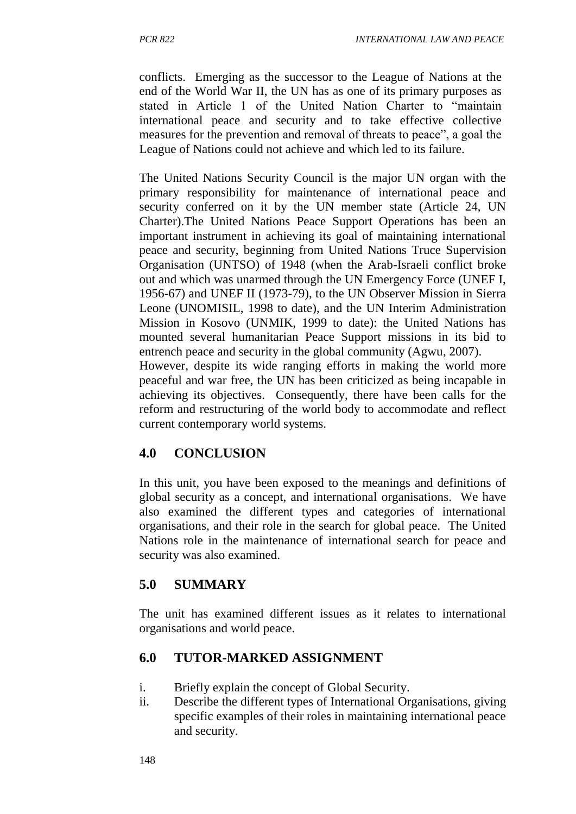conflicts. Emerging as the successor to the League of Nations at the end of the World War II, the UN has as one of its primary purposes as stated in Article 1 of the United Nation Charter to "maintain international peace and security and to take effective collective measures for the prevention and removal of threats to peace", a goal the League of Nations could not achieve and which led to its failure.

The United Nations Security Council is the major UN organ with the primary responsibility for maintenance of international peace and security conferred on it by the UN member state (Article 24, UN Charter).The United Nations Peace Support Operations has been an important instrument in achieving its goal of maintaining international peace and security, beginning from United Nations Truce Supervision Organisation (UNTSO) of 1948 (when the Arab-Israeli conflict broke out and which was unarmed through the UN Emergency Force (UNEF I, 1956-67) and UNEF II (1973-79), to the UN Observer Mission in Sierra Leone (UNOMISIL, 1998 to date), and the UN Interim Administration Mission in Kosovo (UNMIK, 1999 to date): the United Nations has mounted several humanitarian Peace Support missions in its bid to entrench peace and security in the global community (Agwu, 2007). However, despite its wide ranging efforts in making the world more peaceful and war free, the UN has been criticized as being incapable in

achieving its objectives. Consequently, there have been calls for the reform and restructuring of the world body to accommodate and reflect current contemporary world systems.

# **4.0 CONCLUSION**

In this unit, you have been exposed to the meanings and definitions of global security as a concept, and international organisations. We have also examined the different types and categories of international organisations, and their role in the search for global peace. The United Nations role in the maintenance of international search for peace and security was also examined.

# **5.0 SUMMARY**

The unit has examined different issues as it relates to international organisations and world peace.

# **6.0 TUTOR-MARKED ASSIGNMENT**

- i. Briefly explain the concept of Global Security.
- ii. Describe the different types of International Organisations, giving specific examples of their roles in maintaining international peace and security.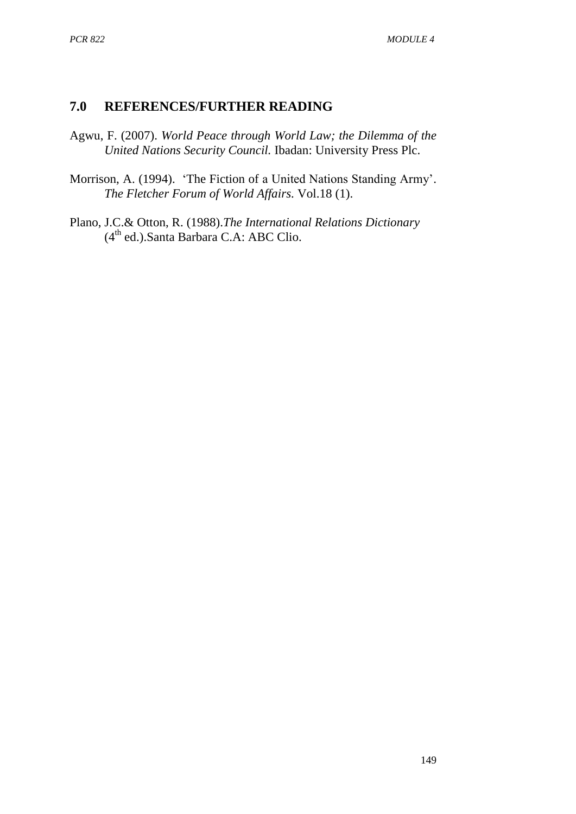## **7.0 REFERENCES/FURTHER READING**

- Agwu, F. (2007). *World Peace through World Law; the Dilemma of the United Nations Security Council.* Ibadan: University Press Plc.
- Morrison, A. (1994). 'The Fiction of a United Nations Standing Army'. *The Fletcher Forum of World Affairs.* Vol.18 (1).
- Plano, J.C.& Otton, R. (1988).*The International Relations Dictionary*  (4th ed.).Santa Barbara C.A: ABC Clio.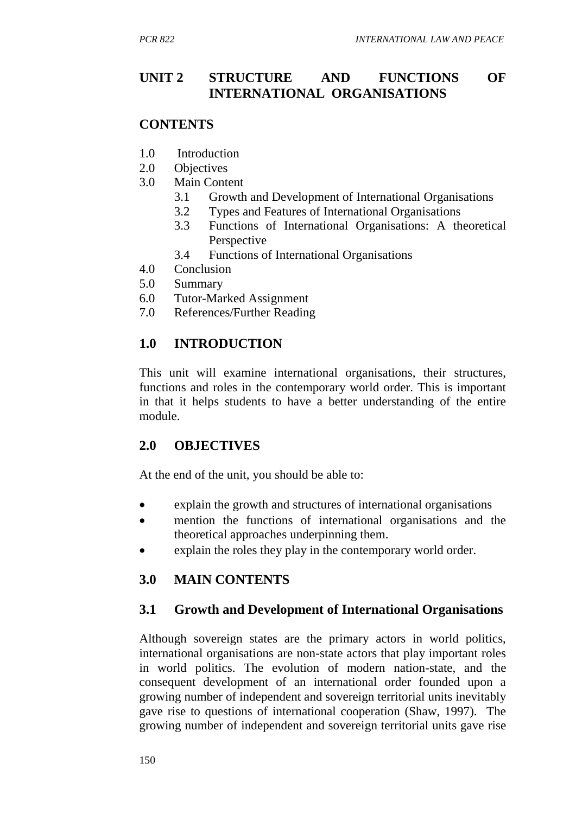## **UNIT 2 STRUCTURE AND FUNCTIONS OF INTERNATIONAL ORGANISATIONS**

#### **CONTENTS**

- 1.0 Introduction
- 2.0 Objectives
- 3.0 Main Content
	- 3.1 Growth and Development of International Organisations
	- 3.2 Types and Features of International Organisations
	- 3.3 Functions of International Organisations: A theoretical Perspective
	- 3.4 Functions of International Organisations
- 4.0 Conclusion
- 5.0 Summary
- 6.0 Tutor-Marked Assignment
- 7.0 References/Further Reading

#### **1.0 INTRODUCTION**

This unit will examine international organisations, their structures, functions and roles in the contemporary world order. This is important in that it helps students to have a better understanding of the entire module.

#### **2.0 OBJECTIVES**

At the end of the unit, you should be able to:

- explain the growth and structures of international organisations
- mention the functions of international organisations and the theoretical approaches underpinning them.
- explain the roles they play in the contemporary world order.

## **3.0 MAIN CONTENTS**

#### **3.1 Growth and Development of International Organisations**

Although sovereign states are the primary actors in world politics, international organisations are non-state actors that play important roles in world politics. The evolution of modern nation-state, and the consequent development of an international order founded upon a growing number of independent and sovereign territorial units inevitably gave rise to questions of international cooperation (Shaw, 1997). The growing number of independent and sovereign territorial units gave rise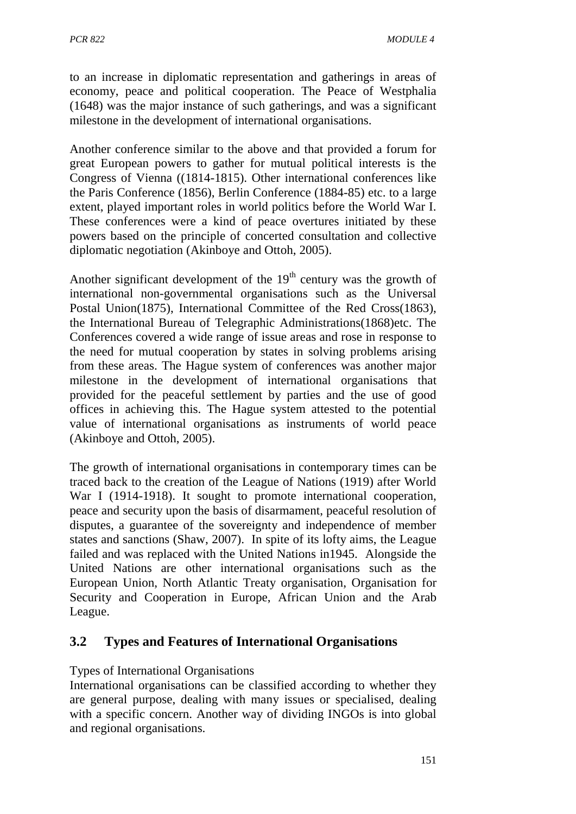to an increase in diplomatic representation and gatherings in areas of economy, peace and political cooperation. The Peace of Westphalia (1648) was the major instance of such gatherings, and was a significant milestone in the development of international organisations.

Another conference similar to the above and that provided a forum for great European powers to gather for mutual political interests is the Congress of Vienna ((1814-1815). Other international conferences like the Paris Conference (1856), Berlin Conference (1884-85) etc. to a large extent, played important roles in world politics before the World War I. These conferences were a kind of peace overtures initiated by these powers based on the principle of concerted consultation and collective diplomatic negotiation (Akinboye and Ottoh, 2005).

Another significant development of the  $19<sup>th</sup>$  century was the growth of international non-governmental organisations such as the Universal Postal Union(1875), International Committee of the Red Cross(1863), the International Bureau of Telegraphic Administrations(1868)etc. The Conferences covered a wide range of issue areas and rose in response to the need for mutual cooperation by states in solving problems arising from these areas. The Hague system of conferences was another major milestone in the development of international organisations that provided for the peaceful settlement by parties and the use of good offices in achieving this. The Hague system attested to the potential value of international organisations as instruments of world peace (Akinboye and Ottoh, 2005).

The growth of international organisations in contemporary times can be traced back to the creation of the League of Nations (1919) after World War I (1914-1918). It sought to promote international cooperation, peace and security upon the basis of disarmament, peaceful resolution of disputes, a guarantee of the sovereignty and independence of member states and sanctions (Shaw, 2007). In spite of its lofty aims, the League failed and was replaced with the United Nations in1945. Alongside the United Nations are other international organisations such as the European Union, North Atlantic Treaty organisation, Organisation for Security and Cooperation in Europe, African Union and the Arab League.

## **3.2 Types and Features of International Organisations**

#### Types of International Organisations

International organisations can be classified according to whether they are general purpose, dealing with many issues or specialised, dealing with a specific concern. Another way of dividing INGOs is into global and regional organisations.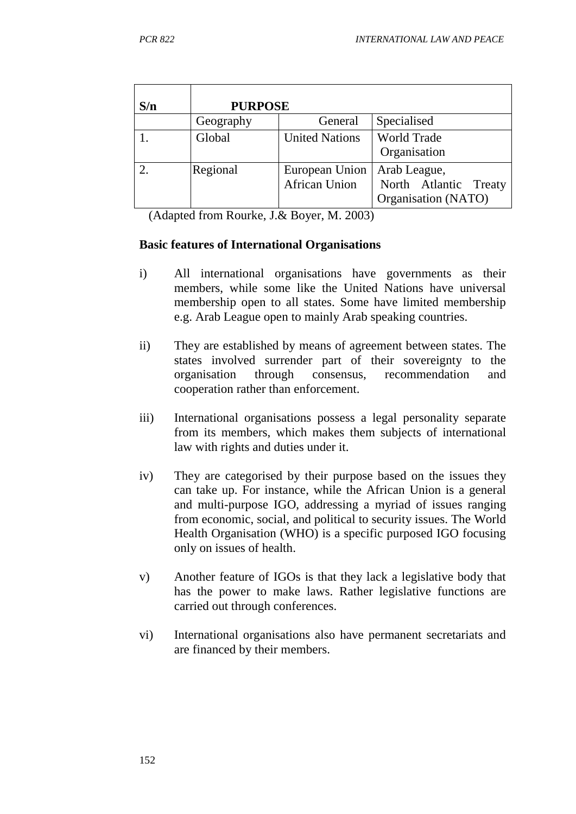| S/n | <b>PURPOSE</b> |                       |                       |
|-----|----------------|-----------------------|-----------------------|
|     | Geography      | General               | Specialised           |
|     | Global         | <b>United Nations</b> | <b>World Trade</b>    |
|     |                |                       | Organisation          |
|     | Regional       | European Union        | Arab League,          |
|     |                | <b>African Union</b>  | North Atlantic Treaty |
|     |                |                       | Organisation (NATO)   |

(Adapted from Rourke, J.& Boyer, M. 2003)

#### **Basic features of International Organisations**

- i) All international organisations have governments as their members, while some like the United Nations have universal membership open to all states. Some have limited membership e.g. Arab League open to mainly Arab speaking countries.
- ii) They are established by means of agreement between states. The states involved surrender part of their sovereignty to the organisation through consensus, recommendation and cooperation rather than enforcement.
- iii) International organisations possess a legal personality separate from its members, which makes them subjects of international law with rights and duties under it.
- iv) They are categorised by their purpose based on the issues they can take up. For instance, while the African Union is a general and multi-purpose IGO, addressing a myriad of issues ranging from economic, social, and political to security issues. The World Health Organisation (WHO) is a specific purposed IGO focusing only on issues of health.
- v) Another feature of IGOs is that they lack a legislative body that has the power to make laws. Rather legislative functions are carried out through conferences.
- vi) International organisations also have permanent secretariats and are financed by their members.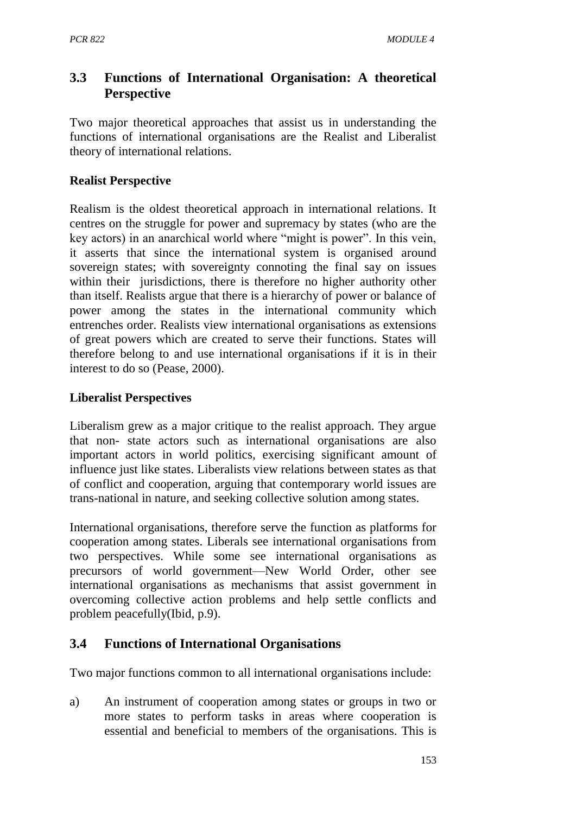# **3.3 Functions of International Organisation: A theoretical Perspective**

Two major theoretical approaches that assist us in understanding the functions of international organisations are the Realist and Liberalist theory of international relations.

### **Realist Perspective**

Realism is the oldest theoretical approach in international relations. It centres on the struggle for power and supremacy by states (who are the key actors) in an anarchical world where "might is power". In this vein, it asserts that since the international system is organised around sovereign states; with sovereignty connoting the final say on issues within their jurisdictions, there is therefore no higher authority other than itself. Realists argue that there is a hierarchy of power or balance of power among the states in the international community which entrenches order. Realists view international organisations as extensions of great powers which are created to serve their functions. States will therefore belong to and use international organisations if it is in their interest to do so (Pease, 2000).

#### **Liberalist Perspectives**

Liberalism grew as a major critique to the realist approach. They argue that non- state actors such as international organisations are also important actors in world politics, exercising significant amount of influence just like states. Liberalists view relations between states as that of conflict and cooperation, arguing that contemporary world issues are trans-national in nature, and seeking collective solution among states.

International organisations, therefore serve the function as platforms for cooperation among states. Liberals see international organisations from two perspectives. While some see international organisations as precursors of world government—New World Order, other see international organisations as mechanisms that assist government in overcoming collective action problems and help settle conflicts and problem peacefully(Ibid, p.9).

# **3.4 Functions of International Organisations**

Two major functions common to all international organisations include:

a) An instrument of cooperation among states or groups in two or more states to perform tasks in areas where cooperation is essential and beneficial to members of the organisations. This is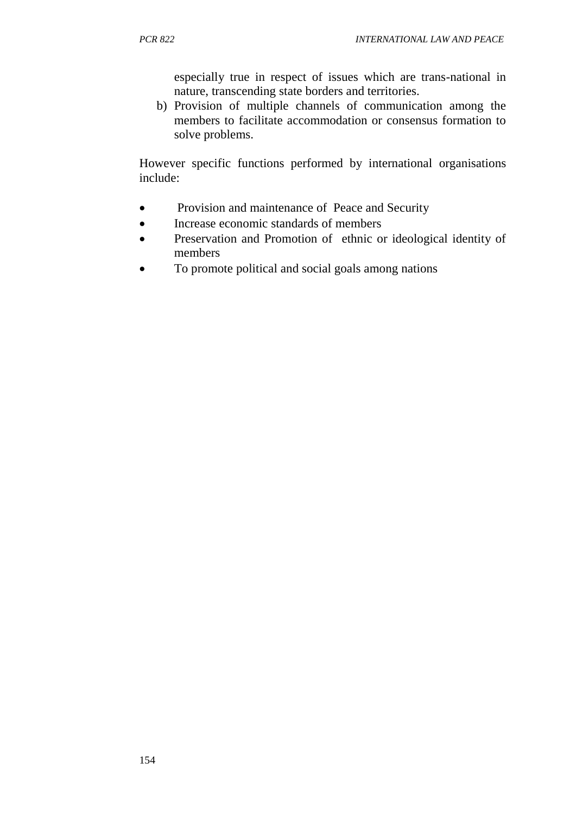especially true in respect of issues which are trans-national in nature, transcending state borders and territories.

b) Provision of multiple channels of communication among the members to facilitate accommodation or consensus formation to solve problems.

However specific functions performed by international organisations include:

- Provision and maintenance of Peace and Security
- Increase economic standards of members
- Preservation and Promotion of ethnic or ideological identity of members
- To promote political and social goals among nations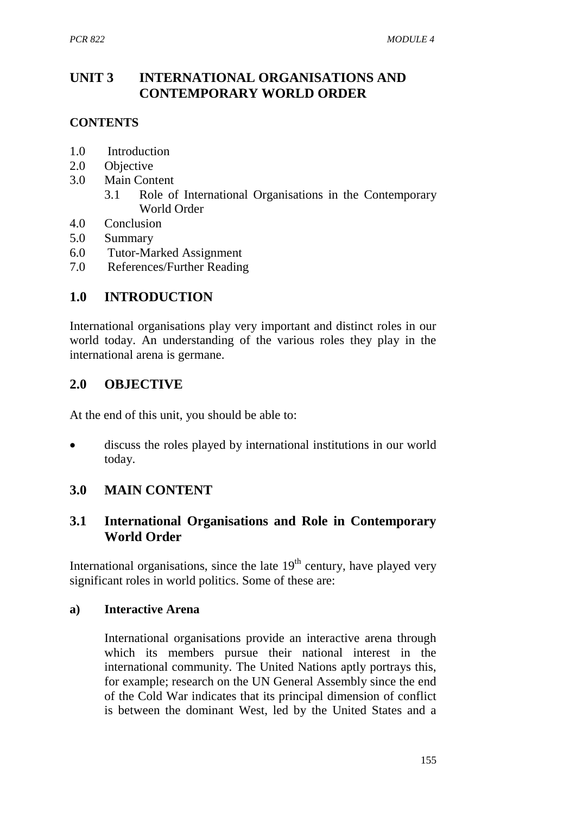## **UNIT 3 INTERNATIONAL ORGANISATIONS AND CONTEMPORARY WORLD ORDER**

### **CONTENTS**

- 1.0 Introduction
- 2.0 Objective
- 3.0 Main Content
	- 3.1 Role of International Organisations in the Contemporary World Order
- 4.0 Conclusion
- 5.0 Summary
- 6.0 Tutor-Marked Assignment
- 7.0 References/Further Reading

## **1.0 INTRODUCTION**

International organisations play very important and distinct roles in our world today. An understanding of the various roles they play in the international arena is germane.

## **2.0 OBJECTIVE**

At the end of this unit, you should be able to:

 discuss the roles played by international institutions in our world today.

## **3.0 MAIN CONTENT**

## **3.1 International Organisations and Role in Contemporary World Order**

International organisations, since the late  $19<sup>th</sup>$  century, have played very significant roles in world politics. Some of these are:

#### **a) Interactive Arena**

International organisations provide an interactive arena through which its members pursue their national interest in the international community. The United Nations aptly portrays this, for example; research on the UN General Assembly since the end of the Cold War indicates that its principal dimension of conflict is between the dominant West, led by the United States and a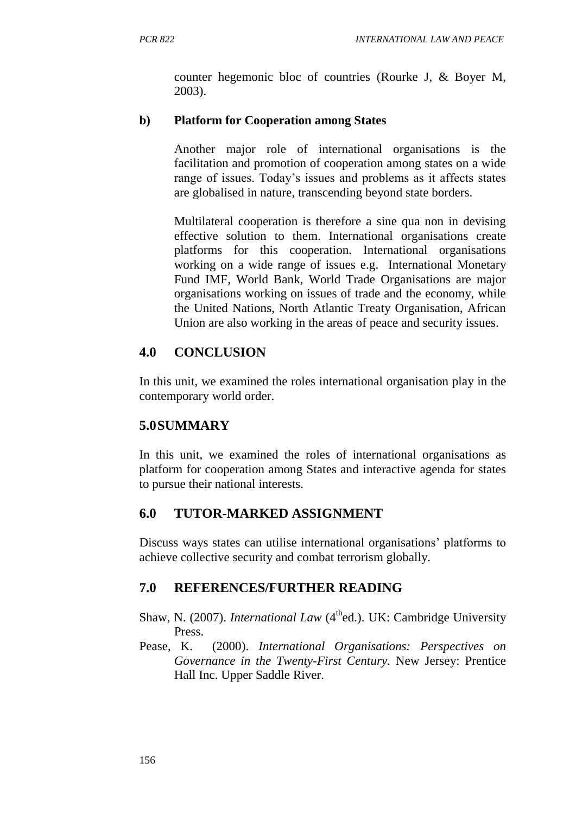counter hegemonic bloc of countries (Rourke J, & Boyer M, 2003).

### **b) Platform for Cooperation among States**

Another major role of international organisations is the facilitation and promotion of cooperation among states on a wide range of issues. Today's issues and problems as it affects states are globalised in nature, transcending beyond state borders.

Multilateral cooperation is therefore a sine qua non in devising effective solution to them. International organisations create platforms for this cooperation. International organisations working on a wide range of issues e.g. International Monetary Fund IMF, World Bank, World Trade Organisations are major organisations working on issues of trade and the economy, while the United Nations, North Atlantic Treaty Organisation, African Union are also working in the areas of peace and security issues.

# **4.0 CONCLUSION**

In this unit, we examined the roles international organisation play in the contemporary world order.

# **5.0SUMMARY**

In this unit, we examined the roles of international organisations as platform for cooperation among States and interactive agenda for states to pursue their national interests.

## **6.0 TUTOR-MARKED ASSIGNMENT**

Discuss ways states can utilise international organisations' platforms to achieve collective security and combat terrorism globally.

## **7.0 REFERENCES/FURTHER READING**

- Shaw, N. (2007). *International Law* (4<sup>th</sup>ed.). UK: Cambridge University Press.
- Pease, K. (2000). *International Organisations: Perspectives on Governance in the Twenty-First Century.* New Jersey: Prentice Hall Inc. Upper Saddle River.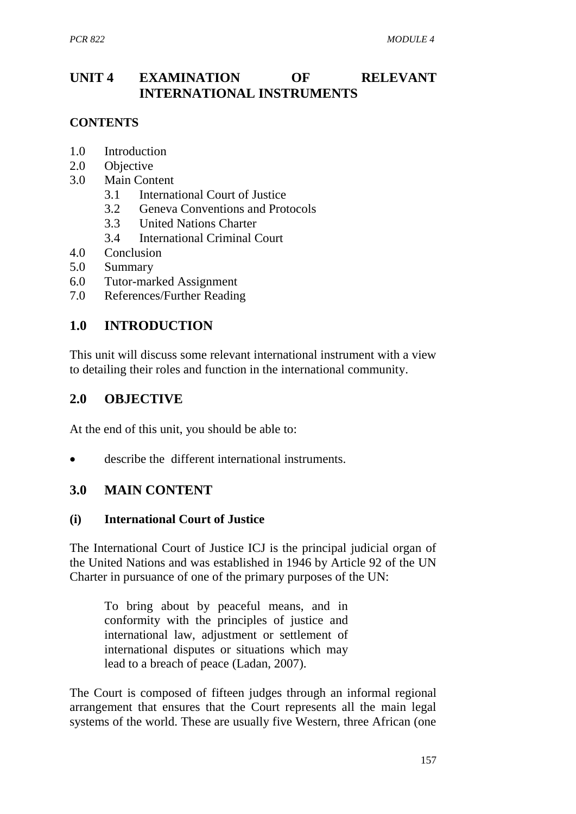# **UNIT 4 EXAMINATION OF RELEVANT INTERNATIONAL INSTRUMENTS**

#### **CONTENTS**

- 1.0 Introduction
- 2.0 Objective
- 3.0 Main Content
	- 3.1 International Court of Justice
	- 3.2 Geneva Conventions and Protocols
	- 3.3 United Nations Charter
	- 3.4 International Criminal Court
- 4.0 Conclusion
- 5.0 Summary
- 6.0 Tutor-marked Assignment
- 7.0 References/Further Reading

## **1.0 INTRODUCTION**

This unit will discuss some relevant international instrument with a view to detailing their roles and function in the international community.

## **2.0 OBJECTIVE**

At the end of this unit, you should be able to:

describe the different international instruments.

## **3.0 MAIN CONTENT**

#### **(i) International Court of Justice**

The International Court of Justice ICJ is the principal judicial organ of the United Nations and was established in 1946 by Article 92 of the UN Charter in pursuance of one of the primary purposes of the UN:

To bring about by peaceful means, and in conformity with the principles of justice and international law, adjustment or settlement of international disputes or situations which may lead to a breach of peace (Ladan, 2007).

The Court is composed of fifteen judges through an informal regional arrangement that ensures that the Court represents all the main legal systems of the world. These are usually five Western, three African (one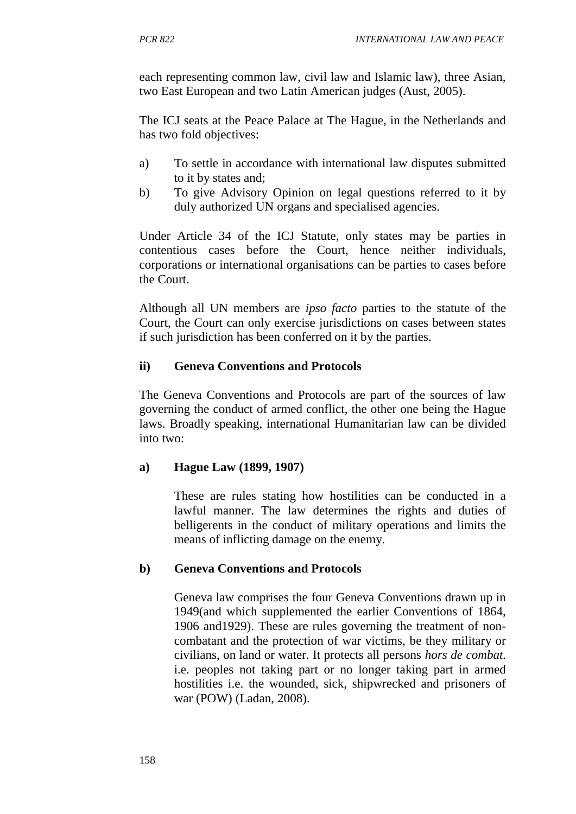each representing common law, civil law and Islamic law), three Asian, two East European and two Latin American judges (Aust, 2005).

The ICJ seats at the Peace Palace at The Hague, in the Netherlands and has two fold objectives:

- a) To settle in accordance with international law disputes submitted to it by states and;
- b) To give Advisory Opinion on legal questions referred to it by duly authorized UN organs and specialised agencies.

Under Article 34 of the ICJ Statute, only states may be parties in contentious cases before the Court, hence neither individuals, corporations or international organisations can be parties to cases before the Court.

Although all UN members are *ipso facto* parties to the statute of the Court, the Court can only exercise jurisdictions on cases between states if such jurisdiction has been conferred on it by the parties.

#### **ii) Geneva Conventions and Protocols**

The Geneva Conventions and Protocols are part of the sources of law governing the conduct of armed conflict, the other one being the Hague laws. Broadly speaking, international Humanitarian law can be divided into two:

#### **a) Hague Law (1899, 1907)**

These are rules stating how hostilities can be conducted in a lawful manner. The law determines the rights and duties of belligerents in the conduct of military operations and limits the means of inflicting damage on the enemy.

#### **b) Geneva Conventions and Protocols**

Geneva law comprises the four Geneva Conventions drawn up in 1949(and which supplemented the earlier Conventions of 1864, 1906 and1929). These are rules governing the treatment of noncombatant and the protection of war victims, be they military or civilians, on land or water. It protects all persons *hors de combat.* i.e. peoples not taking part or no longer taking part in armed hostilities i.e. the wounded, sick, shipwrecked and prisoners of war (POW) (Ladan, 2008).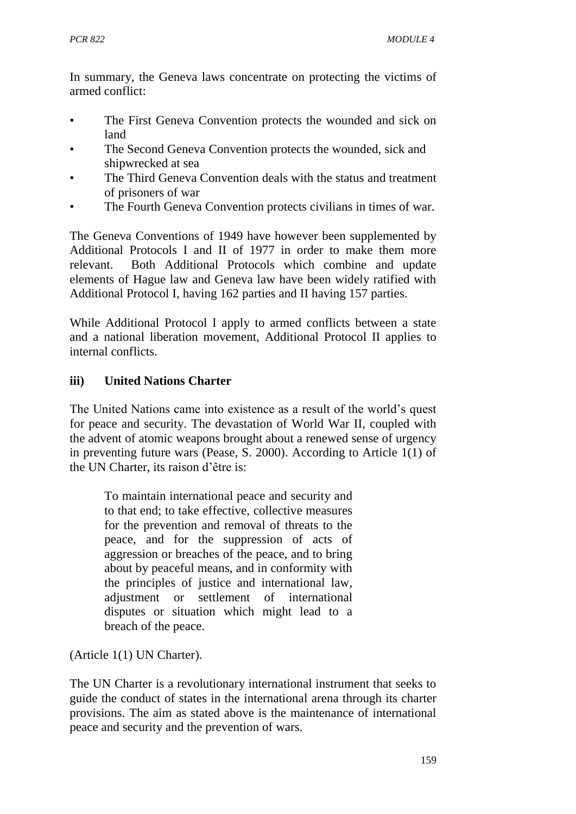In summary, the Geneva laws concentrate on protecting the victims of armed conflict:

- The First Geneva Convention protects the wounded and sick on land
- The Second Geneva Convention protects the wounded, sick and shipwrecked at sea
- The Third Geneva Convention deals with the status and treatment of prisoners of war
- The Fourth Geneva Convention protects civilians in times of war.

The Geneva Conventions of 1949 have however been supplemented by Additional Protocols I and II of 1977 in order to make them more relevant. Both Additional Protocols which combine and update elements of Hague law and Geneva law have been widely ratified with Additional Protocol I, having 162 parties and II having 157 parties.

While Additional Protocol I apply to armed conflicts between a state and a national liberation movement, Additional Protocol II applies to internal conflicts.

#### **iii) United Nations Charter**

The United Nations came into existence as a result of the world's quest for peace and security. The devastation of World War II, coupled with the advent of atomic weapons brought about a renewed sense of urgency in preventing future wars (Pease, S. 2000). According to Article 1(1) of the UN Charter, its raison d'être is:

To maintain international peace and security and to that end; to take effective, collective measures for the prevention and removal of threats to the peace, and for the suppression of acts of aggression or breaches of the peace, and to bring about by peaceful means, and in conformity with the principles of justice and international law, adjustment or settlement of international disputes or situation which might lead to a breach of the peace.

(Article 1(1) UN Charter).

The UN Charter is a revolutionary international instrument that seeks to guide the conduct of states in the international arena through its charter provisions. The aim as stated above is the maintenance of international peace and security and the prevention of wars.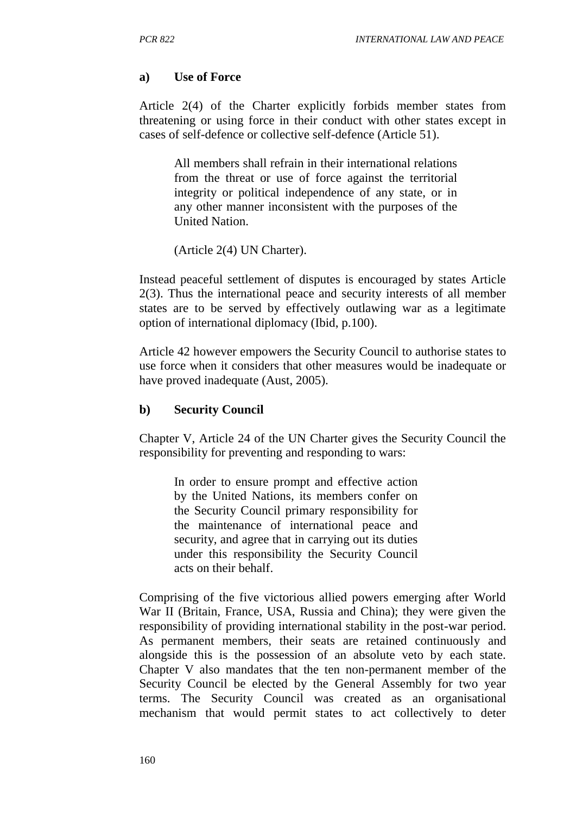#### **a) Use of Force**

Article 2(4) of the Charter explicitly forbids member states from threatening or using force in their conduct with other states except in cases of self-defence or collective self-defence (Article 51).

All members shall refrain in their international relations from the threat or use of force against the territorial integrity or political independence of any state, or in any other manner inconsistent with the purposes of the United Nation.

(Article 2(4) UN Charter).

Instead peaceful settlement of disputes is encouraged by states Article 2(3). Thus the international peace and security interests of all member states are to be served by effectively outlawing war as a legitimate option of international diplomacy (Ibid, p.100).

Article 42 however empowers the Security Council to authorise states to use force when it considers that other measures would be inadequate or have proved inadequate (Aust, 2005).

#### **b) Security Council**

Chapter V, Article 24 of the UN Charter gives the Security Council the responsibility for preventing and responding to wars:

In order to ensure prompt and effective action by the United Nations, its members confer on the Security Council primary responsibility for the maintenance of international peace and security, and agree that in carrying out its duties under this responsibility the Security Council acts on their behalf.

Comprising of the five victorious allied powers emerging after World War II (Britain, France, USA, Russia and China); they were given the responsibility of providing international stability in the post-war period. As permanent members, their seats are retained continuously and alongside this is the possession of an absolute veto by each state. Chapter V also mandates that the ten non-permanent member of the Security Council be elected by the General Assembly for two year terms. The Security Council was created as an organisational mechanism that would permit states to act collectively to deter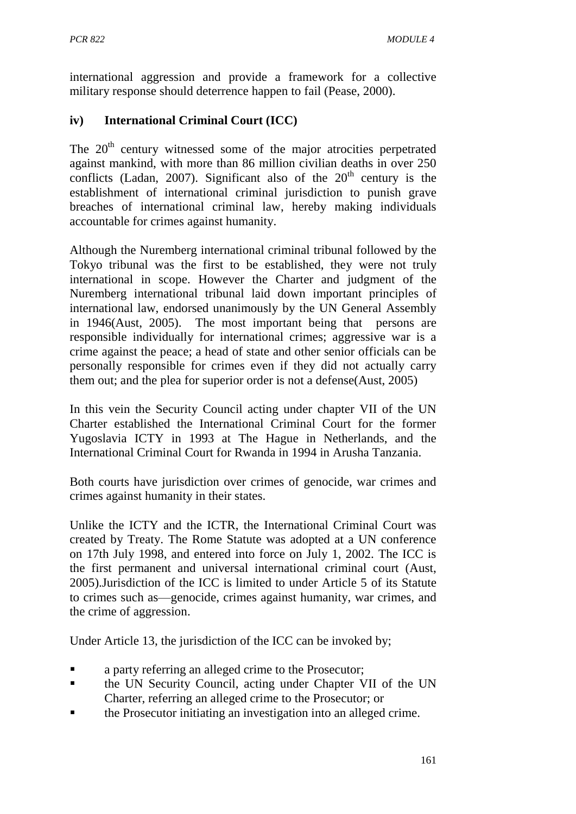international aggression and provide a framework for a collective military response should deterrence happen to fail (Pease, 2000).

### **iv) International Criminal Court (ICC)**

The  $20<sup>th</sup>$  century witnessed some of the major atrocities perpetrated against mankind, with more than 86 million civilian deaths in over 250 conflicts (Ladan, 2007). Significant also of the  $20<sup>th</sup>$  century is the establishment of international criminal jurisdiction to punish grave breaches of international criminal law, hereby making individuals accountable for crimes against humanity.

Although the Nuremberg international criminal tribunal followed by the Tokyo tribunal was the first to be established, they were not truly international in scope. However the Charter and judgment of the Nuremberg international tribunal laid down important principles of international law, endorsed unanimously by the UN General Assembly in 1946(Aust, 2005). The most important being that persons are responsible individually for international crimes; aggressive war is a crime against the peace; a head of state and other senior officials can be personally responsible for crimes even if they did not actually carry them out; and the plea for superior order is not a defense(Aust, 2005)

In this vein the Security Council acting under chapter VII of the UN Charter established the International Criminal Court for the former Yugoslavia ICTY in 1993 at The Hague in Netherlands, and the International Criminal Court for Rwanda in 1994 in Arusha Tanzania.

Both courts have jurisdiction over crimes of genocide, war crimes and crimes against humanity in their states.

Unlike the ICTY and the ICTR, the International Criminal Court was created by Treaty. The Rome Statute was adopted at a UN conference on 17th July 1998, and entered into force on July 1, 2002. The ICC is the first permanent and universal international criminal court (Aust, 2005).Jurisdiction of the ICC is limited to under Article 5 of its Statute to crimes such as—genocide, crimes against humanity, war crimes, and the crime of aggression.

Under Article 13, the jurisdiction of the ICC can be invoked by;

- a party referring an alleged crime to the Prosecutor;
- **the UN Security Council, acting under Chapter VII of the UN** Charter, referring an alleged crime to the Prosecutor; or
- the Prosecutor initiating an investigation into an alleged crime.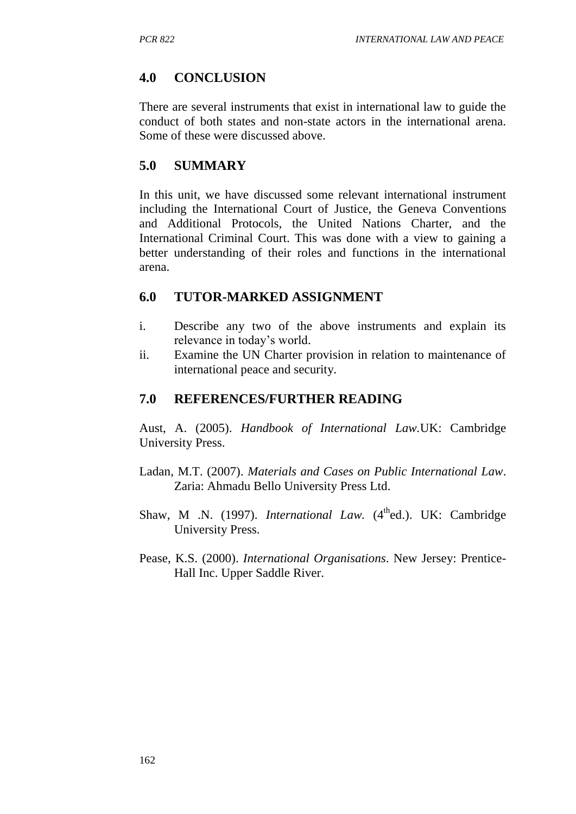## **4.0 CONCLUSION**

There are several instruments that exist in international law to guide the conduct of both states and non-state actors in the international arena. Some of these were discussed above.

## **5.0 SUMMARY**

In this unit, we have discussed some relevant international instrument including the International Court of Justice, the Geneva Conventions and Additional Protocols, the United Nations Charter, and the International Criminal Court. This was done with a view to gaining a better understanding of their roles and functions in the international arena.

## **6.0 TUTOR-MARKED ASSIGNMENT**

- i. Describe any two of the above instruments and explain its relevance in today's world.
- ii. Examine the UN Charter provision in relation to maintenance of international peace and security.

## **7.0 REFERENCES/FURTHER READING**

Aust, A. (2005). *Handbook of International Law.*UK: Cambridge University Press.

- Ladan, M.T. (2007). *Materials and Cases on Public International Law*. Zaria: Ahmadu Bello University Press Ltd.
- Shaw, M .N. (1997). *International Law*. (4<sup>th</sup>ed.). UK: Cambridge University Press.
- Pease, K.S. (2000). *International Organisations*. New Jersey: Prentice-Hall Inc. Upper Saddle River.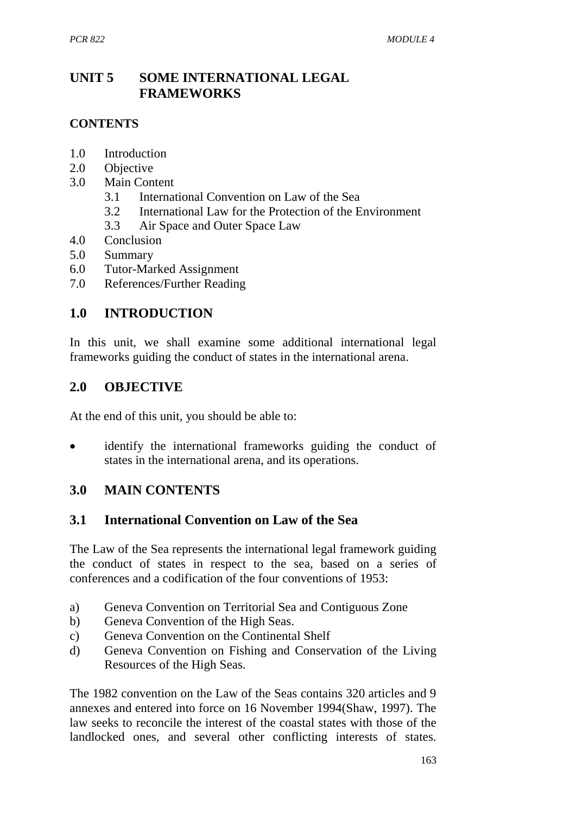# **UNIT 5 SOME INTERNATIONAL LEGAL FRAMEWORKS**

#### **CONTENTS**

- 1.0 Introduction
- 2.0 Objective
- 3.0 Main Content
	- 3.1 International Convention on Law of the Sea
	- 3.2 International Law for the Protection of the Environment
	- 3.3 Air Space and Outer Space Law
- 4.0 Conclusion
- 5.0 Summary
- 6.0 Tutor-Marked Assignment
- 7.0 References/Further Reading

#### **1.0 INTRODUCTION**

In this unit, we shall examine some additional international legal frameworks guiding the conduct of states in the international arena.

#### **2.0 OBJECTIVE**

At the end of this unit, you should be able to:

 identify the international frameworks guiding the conduct of states in the international arena, and its operations.

## **3.0 MAIN CONTENTS**

#### **3.1 International Convention on Law of the Sea**

The Law of the Sea represents the international legal framework guiding the conduct of states in respect to the sea, based on a series of conferences and a codification of the four conventions of 1953:

- a) Geneva Convention on Territorial Sea and Contiguous Zone
- b) Geneva Convention of the High Seas.
- c) Geneva Convention on the Continental Shelf
- d) Geneva Convention on Fishing and Conservation of the Living Resources of the High Seas.

The 1982 convention on the Law of the Seas contains 320 articles and 9 annexes and entered into force on 16 November 1994(Shaw, 1997). The law seeks to reconcile the interest of the coastal states with those of the landlocked ones, and several other conflicting interests of states.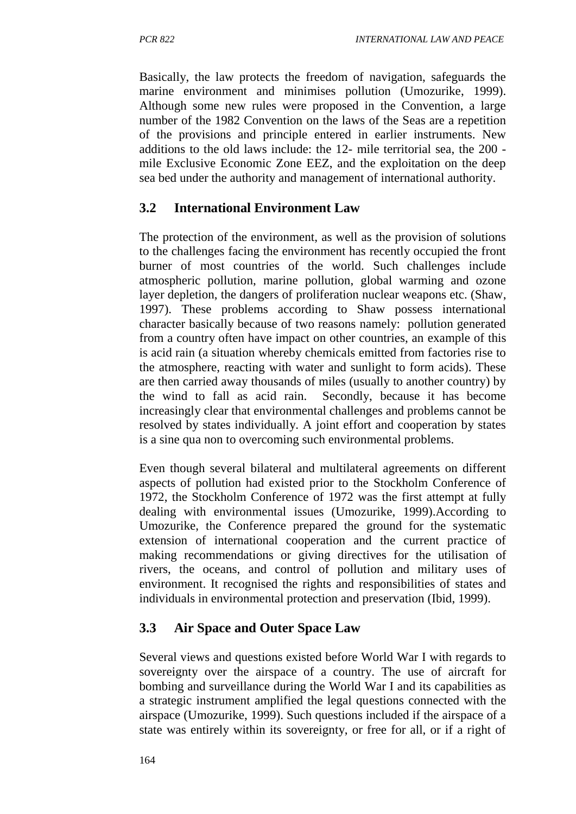Basically, the law protects the freedom of navigation, safeguards the marine environment and minimises pollution (Umozurike, 1999). Although some new rules were proposed in the Convention, a large number of the 1982 Convention on the laws of the Seas are a repetition of the provisions and principle entered in earlier instruments. New additions to the old laws include: the 12- mile territorial sea, the 200 mile Exclusive Economic Zone EEZ, and the exploitation on the deep sea bed under the authority and management of international authority.

## **3.2 International Environment Law**

The protection of the environment, as well as the provision of solutions to the challenges facing the environment has recently occupied the front burner of most countries of the world. Such challenges include atmospheric pollution, marine pollution, global warming and ozone layer depletion, the dangers of proliferation nuclear weapons etc. (Shaw, 1997). These problems according to Shaw possess international character basically because of two reasons namely: pollution generated from a country often have impact on other countries, an example of this is acid rain (a situation whereby chemicals emitted from factories rise to the atmosphere, reacting with water and sunlight to form acids). These are then carried away thousands of miles (usually to another country) by the wind to fall as acid rain. Secondly, because it has become increasingly clear that environmental challenges and problems cannot be resolved by states individually. A joint effort and cooperation by states is a sine qua non to overcoming such environmental problems.

Even though several bilateral and multilateral agreements on different aspects of pollution had existed prior to the Stockholm Conference of 1972, the Stockholm Conference of 1972 was the first attempt at fully dealing with environmental issues (Umozurike, 1999).According to Umozurike, the Conference prepared the ground for the systematic extension of international cooperation and the current practice of making recommendations or giving directives for the utilisation of rivers, the oceans, and control of pollution and military uses of environment. It recognised the rights and responsibilities of states and individuals in environmental protection and preservation (Ibid, 1999).

# **3.3 Air Space and Outer Space Law**

Several views and questions existed before World War I with regards to sovereignty over the airspace of a country. The use of aircraft for bombing and surveillance during the World War I and its capabilities as a strategic instrument amplified the legal questions connected with the airspace (Umozurike, 1999). Such questions included if the airspace of a state was entirely within its sovereignty, or free for all, or if a right of